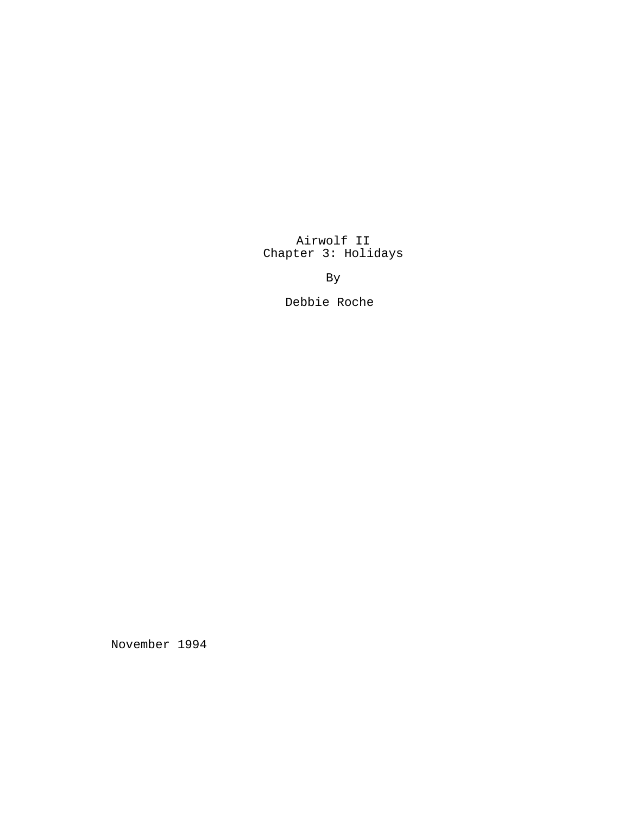Airwolf II Chapter 3: Holidays

By

Debbie Roche

November 1994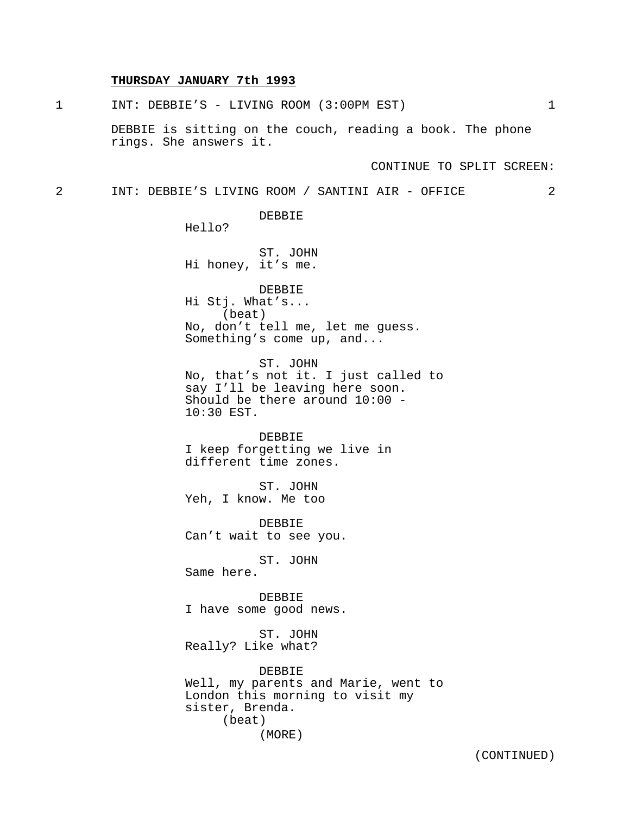## **THURSDAY JANUARY 7th 1993**

1 INT: DEBBIE'S - LIVING ROOM (3:00PM EST) 1 DEBBIE is sitting on the couch, reading a book. The phone rings. She answers it. CONTINUE TO SPLIT SCREEN: 2 INT: DEBBIE'S LIVING ROOM / SANTINI AIR - OFFICE 2 DEBBIE Hello? ST. JOHN Hi honey, it's me. DEBBIE Hi Stj. What's... (beat) No, don't tell me, let me guess. Something's come up, and... ST. JOHN No, that's not it. I just called to say I'll be leaving here soon. Should be there around 10:00 - 10:30 EST. DEBBIE I keep forgetting we live in different time zones. ST. JOHN Yeh, I know. Me too DEBBIE Can't wait to see you. ST. JOHN Same here. DEBBIE I have some good news. ST. JOHN Really? Like what? DEBBIE Well, my parents and Marie, went to London this morning to visit my sister, Brenda. (beat)

(MORE)

(CONTINUED)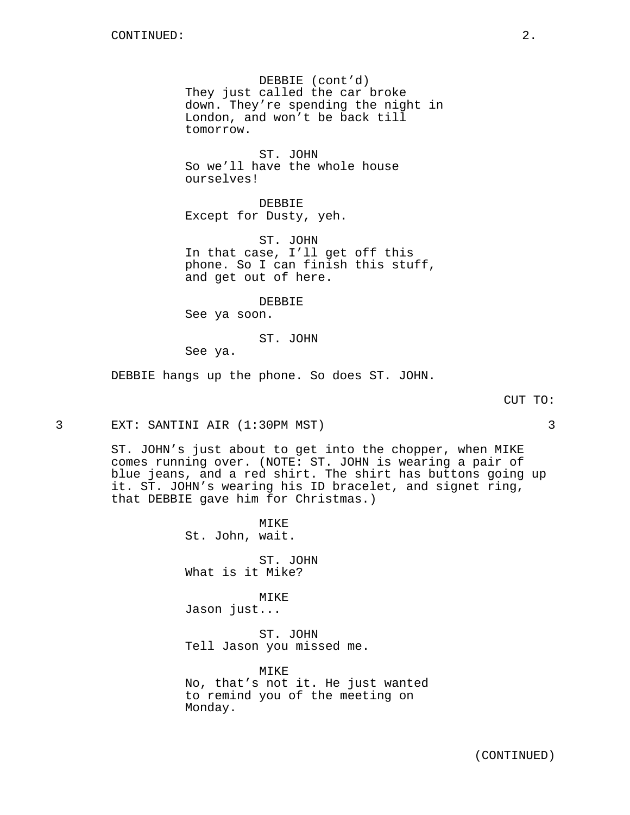DEBBIE (cont'd) They just called the car broke down. They're spending the night in London, and won't be back till tomorrow.

ST. JOHN So we'll have the whole house ourselves!

DEBBIE Except for Dusty, yeh.

ST. JOHN In that case, I'll get off this phone. So I can finish this stuff, and get out of here.

DEBBIE

See ya soon.

ST. JOHN

See ya.

DEBBIE hangs up the phone. So does ST. JOHN.

3 EXT: SANTINI AIR (1:30PM MST) 3

ST. JOHN's just about to get into the chopper, when MIKE comes running over. (NOTE: ST. JOHN is wearing a pair of blue jeans, and a red shirt. The shirt has buttons going up it. ST. JOHN's wearing his ID bracelet, and signet ring, that DEBBIE gave him for Christmas.)

> MIKE St. John, wait.

ST. JOHN What is it Mike?

MIKE Jason just...

ST. JOHN Tell Jason you missed me.

MIKE No, that's not it. He just wanted to remind you of the meeting on Monday.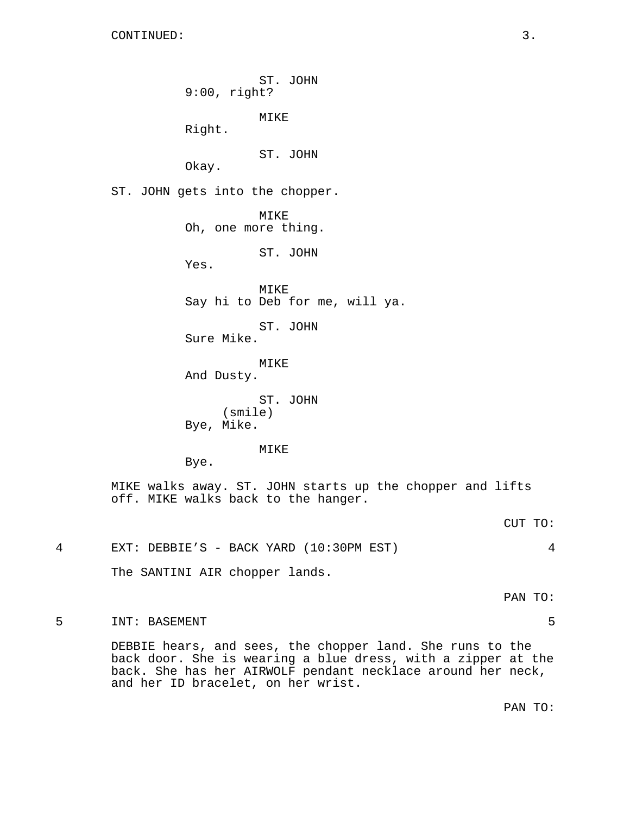ST. JOHN 9:00, right? MIKE Right. ST. JOHN Okay. ST. JOHN gets into the chopper. MIKE Oh, one more thing. ST. JOHN Yes. MIKE Say hi to Deb for me, will ya. ST. JOHN Sure Mike. MIKE And Dusty. ST. JOHN (smile) Bye, Mike. MIKE Bye. MIKE walks away. ST. JOHN starts up the chopper and lifts off. MIKE walks back to the hanger. CUT TO: 4 EXT: DEBBIE'S - BACK YARD (10:30PM EST) 4 The SANTINI AIR chopper lands.

PAN TO:

5 INT: BASEMENT 5

DEBBIE hears, and sees, the chopper land. She runs to the back door. She is wearing a blue dress, with a zipper at the back. She has her AIRWOLF pendant necklace around her neck, and her ID bracelet, on her wrist.

PAN TO: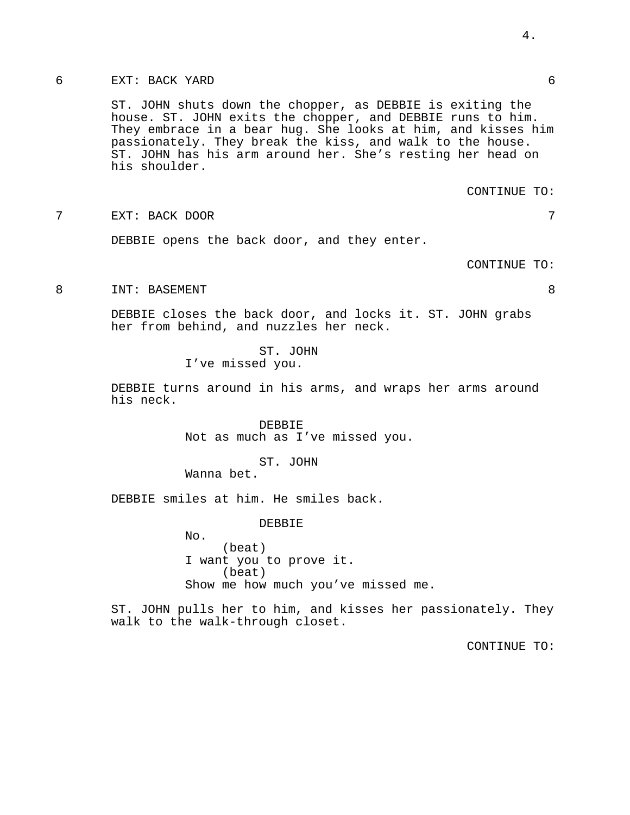## 6 EXT: BACK YARD 6

ST. JOHN shuts down the chopper, as DEBBIE is exiting the house. ST. JOHN exits the chopper, and DEBBIE runs to him. They embrace in a bear hug. She looks at him, and kisses him passionately. They break the kiss, and walk to the house. ST. JOHN has his arm around her. She's resting her head on his shoulder.

CONTINUE TO:

7 EXT: BACK DOOR 7

DEBBIE opens the back door, and they enter.

CONTINUE TO:

8 INT: BASEMENT 8

DEBBIE closes the back door, and locks it. ST. JOHN grabs her from behind, and nuzzles her neck.

> ST. JOHN I've missed you.

DEBBIE turns around in his arms, and wraps her arms around his neck.

> DEBBIE Not as much as I've missed you.

> > ST. JOHN

Wanna bet.

DEBBIE smiles at him. He smiles back.

DEBBIE

No. (beat) I want you to prove it. (beat) Show me how much you've missed me.

ST. JOHN pulls her to him, and kisses her passionately. They walk to the walk-through closet.

CONTINUE TO:

4.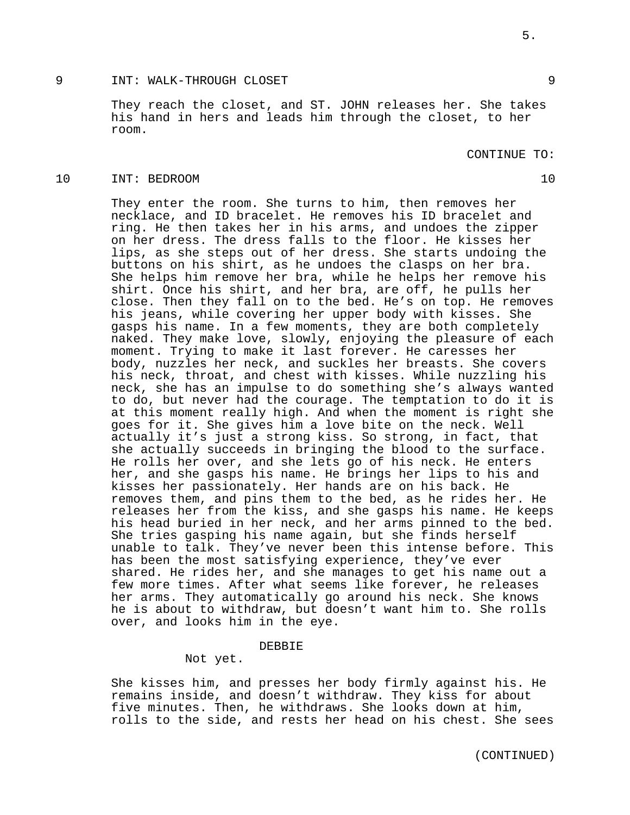## 9 INT: WALK-THROUGH CLOSET 9

They reach the closet, and ST. JOHN releases her. She takes his hand in hers and leads him through the closet, to her room.

CONTINUE TO:

#### 10 INT: BEDROOM 10

They enter the room. She turns to him, then removes her necklace, and ID bracelet. He removes his ID bracelet and ring. He then takes her in his arms, and undoes the zipper on her dress. The dress falls to the floor. He kisses her lips, as she steps out of her dress. She starts undoing the buttons on his shirt, as he undoes the clasps on her bra. She helps him remove her bra, while he helps her remove his shirt. Once his shirt, and her bra, are off, he pulls her close. Then they fall on to the bed. He's on top. He removes his jeans, while covering her upper body with kisses. She gasps his name. In a few moments, they are both completely naked. They make love, slowly, enjoying the pleasure of each moment. Trying to make it last forever. He caresses her body, nuzzles her neck, and suckles her breasts. She covers his neck, throat, and chest with kisses. While nuzzling his neck, she has an impulse to do something she's always wanted to do, but never had the courage. The temptation to do it is at this moment really high. And when the moment is right she goes for it. She gives him a love bite on the neck. Well actually it's just a strong kiss. So strong, in fact, that she actually succeeds in bringing the blood to the surface. He rolls her over, and she lets go of his neck. He enters her, and she gasps his name. He brings her lips to his and kisses her passionately. Her hands are on his back. He removes them, and pins them to the bed, as he rides her. He releases her from the kiss, and she gasps his name. He keeps his head buried in her neck, and her arms pinned to the bed. She tries gasping his name again, but she finds herself unable to talk. They've never been this intense before. This has been the most satisfying experience, they've ever shared. He rides her, and she manages to get his name out a few more times. After what seems like forever, he releases her arms. They automatically go around his neck. She knows he is about to withdraw, but doesn't want him to. She rolls over, and looks him in the eye.

## DEBBIE

Not yet.

She kisses him, and presses her body firmly against his. He remains inside, and doesn't withdraw. They kiss for about five minutes. Then, he withdraws. She looks down at him, rolls to the side, and rests her head on his chest. She sees

5.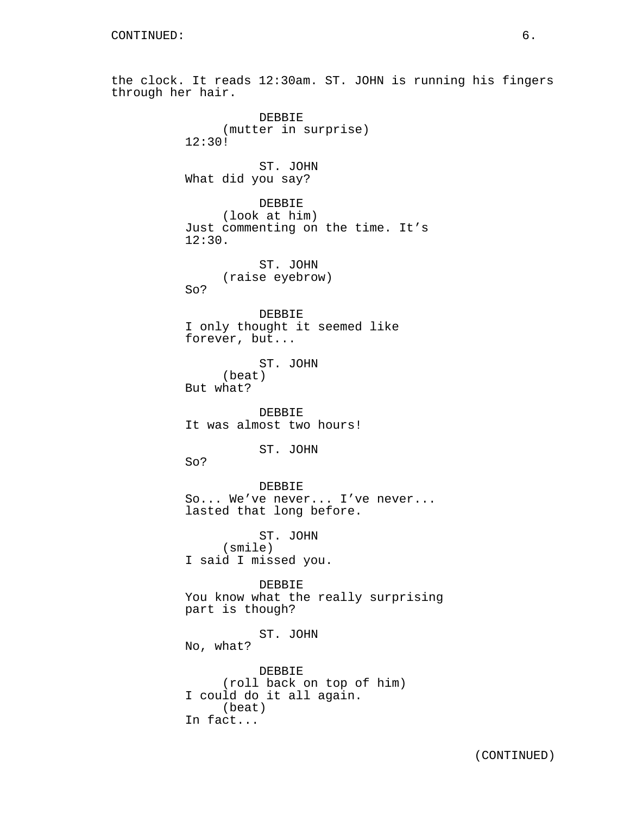the clock. It reads 12:30am. ST. JOHN is running his fingers through her hair. DEBBIE (mutter in surprise) 12:30! ST. JOHN What did you say? DEBBIE (look at him) Just commenting on the time. It's 12:30. ST. JOHN (raise eyebrow) So? DEBBIE I only thought it seemed like forever, but... ST. JOHN (beat) But what? DEBBIE It was almost two hours! ST. JOHN So? DEBBIE So... We've never... I've never... lasted that long before. ST. JOHN (smile) I said I missed you. DEBBIE You know what the really surprising part is though? ST. JOHN No, what? DEBBIE (roll back on top of him) I could do it all again. (beat) In fact...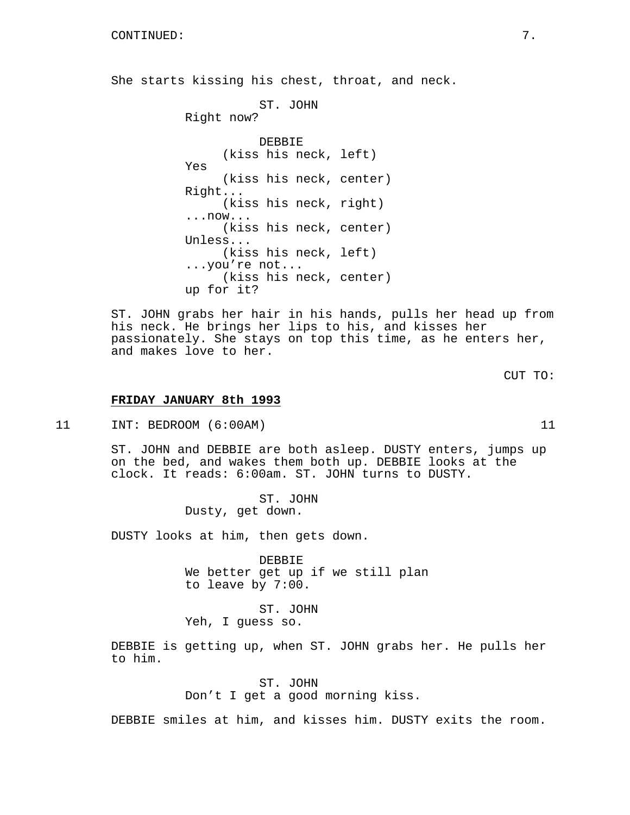She starts kissing his chest, throat, and neck.

ST. JOHN Right now? DEBBIE (kiss his neck, left) Yes (kiss his neck, center) Right... (kiss his neck, right) ...now... (kiss his neck, center) Unless... (kiss his neck, left) ...you're not... (kiss his neck, center) up for it?

ST. JOHN grabs her hair in his hands, pulls her head up from his neck. He brings her lips to his, and kisses her passionately. She stays on top this time, as he enters her, and makes love to her.

CUT TO:

#### **FRIDAY JANUARY 8th 1993**

11 INT: BEDROOM (6:00AM) 11

ST. JOHN and DEBBIE are both asleep. DUSTY enters, jumps up on the bed, and wakes them both up. DEBBIE looks at the clock. It reads: 6:00am. ST. JOHN turns to DUSTY.

> ST. JOHN Dusty, get down.

DUSTY looks at him, then gets down.

DEBBIE We better get up if we still plan to leave by 7:00.

ST. JOHN Yeh, I guess so.

DEBBIE is getting up, when ST. JOHN grabs her. He pulls her to him.

> ST. JOHN Don't I get a good morning kiss.

DEBBIE smiles at him, and kisses him. DUSTY exits the room.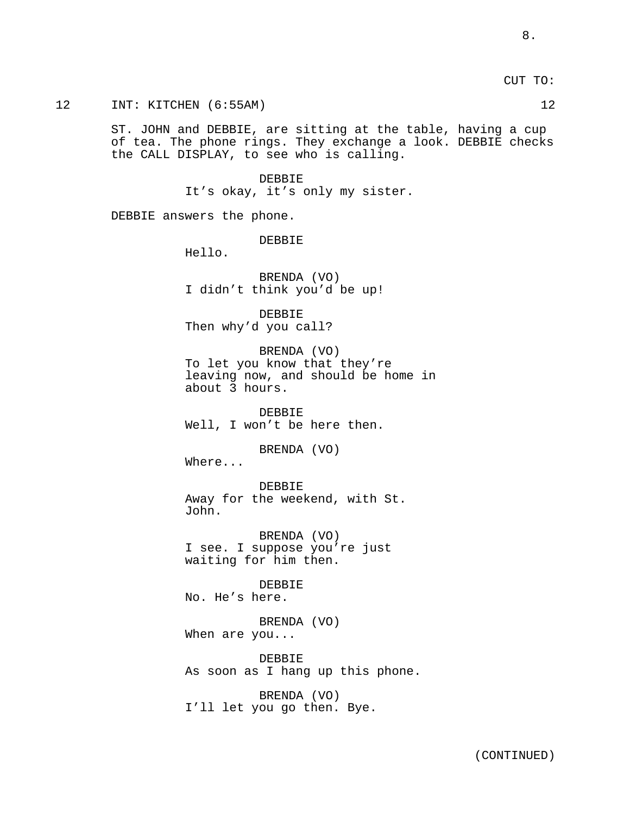CUT TO:

12 INT: KITCHEN (6:55AM) 12

ST. JOHN and DEBBIE, are sitting at the table, having a cup of tea. The phone rings. They exchange a look. DEBBIE checks the CALL DISPLAY, to see who is calling.

> DEBBIE It's okay, it's only my sister.

DEBBIE answers the phone.

DEBBIE

Hello.

BRENDA (VO) I didn't think you'd be up!

DEBBIE Then why'd you call?

BRENDA (VO) To let you know that they're leaving now, and should be home in about 3 hours.

DEBBIE Well, I won't be here then.

BRENDA (VO)

Where...

DEBBIE Away for the weekend, with St. John.

BRENDA (VO) I see. I suppose you're just waiting for him then.

**DEBBIE** No. He's here.

BRENDA (VO) When are you...

DEBBIE As soon as I hang up this phone.

BRENDA (VO) I'll let you go then. Bye.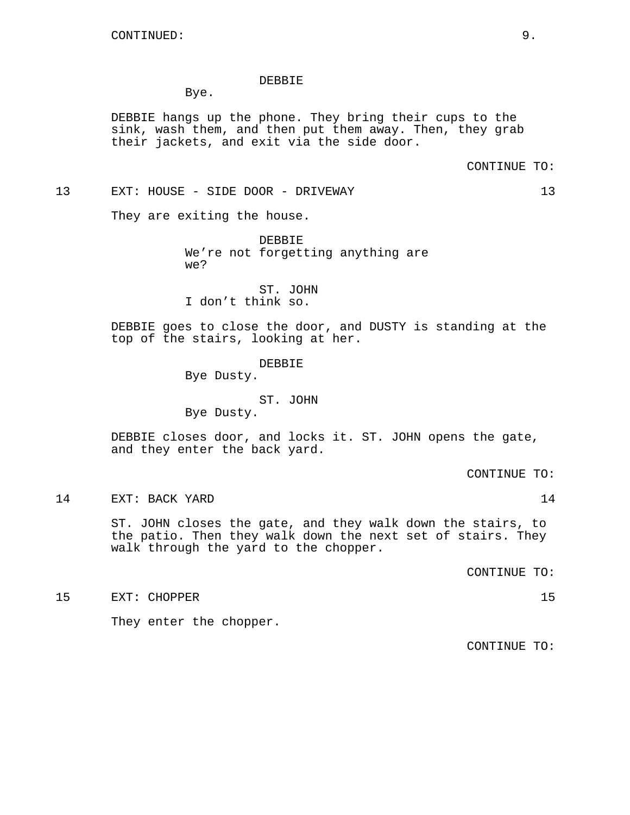#### DEBBIE

Bye.

DEBBIE hangs up the phone. They bring their cups to the sink, wash them, and then put them away. Then, they grab their jackets, and exit via the side door.

CONTINUE TO:

13 EXT: HOUSE - SIDE DOOR - DRIVEWAY 13

They are exiting the house.

DEBBIE We're not forgetting anything are we?

ST. JOHN I don't think so.

DEBBIE goes to close the door, and DUSTY is standing at the top of the stairs, looking at her.

#### DEBBIE

Bye Dusty.

ST. JOHN Bye Dusty.

DEBBIE closes door, and locks it. ST. JOHN opens the gate, and they enter the back yard.

CONTINUE TO:

14 EXT: BACK YARD 14

ST. JOHN closes the gate, and they walk down the stairs, to the patio. Then they walk down the next set of stairs. They walk through the yard to the chopper.

CONTINUE TO:

15 EXT: CHOPPER 15

They enter the chopper.

CONTINUE TO: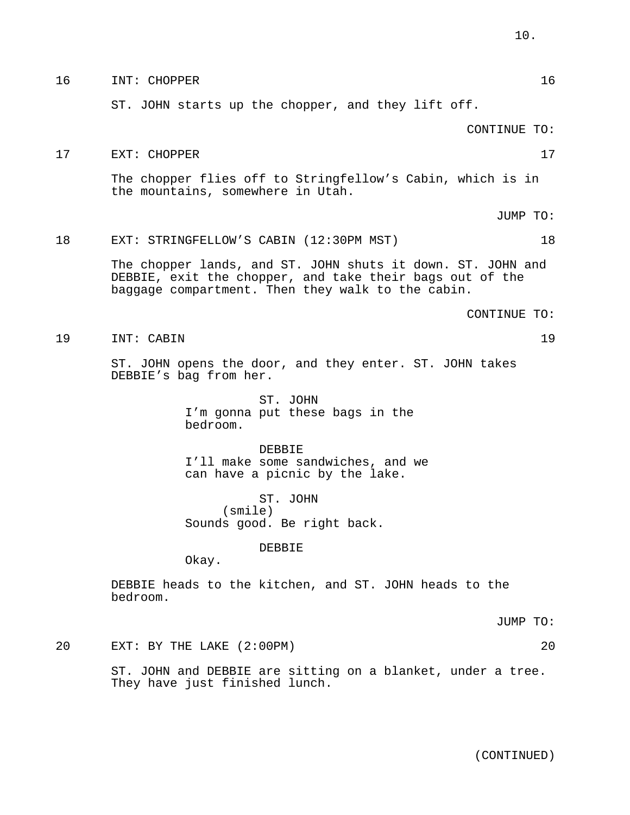#### 16 INT: CHOPPER 16

ST. JOHN starts up the chopper, and they lift off.

CONTINUE TO:

17 EXT: CHOPPER 17

The chopper flies off to Stringfellow's Cabin, which is in the mountains, somewhere in Utah.

JUMP TO:

# 18 EXT: STRINGFELLOW'S CABIN (12:30PM MST) 18

The chopper lands, and ST. JOHN shuts it down. ST. JOHN and DEBBIE, exit the chopper, and take their bags out of the baggage compartment. Then they walk to the cabin.

#### CONTINUE TO:

19 INT: CABIN 19

ST. JOHN opens the door, and they enter. ST. JOHN takes DEBBIE's bag from her.

> ST. JOHN I'm gonna put these bags in the bedroom.

DEBBIE I'll make some sandwiches, and we can have a picnic by the lake.

ST. JOHN (smile) Sounds good. Be right back.

DEBBIE

Okay.

DEBBIE heads to the kitchen, and ST. JOHN heads to the bedroom.

JUMP TO:

20 EXT: BY THE LAKE (2:00PM) 20

ST. JOHN and DEBBIE are sitting on a blanket, under a tree. They have just finished lunch.

(CONTINUED)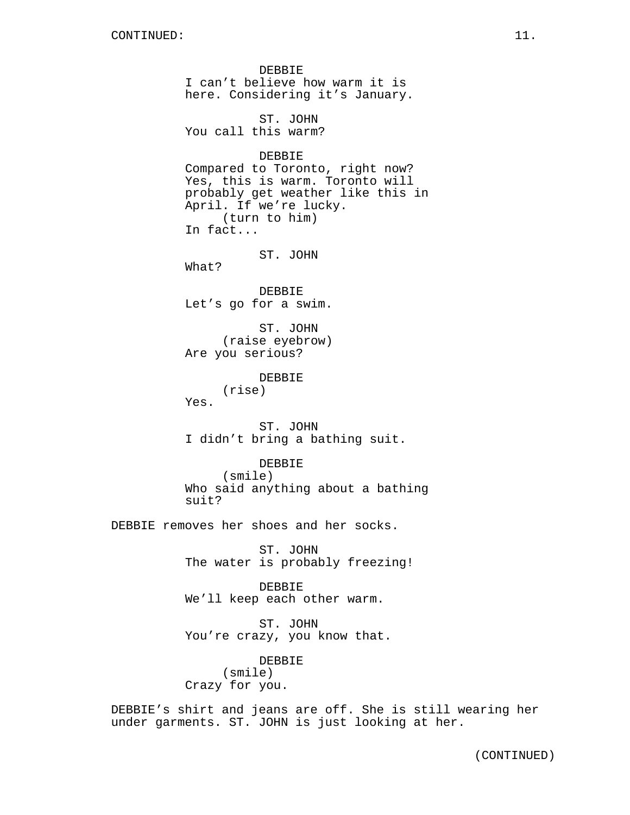DEBBIE I can't believe how warm it is here. Considering it's January. ST. JOHN You call this warm? DEBBIE Compared to Toronto, right now? Yes, this is warm. Toronto will probably get weather like this in April. If we're lucky. (turn to him) In fact... ST. JOHN What? DEBBIE Let's go for a swim. ST. JOHN (raise eyebrow) Are you serious? DEBBIE (rise) Yes. ST. JOHN I didn't bring a bathing suit. DEBBIE (smile) Who said anything about a bathing suit? DEBBIE removes her shoes and her socks. ST. JOHN The water is probably freezing! DEBBIE We'll keep each other warm. ST. JOHN You're crazy, you know that. DEBBIE (smile) Crazy for you. DEBBIE's shirt and jeans are off. She is still wearing her under garments. ST. JOHN is just looking at her.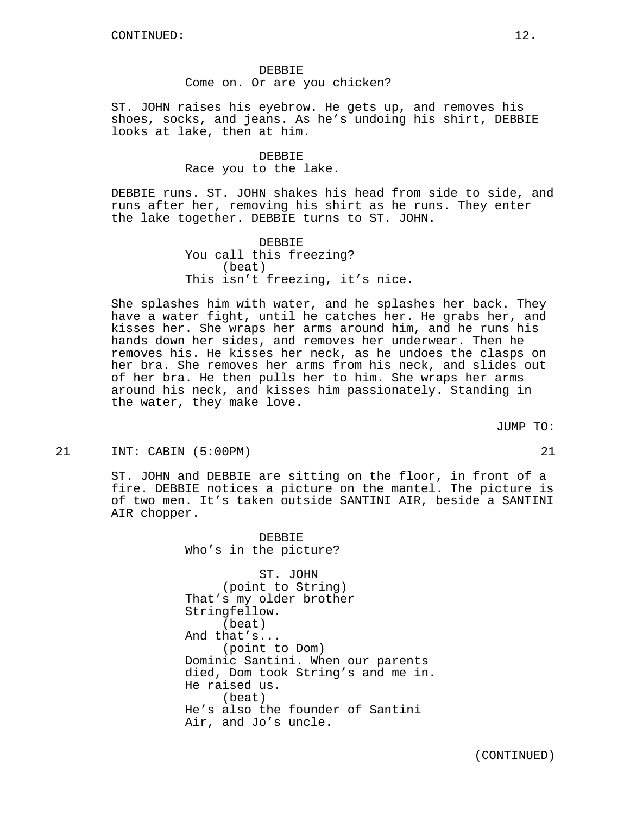# DEBBIE Come on. Or are you chicken?

ST. JOHN raises his eyebrow. He gets up, and removes his shoes, socks, and jeans. As he's undoing his shirt, DEBBIE looks at lake, then at him.

# DEBBIE Race you to the lake.

DEBBIE runs. ST. JOHN shakes his head from side to side, and runs after her, removing his shirt as he runs. They enter the lake together. DEBBIE turns to ST. JOHN.

> **DEBBIE** You call this freezing? (beat) This isn't freezing, it's nice.

She splashes him with water, and he splashes her back. They have a water fight, until he catches her. He grabs her, and kisses her. She wraps her arms around him, and he runs his hands down her sides, and removes her underwear. Then he removes his. He kisses her neck, as he undoes the clasps on her bra. She removes her arms from his neck, and slides out of her bra. He then pulls her to him. She wraps her arms around his neck, and kisses him passionately. Standing in the water, they make love.

JUMP TO:

21 INT: CABIN (5:00PM) 21

ST. JOHN and DEBBIE are sitting on the floor, in front of a fire. DEBBIE notices a picture on the mantel. The picture is of two men. It's taken outside SANTINI AIR, beside a SANTINI AIR chopper.

> DEBBIE Who's in the picture?

ST. JOHN (point to String) That's my older brother Stringfellow. (beat) And that's... (point to Dom) Dominic Santini. When our parents died, Dom took String's and me in. He raised us. (beat) He's also the founder of Santini Air, and Jo's uncle.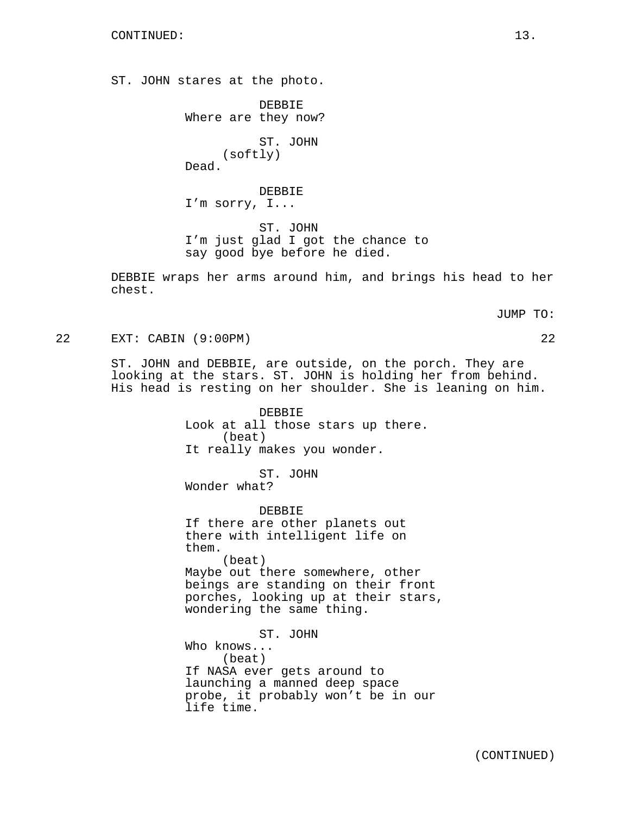ST. JOHN stares at the photo.

DEBBIE Where are they now? ST. JOHN (softly) Dead. DEBBIE I'm sorry, I... ST. JOHN I'm just glad I got the chance to say good bye before he died.

DEBBIE wraps her arms around him, and brings his head to her chest.

JUMP TO:

22 EXT: CABIN (9:00PM) 22

ST. JOHN and DEBBIE, are outside, on the porch. They are looking at the stars. ST. JOHN is holding her from behind. His head is resting on her shoulder. She is leaning on him.

> DEBBIE Look at all those stars up there. (beat) It really makes you wonder.

ST. JOHN Wonder what?

DEBBIE If there are other planets out there with intelligent life on them. (beat) Maybe out there somewhere, other beings are standing on their front porches, looking up at their stars, wondering the same thing.

ST. JOHN Who knows... (beat) If NASA ever gets around to launching a manned deep space probe, it probably won't be in our life time.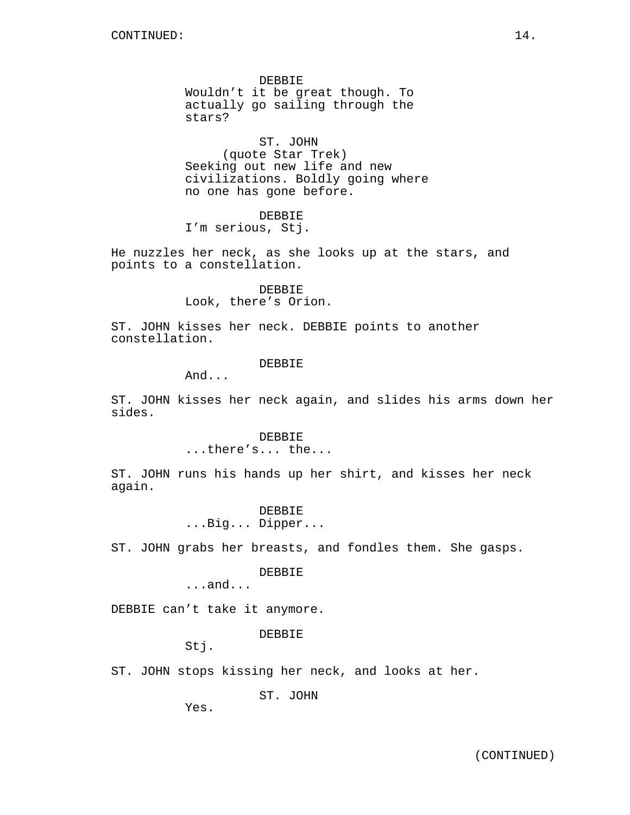DEBBIE Wouldn't it be great though. To actually go sailing through the stars?

ST. JOHN (quote Star Trek) Seeking out new life and new civilizations. Boldly going where no one has gone before.

DEBBIE

I'm serious, Stj.

He nuzzles her neck, as she looks up at the stars, and points to a constellation.

> DEBBIE Look, there's Orion.

ST. JOHN kisses her neck. DEBBIE points to another constellation.

## DEBBIE

And...

ST. JOHN kisses her neck again, and slides his arms down her sides.

> DEBBIE ...there's... the...

ST. JOHN runs his hands up her shirt, and kisses her neck again.

> DEBBIE ...Big... Dipper...

ST. JOHN grabs her breasts, and fondles them. She gasps.

DEBBIE

...and...

DEBBIE can't take it anymore.

DEBBIE

Stj.

ST. JOHN stops kissing her neck, and looks at her.

ST. JOHN

Yes.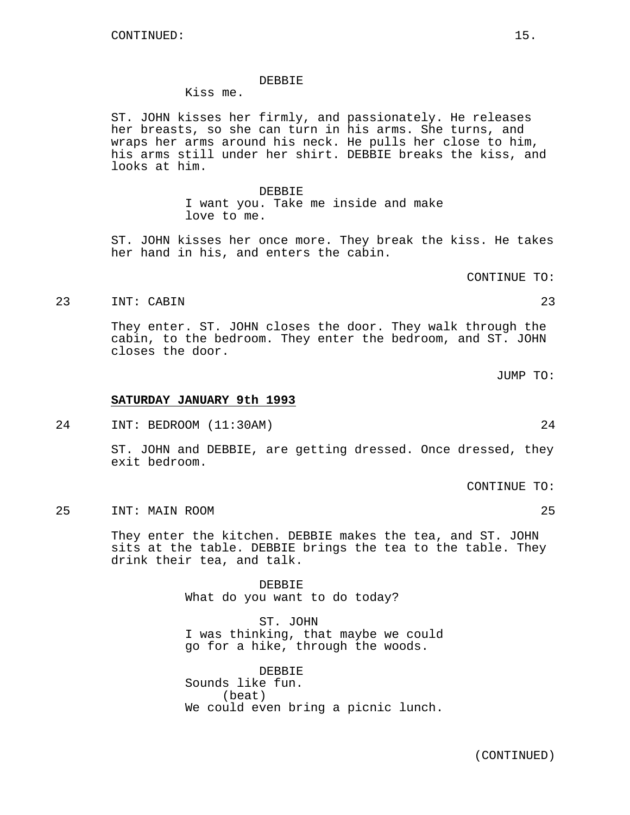#### DEBBIE

Kiss me.

ST. JOHN kisses her firmly, and passionately. He releases her breasts, so she can turn in his arms. She turns, and wraps her arms around his neck. He pulls her close to him, his arms still under her shirt. DEBBIE breaks the kiss, and looks at him.

> DEBBIE I want you. Take me inside and make love to me.

ST. JOHN kisses her once more. They break the kiss. He takes her hand in his, and enters the cabin.

CONTINUE TO:

#### 23 INT: CABIN 23

They enter. ST. JOHN closes the door. They walk through the cabin, to the bedroom. They enter the bedroom, and ST. JOHN closes the door.

JUMP TO:

#### **SATURDAY JANUARY 9th 1993**

24 INT: BEDROOM (11:30AM) 24

ST. JOHN and DEBBIE, are getting dressed. Once dressed, they exit bedroom.

CONTINUE TO:

25 INT: MAIN ROOM 25

They enter the kitchen. DEBBIE makes the tea, and ST. JOHN sits at the table. DEBBIE brings the tea to the table. They drink their tea, and talk.

> DEBBIE What do you want to do today?

ST. JOHN I was thinking, that maybe we could go for a hike, through the woods.

DEBBIE Sounds like fun. (beat) We could even bring a picnic lunch.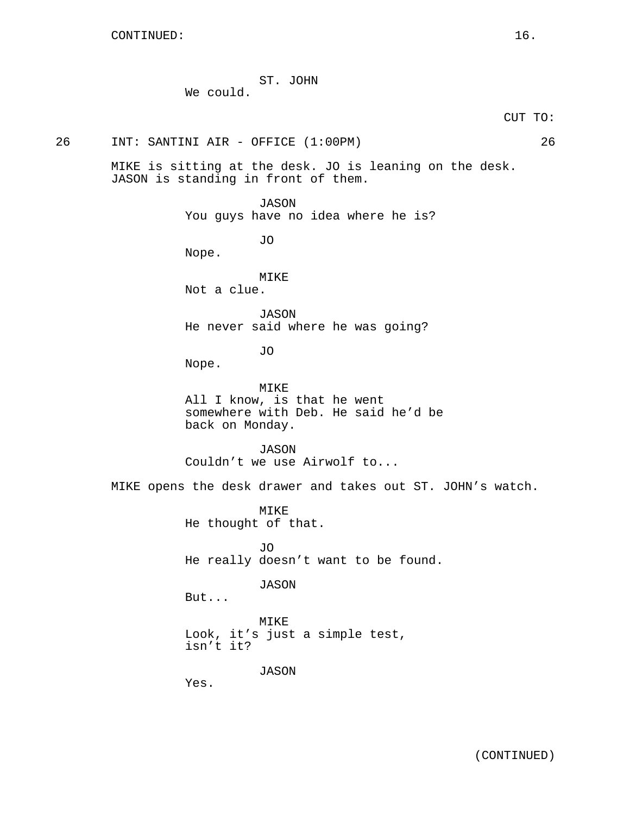|           | ST. JOHN |  |
|-----------|----------|--|
| We could. |          |  |

CUT TO:

26 INT: SANTINI AIR - OFFICE (1:00PM) 26

Nope.

MIKE is sitting at the desk. JO is leaning on the desk. JASON is standing in front of them.

> JASON You guys have no idea where he is?

> > JO

MIKE Not a clue.

JASON He never said where he was going?

JO

Nope.

MIKE All I know, is that he went somewhere with Deb. He said he'd be back on Monday.

JASON Couldn't we use Airwolf to...

MIKE opens the desk drawer and takes out ST. JOHN's watch.

MIKE He thought of that.

JO He really doesn't want to be found.

JASON

But...

MIKE Look, it's just a simple test, isn't it?

JASON

Yes.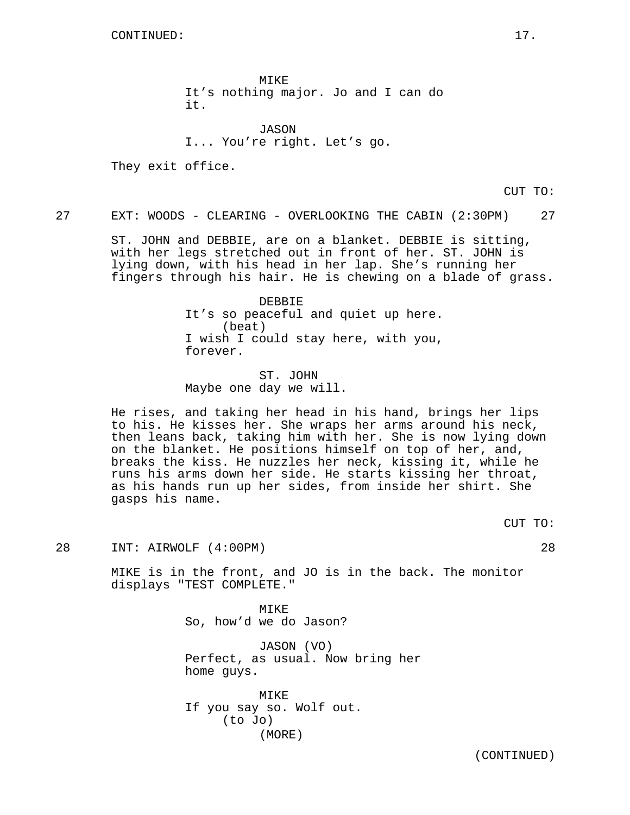MIKE It's nothing major. Jo and I can do it.

JASON I... You're right. Let's go.

They exit office.

CUT TO:

27 EXT: WOODS - CLEARING - OVERLOOKING THE CABIN (2:30PM) 27

ST. JOHN and DEBBIE, are on a blanket. DEBBIE is sitting, with her legs stretched out in front of her. ST. JOHN is lying down, with his head in her lap. She's running her fingers through his hair. He is chewing on a blade of grass.

> DEBBIE It's so peaceful and quiet up here. (beat) I wish I could stay here, with you, forever.

ST. JOHN Maybe one day we will.

He rises, and taking her head in his hand, brings her lips to his. He kisses her. She wraps her arms around his neck, then leans back, taking him with her. She is now lying down on the blanket. He positions himself on top of her, and, breaks the kiss. He nuzzles her neck, kissing it, while he runs his arms down her side. He starts kissing her throat, as his hands run up her sides, from inside her shirt. She gasps his name.

CUT TO:

28 INT: AIRWOLF (4:00PM) 28

MIKE is in the front, and JO is in the back. The monitor displays "TEST COMPLETE."

> MIKE So, how'd we do Jason?

JASON (VO) Perfect, as usual. Now bring her home guys.

MIKE If you say so. Wolf out. (to Jo) (MORE)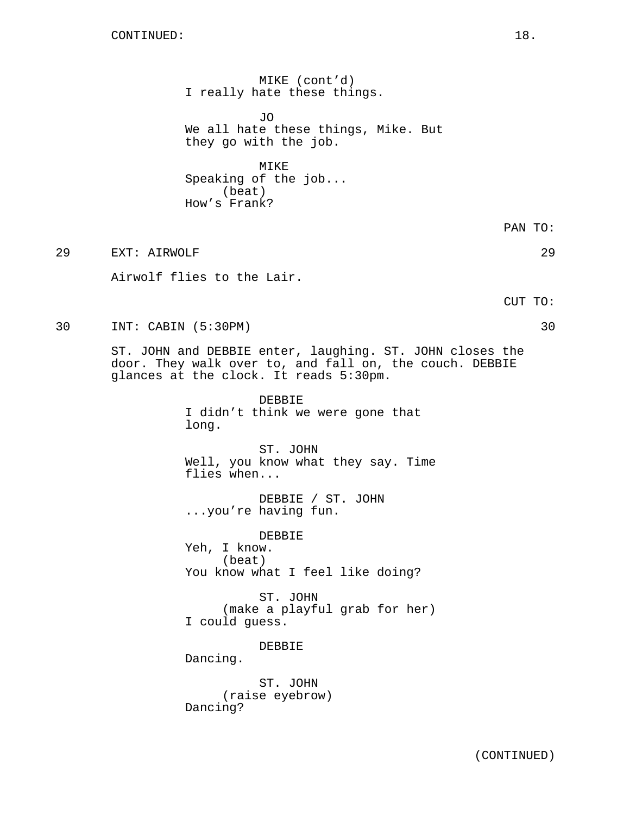MIKE (cont'd) I really hate these things.

JO We all hate these things, Mike. But they go with the job.

MIKE Speaking of the job... (beat) How's Frank?

29 EXT: AIRWOLF 29

Airwolf flies to the Lair.

CUT TO:

30 INT: CABIN (5:30PM) 30

ST. JOHN and DEBBIE enter, laughing. ST. JOHN closes the door. They walk over to, and fall on, the couch. DEBBIE glances at the clock. It reads 5:30pm.

> DEBBIE I didn't think we were gone that long.

ST. JOHN Well, you know what they say. Time flies when...

DEBBIE / ST. JOHN ...you're having fun.

DEBBIE Yeh, I know. (beat) You know what I feel like doing?

ST. JOHN (make a playful grab for her) I could guess.

DEBBIE

Dancing.

ST. JOHN (raise eyebrow) Dancing?

PAN TO: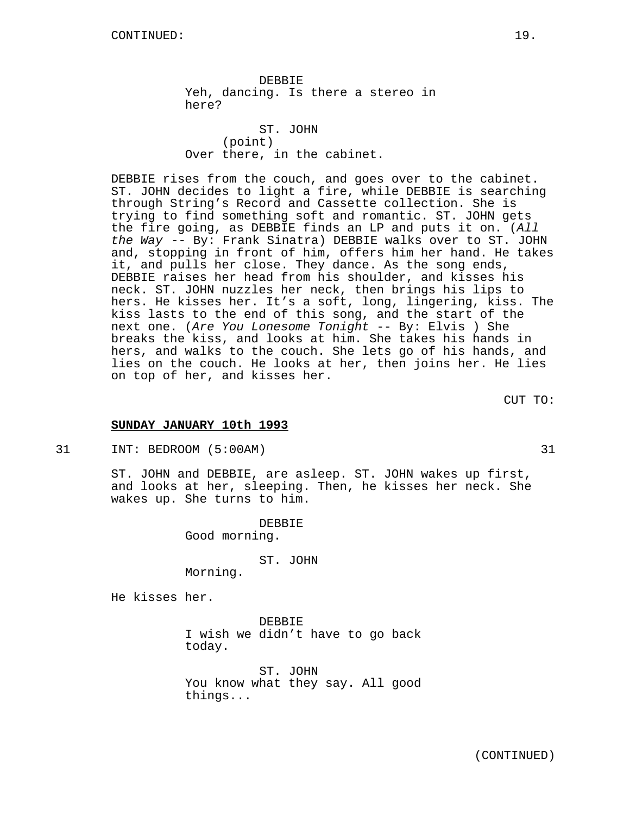DEBBIE Yeh, dancing. Is there a stereo in here?

ST. JOHN (point) Over there, in the cabinet.

DEBBIE rises from the couch, and goes over to the cabinet. ST. JOHN decides to light a fire, while DEBBIE is searching through String's Record and Cassette collection. She is trying to find something soft and romantic. ST. JOHN gets the fire going, as DEBBIE finds an LP and puts it on. (All the Way -- By: Frank Sinatra) DEBBIE walks over to ST. JOHN and, stopping in front of him, offers him her hand. He takes it, and pulls her close. They dance. As the song ends, DEBBIE raises her head from his shoulder, and kisses his neck. ST. JOHN nuzzles her neck, then brings his lips to hers. He kisses her. It's a soft, long, lingering, kiss. The kiss lasts to the end of this song, and the start of the next one. (Are You Lonesome Tonight -- By: Elvis ) She breaks the kiss, and looks at him. She takes his hands in hers, and walks to the couch. She lets go of his hands, and lies on the couch. He looks at her, then joins her. He lies on top of her, and kisses her.

CUT TO:

### **SUNDAY JANUARY 10th 1993**

Morning.

31 INT: BEDROOM (5:00AM) 31

ST. JOHN and DEBBIE, are asleep. ST. JOHN wakes up first, and looks at her, sleeping. Then, he kisses her neck. She wakes up. She turns to him.

> DEBBIE Good morning.

> > ST. JOHN

He kisses her.

DEBBIE I wish we didn't have to go back today.

ST. JOHN You know what they say. All good things...

(CONTINUED)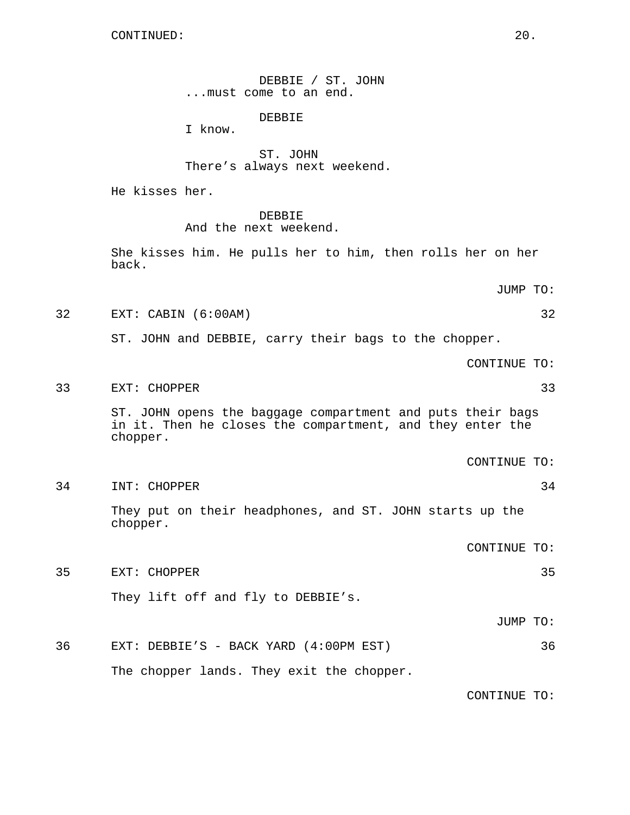CONTINUED: 20.

DEBBIE / ST. JOHN ...must come to an end.

DEBBIE

I know.

ST. JOHN There's always next weekend.

He kisses her.

### DEBBIE

And the next weekend.

She kisses him. He pulls her to him, then rolls her on her back.

JUMP TO:

32 EXT: CABIN (6:00AM) 32

ST. JOHN and DEBBIE, carry their bags to the chopper.

CONTINUE TO:

33 EXT: CHOPPER 33

ST. JOHN opens the baggage compartment and puts their bags in it. Then he closes the compartment, and they enter the chopper.

CONTINUE TO:

34 INT: CHOPPER 34

They put on their headphones, and ST. JOHN starts up the chopper.

CONTINUE TO:

35 EXT: CHOPPER 35 They lift off and fly to DEBBIE's.

JUMP TO:

36 EXT: DEBBIE'S - BACK YARD (4:00PM EST) 36 The chopper lands. They exit the chopper.

CONTINUE TO: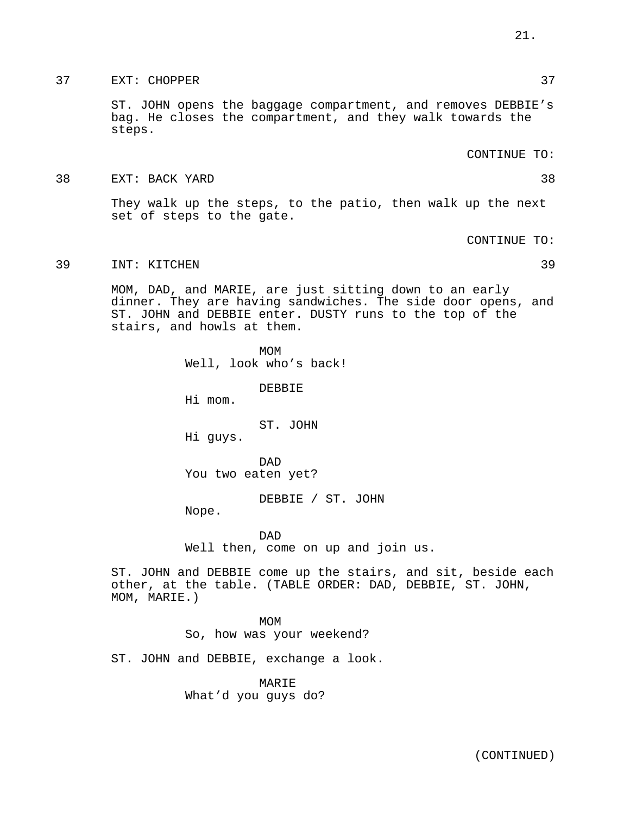37 EXT: CHOPPER 37

ST. JOHN opens the baggage compartment, and removes DEBBIE's bag. He closes the compartment, and they walk towards the steps.

CONTINUE TO:

38 EXT: BACK YARD 38

They walk up the steps, to the patio, then walk up the next set of steps to the gate.

CONTINUE TO:

39 INT: KITCHEN 39

MOM, DAD, and MARIE, are just sitting down to an early dinner. They are having sandwiches. The side door opens, and ST. JOHN and DEBBIE enter. DUSTY runs to the top of the stairs, and howls at them.

> MOM Well, look who's back!

> > DEBBIE

Hi mom.

ST. JOHN

Hi guys.

DAD You two eaten yet?

DEBBIE / ST. JOHN

Nope.

DAD Well then, come on up and join us.

ST. JOHN and DEBBIE come up the stairs, and sit, beside each other, at the table. (TABLE ORDER: DAD, DEBBIE, ST. JOHN, MOM, MARIE.)

> MOM So, how was your weekend?

ST. JOHN and DEBBIE, exchange a look.

MARIE What'd you guys do?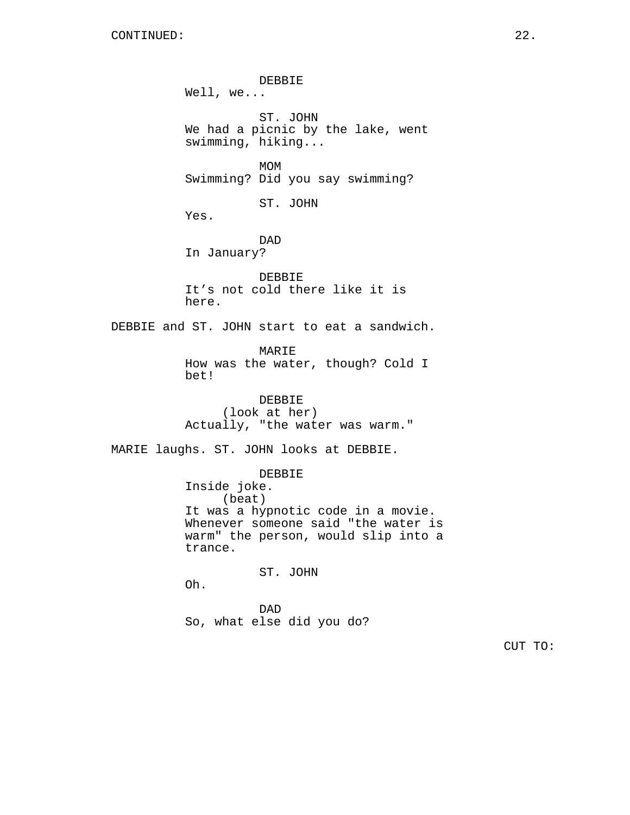DEBBIE Well, we... ST. JOHN We had a picnic by the lake, went swimming, hiking... MOM Swimming? Did you say swimming? ST. JOHN Yes. DAD In January? DEBBIE It's not cold there like it is here. DEBBIE and ST. JOHN start to eat a sandwich. MARIE How was the water, though? Cold I bet! DEBBIE (look at her) Actually, "the water was warm." MARIE laughs. ST. JOHN looks at DEBBIE. DEBBIE Inside joke. (beat) It was a hypnotic code in a movie. Whenever someone said "the water is warm" the person, would slip into a trance. ST. JOHN Oh. DAD So, what else did you do?

CUT TO: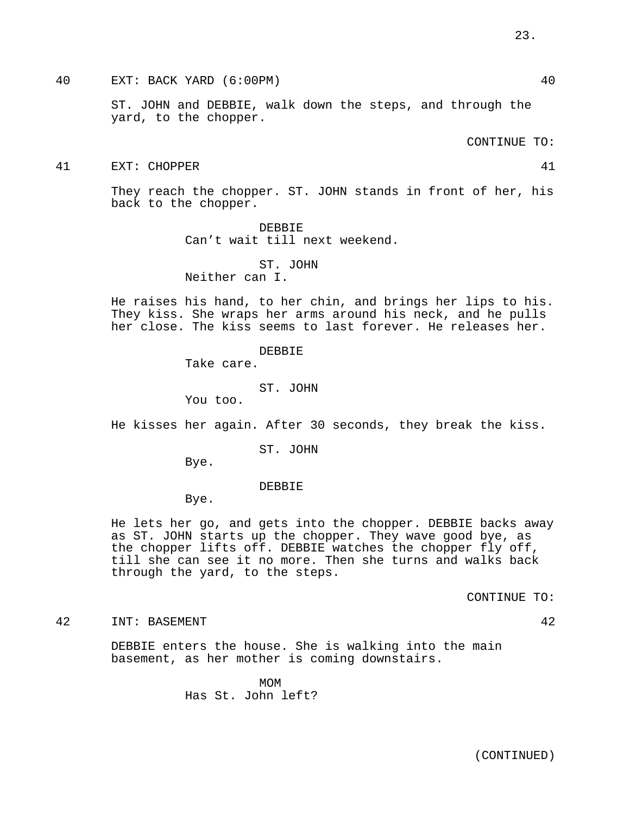40 EXT: BACK YARD (6:00PM) 40

ST. JOHN and DEBBIE, walk down the steps, and through the yard, to the chopper.

CONTINUE TO:

#### 41 EXT: CHOPPER 41

They reach the chopper. ST. JOHN stands in front of her, his back to the chopper.

> DEBBIE Can't wait till next weekend.

ST. JOHN Neither can I.

He raises his hand, to her chin, and brings her lips to his. They kiss. She wraps her arms around his neck, and he pulls her close. The kiss seems to last forever. He releases her.

#### DEBBIE

Take care.

ST. JOHN

You too.

He kisses her again. After 30 seconds, they break the kiss.

ST. JOHN

Bye.

#### DEBBIE

Bye.

He lets her go, and gets into the chopper. DEBBIE backs away as ST. JOHN starts up the chopper. They wave good bye, as the chopper lifts off. DEBBIE watches the chopper fly off, till she can see it no more. Then she turns and walks back through the yard, to the steps.

CONTINUE TO:

#### 42 INT: BASEMENT 42

DEBBIE enters the house. She is walking into the main

MOM Has St. John left?

basement, as her mother is coming downstairs.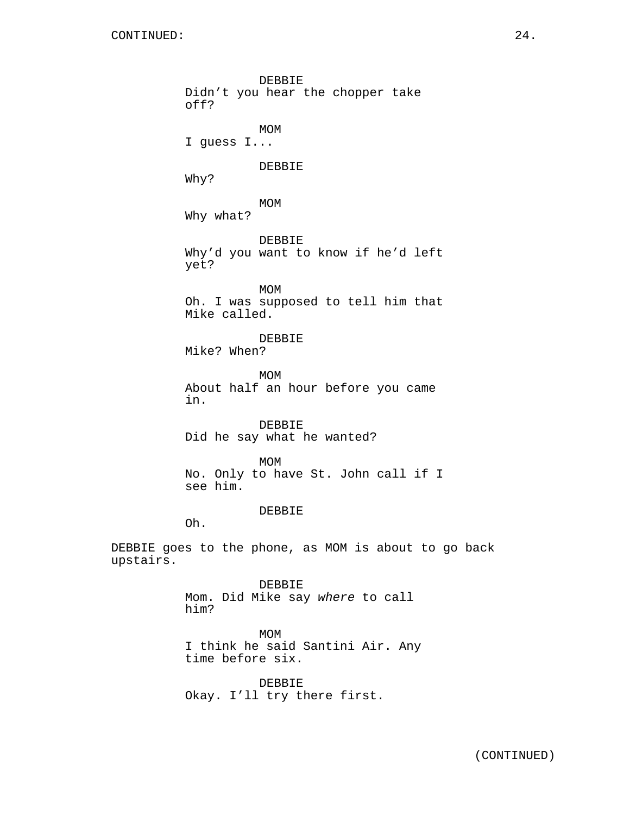DEBBIE Didn't you hear the chopper take off? MOM I guess I... DEBBIE Why? MOM Why what? DEBBIE Why'd you want to know if he'd left yet? MOM Oh. I was supposed to tell him that Mike called. DEBBIE Mike? When? MOM About half an hour before you came in. DEBBIE Did he say what he wanted? MOM No. Only to have St. John call if I see him. DEBBIE Oh. DEBBIE goes to the phone, as MOM is about to go back upstairs. DEBBIE Mom. Did Mike say where to call him? MOM I think he said Santini Air. Any time before six.

> DEBBIE Okay. I'll try there first.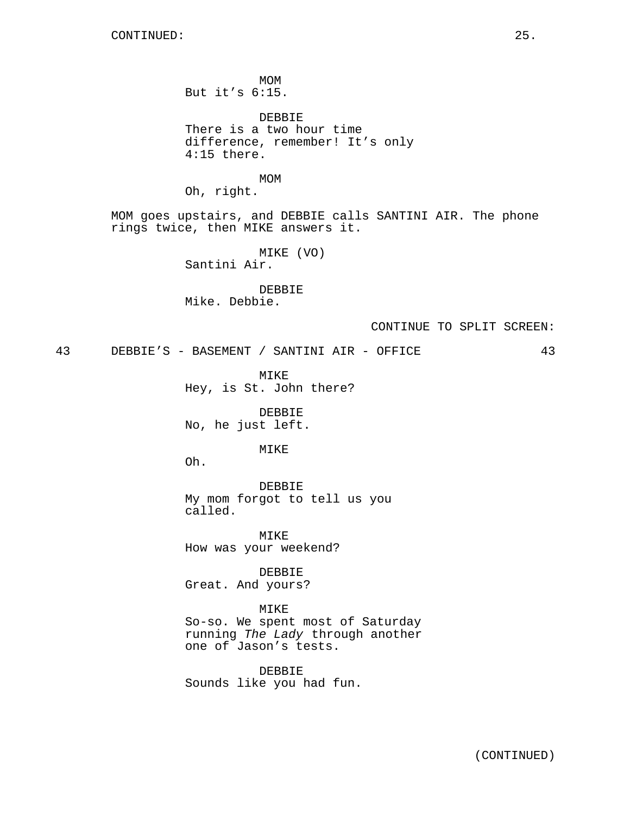MOM But it's 6:15. DEBBIE There is a two hour time difference, remember! It's only 4:15 there. MOM Oh, right. MOM goes upstairs, and DEBBIE calls SANTINI AIR. The phone rings twice, then MIKE answers it. MIKE (VO) Santini Air. DEBBIE Mike. Debbie. CONTINUE TO SPLIT SCREEN: 43 DEBBIE'S - BASEMENT / SANTINI AIR - OFFICE 43 MIKE Hey, is St. John there? DEBBIE No, he just left. MIKE Oh. DEBBIE My mom forgot to tell us you called. MIKE

How was your weekend?

DEBBIE Great. And yours?

MIKE So-so. We spent most of Saturday running The Lady through another one of Jason's tests.

DEBBIE Sounds like you had fun.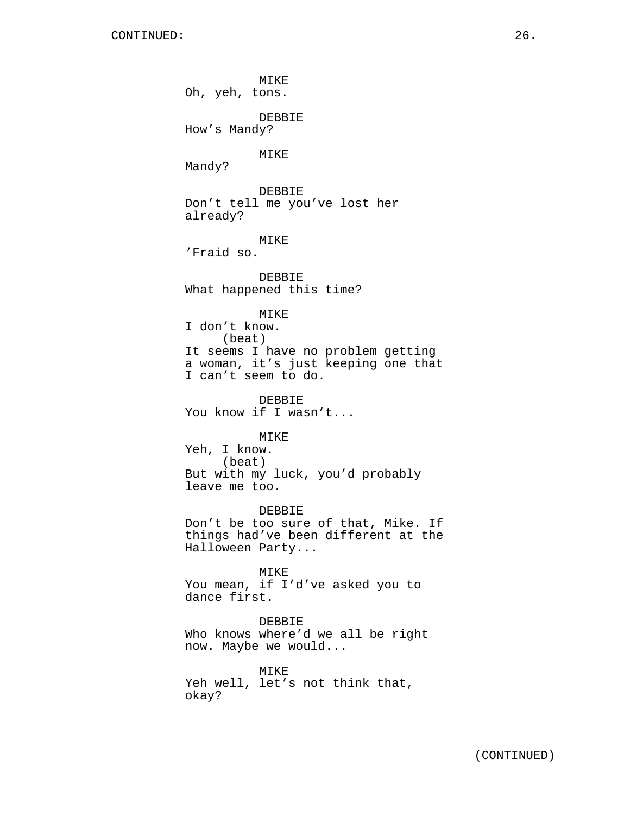MIKE Oh, yeh, tons. DEBBIE How's Mandy? MIKE Mandy? DEBBIE Don't tell me you've lost her already? MIKE 'Fraid so. DEBBIE What happened this time? MIKE I don't know. (beat) It seems I have no problem getting a woman, it's just keeping one that I can't seem to do. DEBBIE You know if I wasn't... MIKE Yeh, I know. (beat) But with my luck, you'd probably leave me too. DEBBIE Don't be too sure of that, Mike. If things had've been different at the Halloween Party... MIKE You mean, if I'd've asked you to dance first. DEBBIE Who knows where'd we all be right now. Maybe we would... MIKE

Yeh well, let's not think that, okay?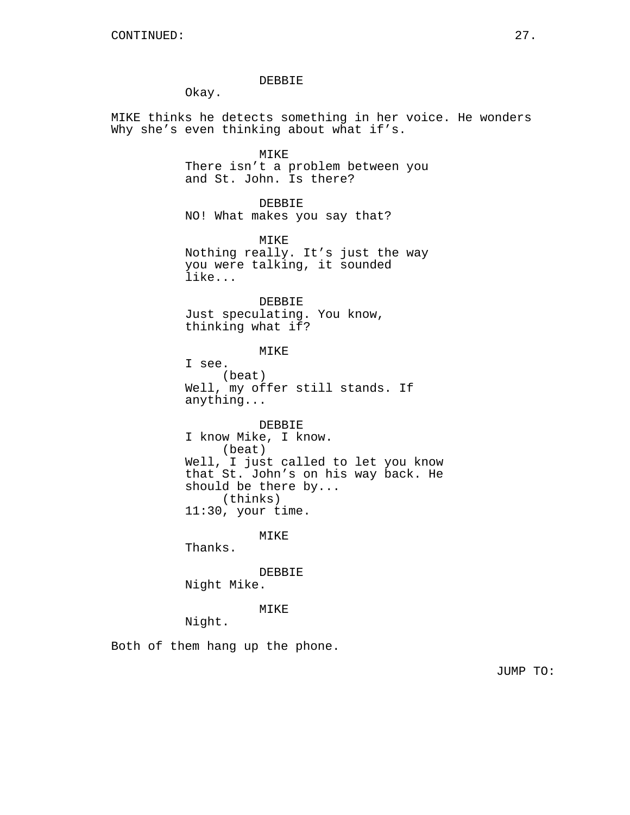#### DEBBIE

Okay.

MIKE thinks he detects something in her voice. He wonders Why she's even thinking about what if's.

> MIKE There isn't a problem between you and St. John. Is there?

DEBBIE NO! What makes you say that?

MIKE Nothing really. It's just the way you were talking, it sounded like...

DEBBIE Just speculating. You know, thinking what if?

MIKE I see. (beat) Well, my offer still stands. If anything...

DEBBIE I know Mike, I know. (beat) Well, I just called to let you know that St. John's on his way back. He should be there by... (thinks) 11:30, your time.

MIKE

Thanks.

DEBBIE

Night Mike.

MIKE

Night.

Both of them hang up the phone.

JUMP TO: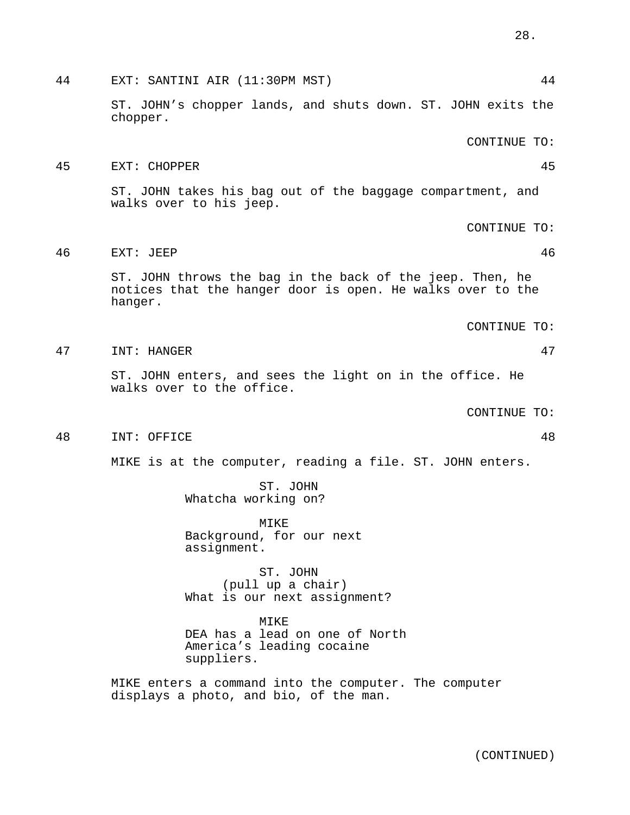MIKE DEA has a lead on one of North America's leading cocaine suppliers.

MIKE enters a command into the computer. The computer displays a photo, and bio, of the man.

48 INT: OFFICE 48

MIKE is at the computer, reading a file. ST. JOHN enters.

ST. JOHN

MIKE Background, for our next assignment.

ST. JOHN

(pull up a chair) What is our next assignment?

Whatcha working on?

walks over to his jeep.

CONTINUE TO:

ST. JOHN enters, and sees the light on in the office. He

- walks over to the office.
- hanger. CONTINUE TO:

ST. JOHN throws the bag in the back of the jeep. Then, he notices that the hanger door is open. He walks over to the

44 EXT: SANTINI AIR (11:30PM MST) 44

45 EXT: CHOPPER 45

46 EXT: JEEP 46

ST. JOHN's chopper lands, and shuts down. ST. JOHN exits the

- 
- 
- 
- 
- 
- 
- 

chopper.

- 
- 
- 

CONTINUE TO:

ST. JOHN takes his bag out of the baggage compartment, and

CONTINUE TO: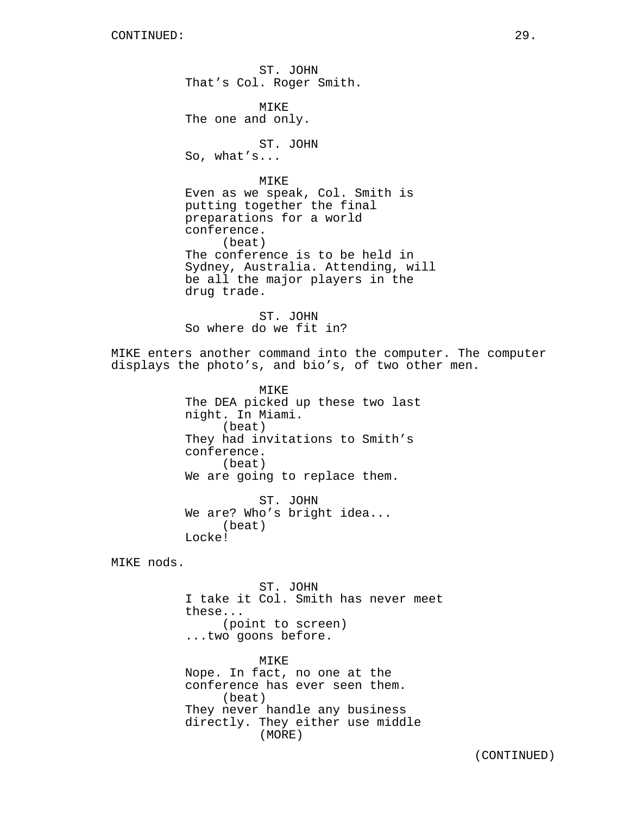ST. JOHN That's Col. Roger Smith. MIKE The one and only. ST. JOHN So, what's... MIKE Even as we speak, Col. Smith is putting together the final preparations for a world conference. (beat) The conference is to be held in Sydney, Australia. Attending, will be all the major players in the drug trade. ST. JOHN So where do we fit in? MIKE enters another command into the computer. The computer displays the photo's, and bio's, of two other men. MIKE The DEA picked up these two last night. In Miami. (beat) They had invitations to Smith's conference. (beat) We are going to replace them. ST. JOHN We are? Who's bright idea... (beat) Locke! MIKE nods. ST. JOHN I take it Col. Smith has never meet these... (point to screen) ...two goons before. MIKE Nope. In fact, no one at the conference has ever seen them.

(beat) They never handle any business directly. They either use middle (MORE)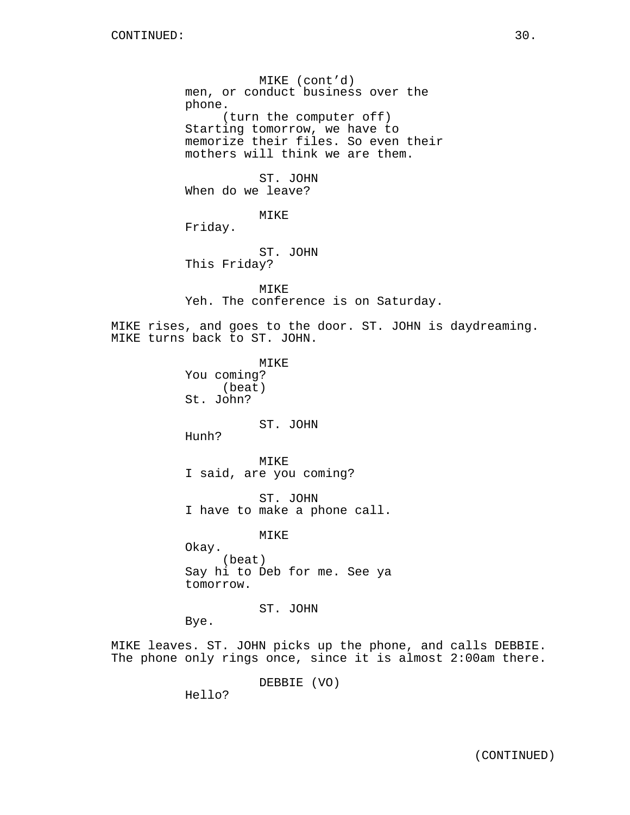MIKE (cont'd) men, or conduct business over the phone. (turn the computer off) Starting tomorrow, we have to memorize their files. So even their mothers will think we are them. ST. JOHN When do we leave? MIKE Friday. ST. JOHN This Friday? MIKE Yeh. The conference is on Saturday. MIKE rises, and goes to the door. ST. JOHN is daydreaming. MIKE turns back to ST. JOHN. MIKE You coming? (beat) St. John? ST. JOHN Hunh? MIKE I said, are you coming? ST. JOHN I have to make a phone call. MIKE Okay. (beat) Say hi to Deb for me. See ya tomorrow. ST. JOHN Bye. MIKE leaves. ST. JOHN picks up the phone, and calls DEBBIE. The phone only rings once, since it is almost 2:00am there.

DEBBIE (VO)

Hello?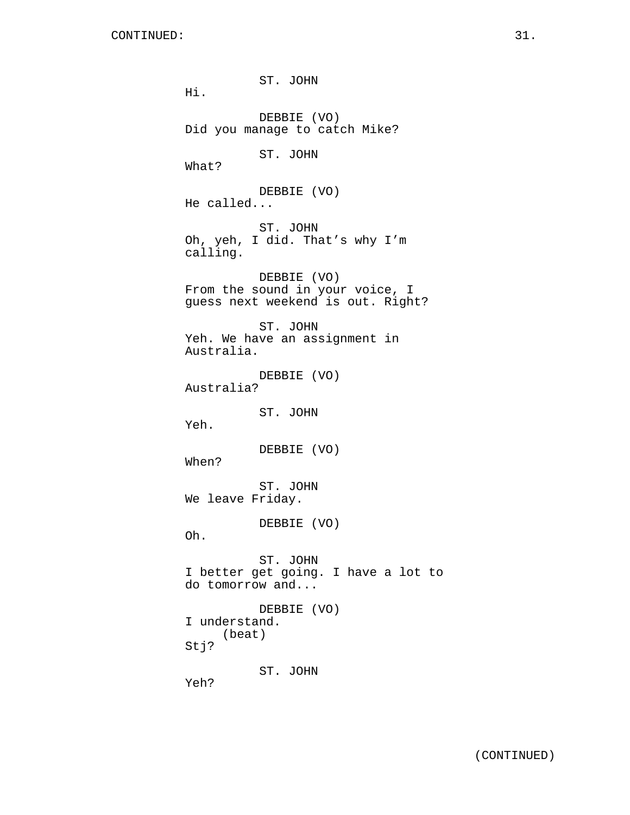ST. JOHN Hi. DEBBIE (VO) Did you manage to catch Mike? ST. JOHN What? DEBBIE (VO) He called... ST. JOHN Oh, yeh, I did. That's why I'm calling. DEBBIE (VO) From the sound in your voice, I guess next weekend is out. Right? ST. JOHN Yeh. We have an assignment in Australia. DEBBIE (VO) Australia? ST. JOHN Yeh. DEBBIE (VO) When? ST. JOHN We leave Friday. DEBBIE (VO) Oh. ST. JOHN I better get going. I have a lot to do tomorrow and... DEBBIE (VO) I understand. (beat) Stj? ST. JOHN Yeh?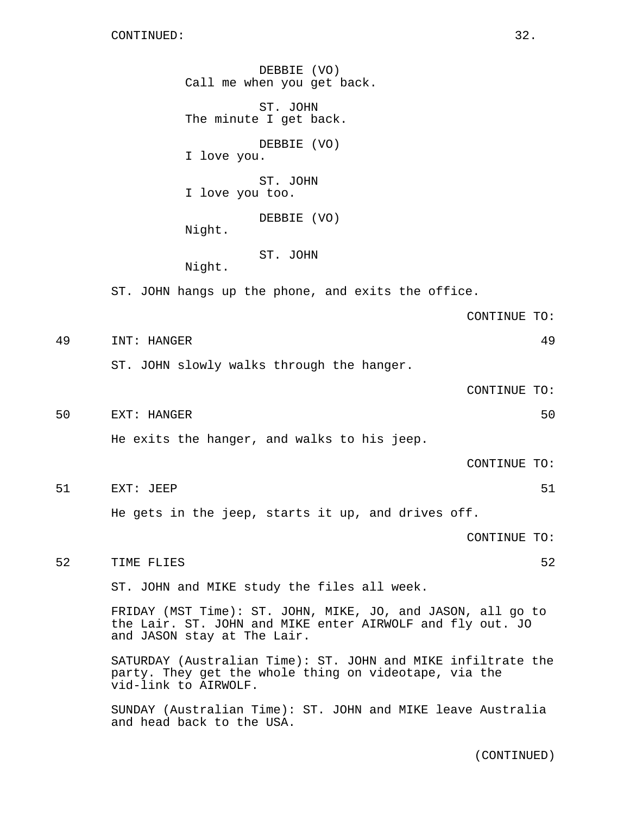DEBBIE (VO) Call me when you get back. ST. JOHN The minute I get back. DEBBIE (VO) I love you. ST. JOHN I love you too. DEBBIE (VO) Night. ST. JOHN Night. ST. JOHN hangs up the phone, and exits the office. CONTINUE TO: 49 INT: HANGER 49 ST. JOHN slowly walks through the hanger. CONTINUE TO: 50 EXT: HANGER 50 He exits the hanger, and walks to his jeep. CONTINUE TO: 51 EXT: JEEP 51 SALE SERVICE SERVICE SERVICE SERVICE SERVICE SERVICE SERVICE SERVICE SERVICE SERVICE SERVICE S He gets in the jeep, starts it up, and drives off. CONTINUE TO: 52 TIME FLIES 52 ST. JOHN and MIKE study the files all week. FRIDAY (MST Time): ST. JOHN, MIKE, JO, and JASON, all go to the Lair. ST. JOHN and MIKE enter AIRWOLF and fly out. JO and JASON stay at The Lair. SATURDAY (Australian Time): ST. JOHN and MIKE infiltrate the party. They get the whole thing on videotape, via the vid-link to AIRWOLF. SUNDAY (Australian Time): ST. JOHN and MIKE leave Australia and head back to the USA.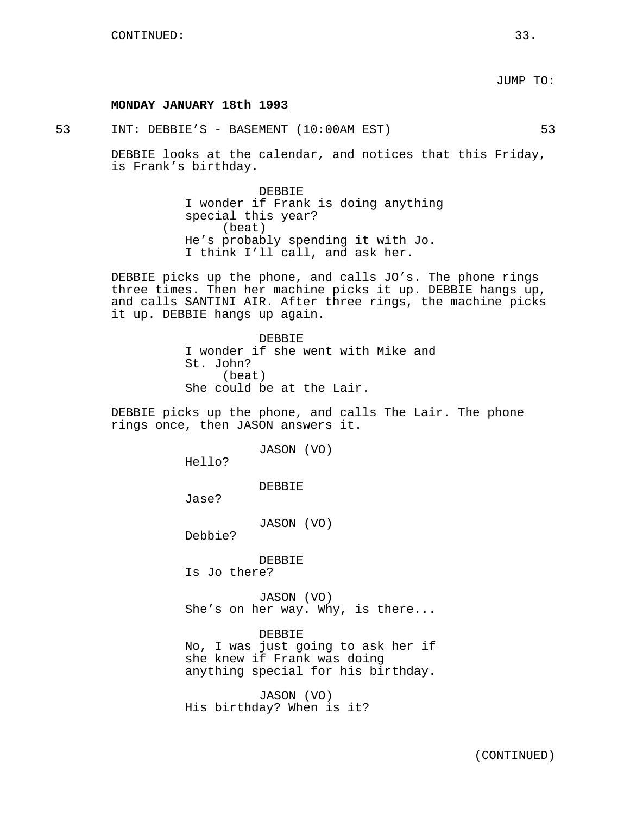#### **MONDAY JANUARY 18th 1993**

53 INT: DEBBIE'S - BASEMENT (10:00AM EST) 53

DEBBIE looks at the calendar, and notices that this Friday, is Frank's birthday.

> DEBBIE I wonder if Frank is doing anything special this year? (beat) He's probably spending it with Jo. I think I'll call, and ask her.

DEBBIE picks up the phone, and calls JO's. The phone rings three times. Then her machine picks it up. DEBBIE hangs up, and calls SANTINI AIR. After three rings, the machine picks it up. DEBBIE hangs up again.

> DEBBIE I wonder if she went with Mike and St. John? (beat) She could be at the Lair.

DEBBIE picks up the phone, and calls The Lair. The phone rings once, then JASON answers it.

JASON (VO)

Hello?

DEBBIE

Jase?

JASON (VO)

Debbie?

DEBBIE Is Jo there?

JASON (VO) She's on her way. Why, is there...

DEBBIE No, I was just going to ask her if she knew if Frank was doing anything special for his birthday.

JASON (VO) His birthday? When is it?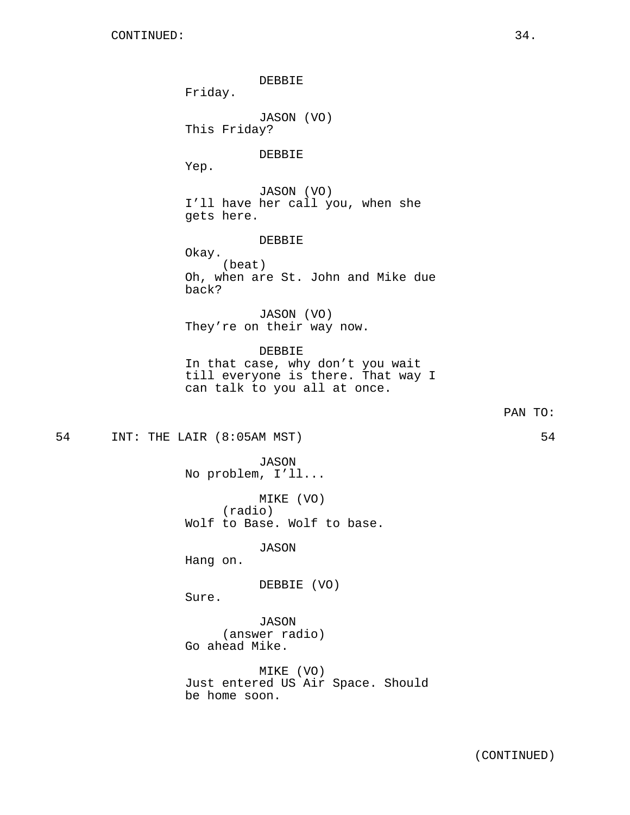DEBBIE Friday. JASON (VO) This Friday? DEBBIE Yep. JASON (VO) I'll have her call you, when she gets here. DEBBIE Okay. (beat) Oh, when are St. John and Mike due back? JASON (VO) They're on their way now. DEBBIE In that case, why don't you wait till everyone is there. That way I can talk to you all at once. PAN TO: 54 INT: THE LAIR (8:05AM MST) 54 JASON No problem, I'll... MIKE (VO) (radio) Wolf to Base. Wolf to base. JASON Hang on. DEBBIE (VO) Sure. JASON (answer radio) Go ahead Mike. MIKE (VO) Just entered US Air Space. Should be home soon.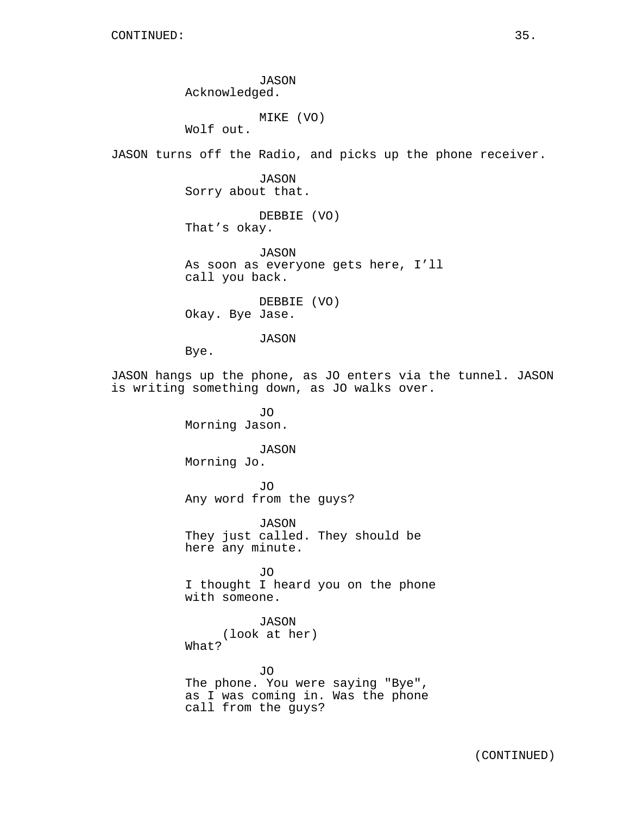JASON Acknowledged.

MIKE (VO)

Wolf out.

JASON turns off the Radio, and picks up the phone receiver.

JASON Sorry about that.

DEBBIE (VO) That's okay.

JASON As soon as everyone gets here, I'll call you back.

DEBBIE (VO) Okay. Bye Jase.

JASON

Bye.

JASON hangs up the phone, as JO enters via the tunnel. JASON is writing something down, as JO walks over.

> JO Morning Jason.

# JASON

Morning Jo.

JO Any word from the guys?

JASON They just called. They should be here any minute.

JO I thought I heard you on the phone with someone.

JASON

(look at her) What?

JO The phone. You were saying "Bye", as I was coming in. Was the phone call from the guys?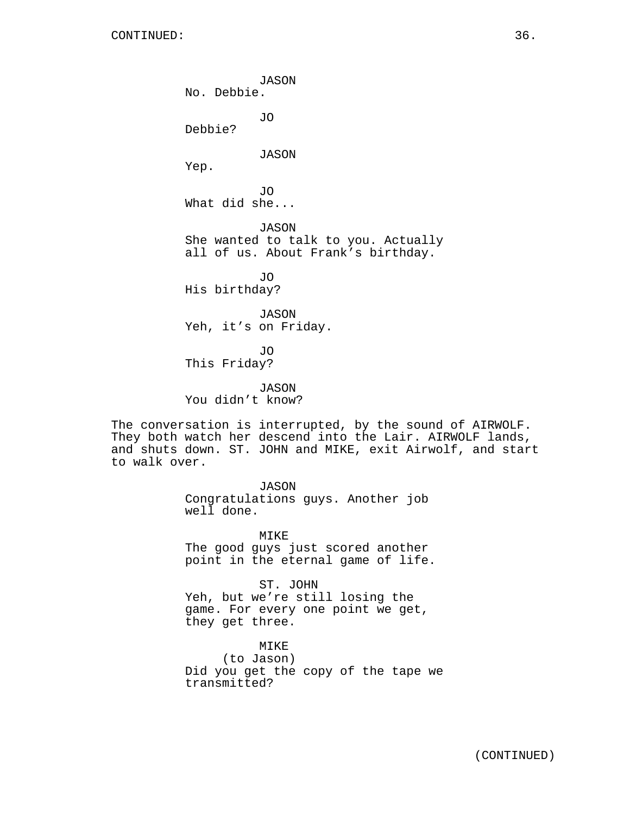JASON No. Debbie. JO Debbie? JASON Yep. JO What did she... JASON She wanted to talk to you. Actually all of us. About Frank's birthday. JO His birthday? JASON Yeh, it's on Friday.

JO This Friday?

JASON You didn't know?

The conversation is interrupted, by the sound of AIRWOLF. They both watch her descend into the Lair. AIRWOLF lands, and shuts down. ST. JOHN and MIKE, exit Airwolf, and start to walk over.

> JASON Congratulations guys. Another job well done.

MIKE The good guys just scored another point in the eternal game of life.

ST. JOHN Yeh, but we're still losing the game. For every one point we get, they get three.

MIKE (to Jason) Did you get the copy of the tape we transmitted?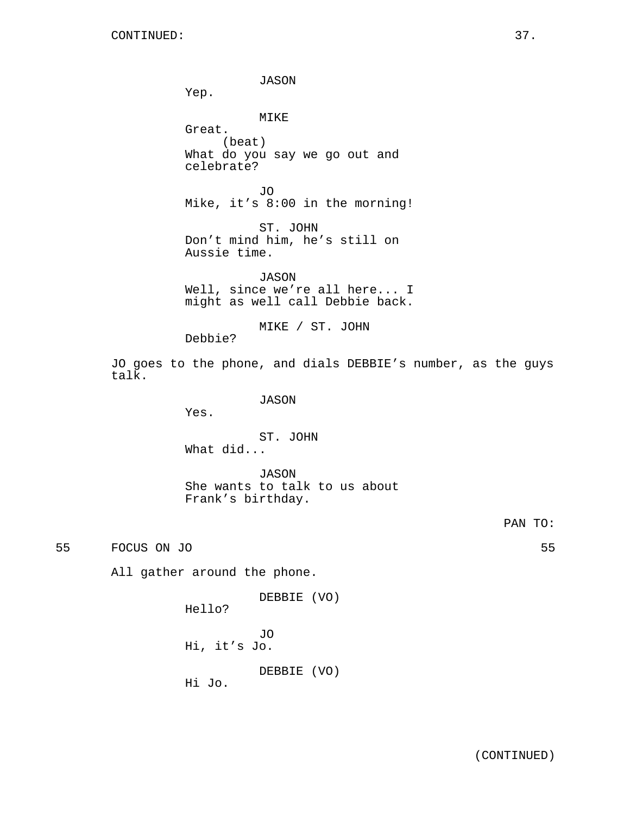JASON Yep. MIKE Great. (beat) What do you say we go out and celebrate? JO Mike, it's 8:00 in the morning! ST. JOHN Don't mind him, he's still on Aussie time. JASON Well, since we're all here... I might as well call Debbie back. MIKE / ST. JOHN Debbie? JO goes to the phone, and dials DEBBIE's number, as the guys JASON Yes. ST. JOHN What did...

> JASON She wants to talk to us about Frank's birthday.

> > PAN TO:

55 FOCUS ON JO 55

talk.

All gather around the phone.

DEBBIE (VO)

Hello?

JO Hi, it's Jo.

DEBBIE (VO)

Hi Jo.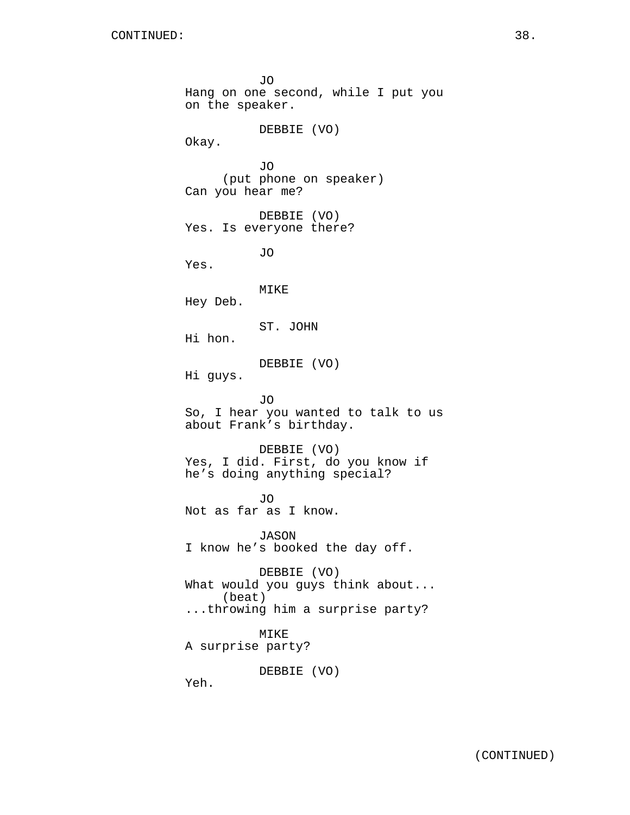JO Hang on one second, while I put you on the speaker. DEBBIE (VO) Okay. JO (put phone on speaker) Can you hear me? DEBBIE (VO) Yes. Is everyone there? JO Yes. MIKE Hey Deb. ST. JOHN Hi hon. DEBBIE (VO) Hi guys. JO So, I hear you wanted to talk to us about Frank's birthday. DEBBIE (VO) Yes, I did. First, do you know if he's doing anything special? JO Not as far as I know. JASON I know he's booked the day off. DEBBIE (VO) What would you guys think about... (beat) ...throwing him a surprise party? MIKE A surprise party? DEBBIE (VO)

Yeh.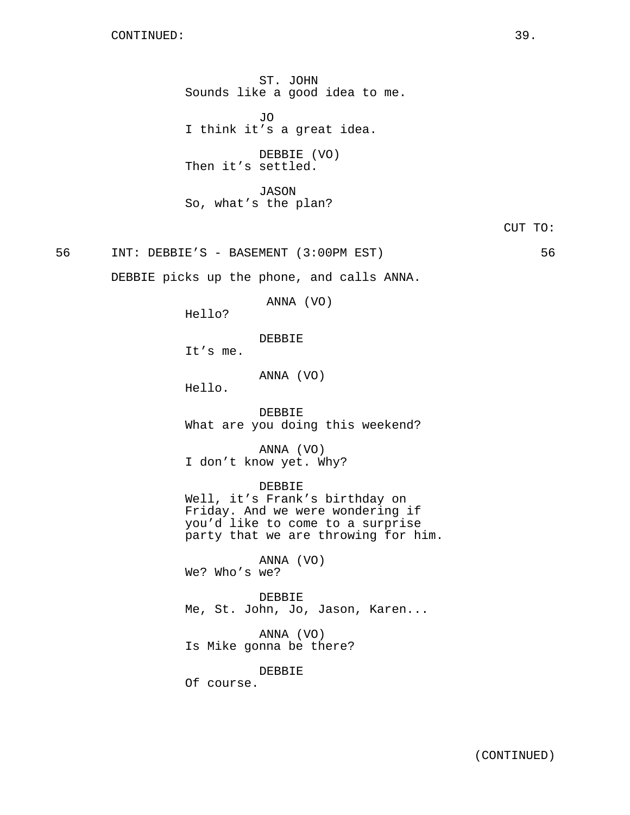ST. JOHN Sounds like a good idea to me.

JO I think it's a great idea.

DEBBIE (VO) Then it's settled.

JASON So, what's the plan?

CUT TO:

56 INT: DEBBIE'S - BASEMENT (3:00PM EST) 56

DEBBIE picks up the phone, and calls ANNA.

ANNA (VO)

Hello?

DEBBIE

It's me.

ANNA (VO)

Hello.

DEBBIE What are you doing this weekend?

ANNA (VO) I don't know yet. Why?

### DEBBIE

Well, it's Frank's birthday on Friday. And we were wondering if you'd like to come to a surprise party that we are throwing for him.

ANNA (VO) We? Who's we?

DEBBIE Me, St. John, Jo, Jason, Karen...

ANNA (VO) Is Mike gonna be there?

DEBBIE

Of course.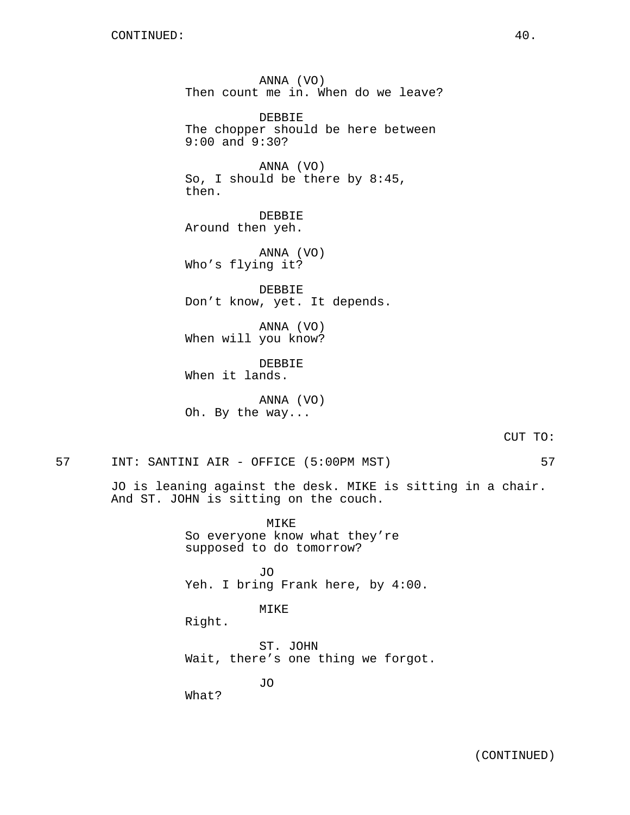ANNA (VO) Then count me in. When do we leave? DEBBIE The chopper should be here between 9:00 and 9:30? ANNA (VO) So, I should be there by 8:45, then. DEBBIE Around then yeh. ANNA (VO) Who's flying it? DEBBIE Don't know, yet. It depends. ANNA (VO) When will you know? DEBBIE When it lands. ANNA (VO)

Oh. By the way...

CUT TO:

57 INT: SANTINI AIR - OFFICE (5:00PM MST) 57

JO is leaning against the desk. MIKE is sitting in a chair. And ST. JOHN is sitting on the couch.

> MIKE So everyone know what they're supposed to do tomorrow?

JO Yeh. I bring Frank here, by 4:00.

MIKE

Right.

ST. JOHN Wait, there's one thing we forgot.

JO

What?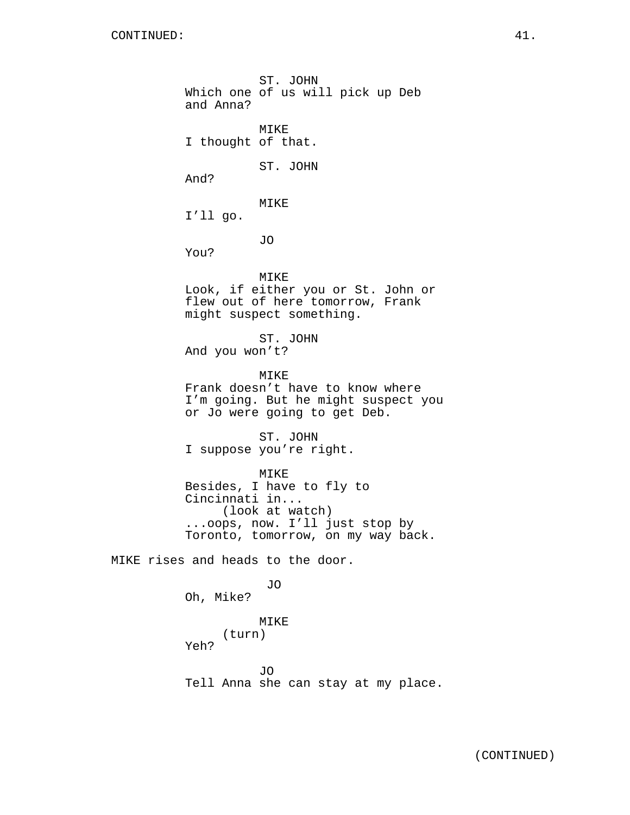ST. JOHN Which one of us will pick up Deb and Anna? MIKE I thought of that. ST. JOHN And? MIKE I'll go. JO You? MIKE Look, if either you or St. John or flew out of here tomorrow, Frank might suspect something. ST. JOHN And you won't? MIKE Frank doesn't have to know where I'm going. But he might suspect you or Jo were going to get Deb. ST. JOHN I suppose you're right. MIKE Besides, I have to fly to Cincinnati in... (look at watch) ...oops, now. I'll just stop by Toronto, tomorrow, on my way back. MIKE rises and heads to the door. JO Oh, Mike? MIKE (turn) Yeh? JO

Tell Anna she can stay at my place.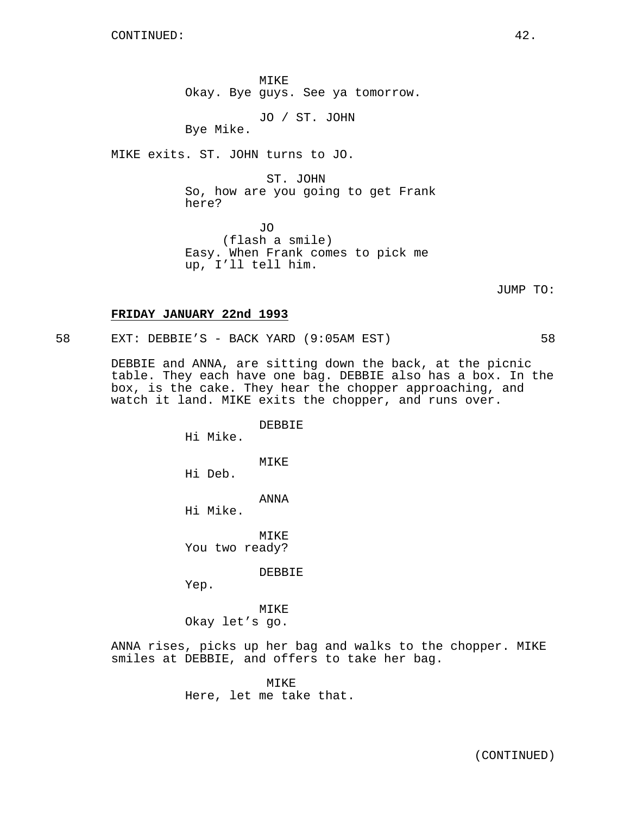MIKE Okay. Bye guys. See ya tomorrow.

JO / ST. JOHN

Bye Mike.

MIKE exits. ST. JOHN turns to JO.

ST. JOHN

So, how are you going to get Frank here?

JO (flash a smile) Easy. When Frank comes to pick me up, I'll tell him.

JUMP TO:

#### **FRIDAY JANUARY 22nd 1993**

58 EXT: DEBBIE'S - BACK YARD (9:05AM EST) 58

DEBBIE and ANNA, are sitting down the back, at the picnic table. They each have one bag. DEBBIE also has a box. In the box, is the cake. They hear the chopper approaching, and watch it land. MIKE exits the chopper, and runs over.

DEBBIE

Hi Mike.

MIKE

Hi Deb.

ANNA

Hi Mike.

**MTKE** You two ready?

DEBBIE

Yep.

MIKE Okay let's go.

ANNA rises, picks up her bag and walks to the chopper. MIKE smiles at DEBBIE, and offers to take her bag.

> MIKE Here, let me take that.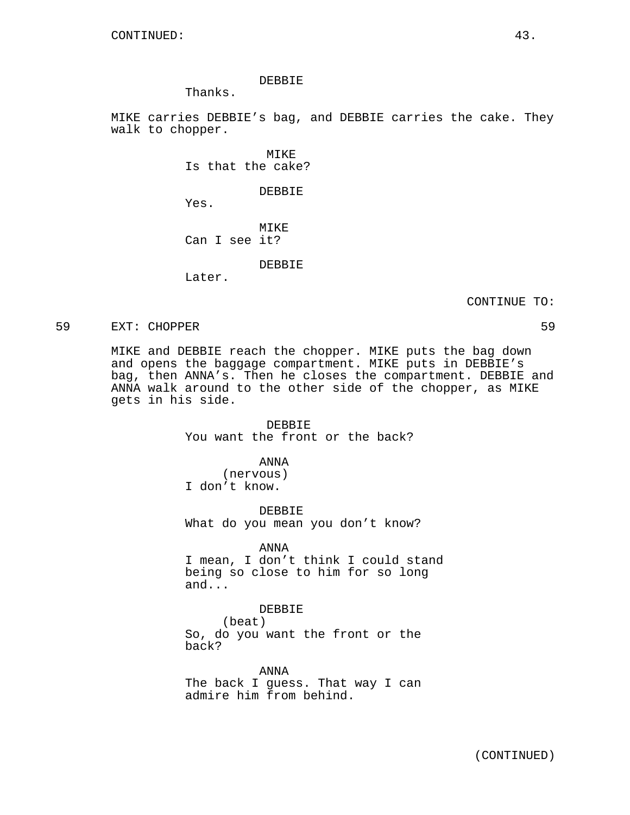#### DEBBIE

Thanks.

MIKE carries DEBBIE's bag, and DEBBIE carries the cake. They walk to chopper.

> MIKE Is that the cake?

> > DEBBIE

Yes.

### MIKE Can I see it?

DEBBIE

Later.

CONTINUE TO:

59 EXT: CHOPPER 59

MIKE and DEBBIE reach the chopper. MIKE puts the bag down and opens the baggage compartment. MIKE puts in DEBBIE's bag, then ANNA's. Then he closes the compartment. DEBBIE and ANNA walk around to the other side of the chopper, as MIKE gets in his side.

> DEBBIE You want the front or the back?

### ANNA

(nervous) I don't know.

DEBBIE What do you mean you don't know?

#### ANNA

I mean, I don't think I could stand being so close to him for so long and...

DEBBIE

(beat)

So, do you want the front or the back?

ANNA The back I guess. That way I can admire him from behind.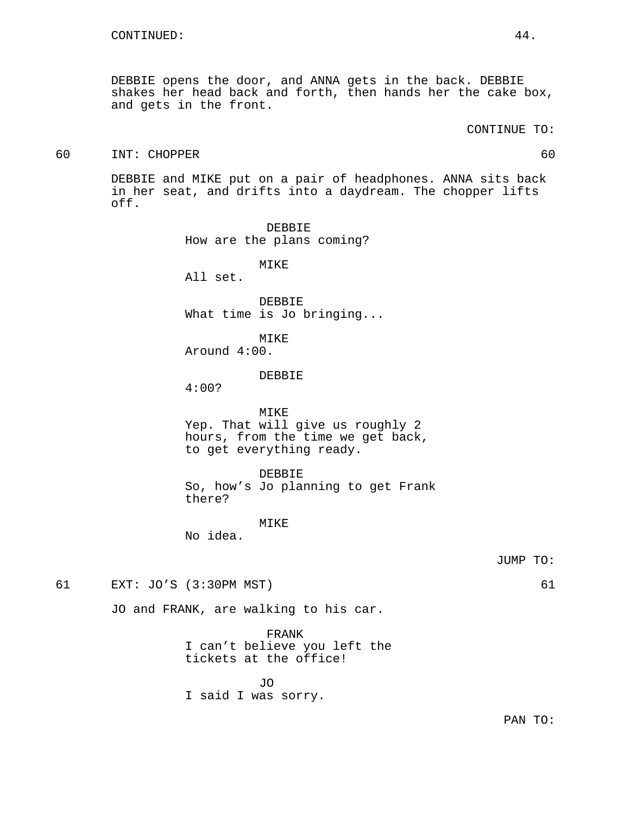DEBBIE opens the door, and ANNA gets in the back. DEBBIE shakes her head back and forth, then hands her the cake box, and gets in the front.

### 60 INT: CHOPPER 60

DEBBIE and MIKE put on a pair of headphones. ANNA sits back in her seat, and drifts into a daydream. The chopper lifts off.

> DEBBIE How are the plans coming?

> > MIKE

All set.

DEBBIE What time is Jo bringing...

MIKE Around 4:00.

### DEBBIE

4:00?

### MIKE

Yep. That will give us roughly 2 hours, from the time we get back, to get everything ready.

#### DEBBIE

So, how's Jo planning to get Frank there?

#### MIKE

No idea.

JUMP TO:

61 EXT: JO'S (3:30PM MST) 61

JO and FRANK, are walking to his car.

FRANK I can't believe you left the tickets at the office!

JO I said I was sorry.

PAN TO: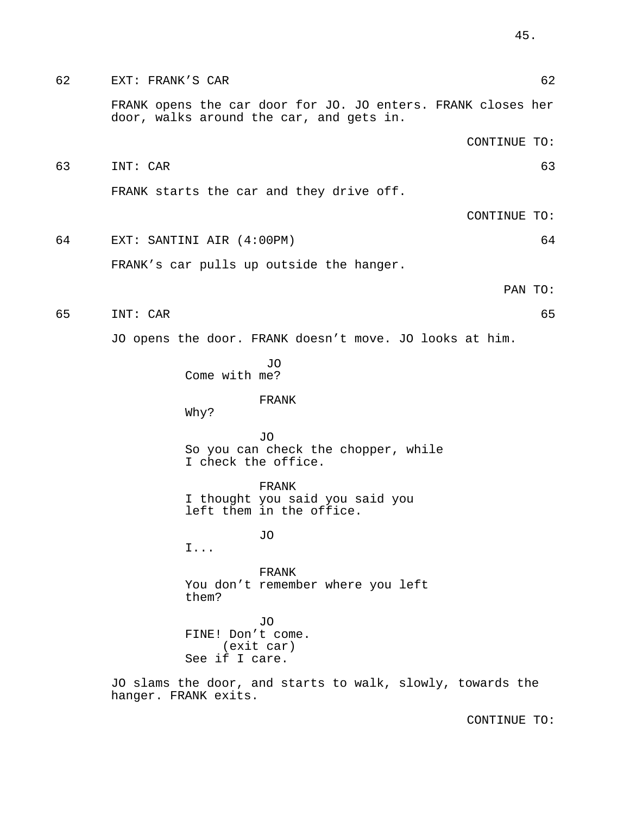62 EXT: FRANK'S CAR 62 FRANK opens the car door for JO. JO enters. FRANK closes her door, walks around the car, and gets in. CONTINUE TO: 63 INT: CAR 63 FRANK starts the car and they drive off. CONTINUE TO: 64 EXT: SANTINI AIR (4:00PM) 64 FRANK's car pulls up outside the hanger. PAN TO: 65 INT: CAR 65 JO opens the door. FRANK doesn't move. JO looks at him. JO Come with me? FRANK Why? JO So you can check the chopper, while I check the office. FRANK I thought you said you said you left them in the office. JO I... FRANK You don't remember where you left them? JO FINE! Don't come. (exit car) See if I care. JO slams the door, and starts to walk, slowly, towards the hanger. FRANK exits.

CONTINUE TO:

45.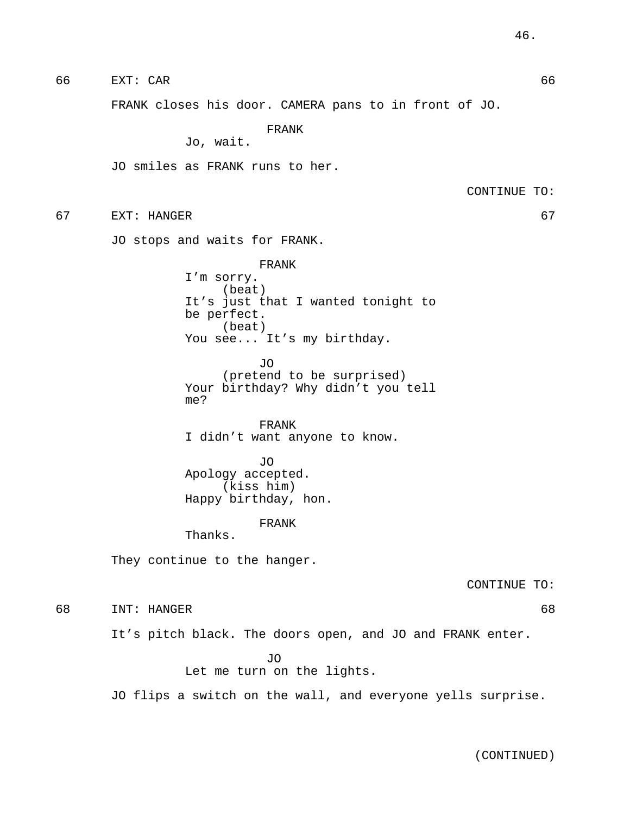66 EXT: CAR 66

FRANK closes his door. CAMERA pans to in front of JO.

FRANK

Jo, wait.

JO smiles as FRANK runs to her.

CONTINUE TO:

67 EXT: HANGER 67

JO stops and waits for FRANK.

FRANK I'm sorry. (beat) It's just that I wanted tonight to be perfect. (beat) You see... It's my birthday.

JO (pretend to be surprised) Your birthday? Why didn't you tell me?

FRANK I didn't want anyone to know.

JO Apology accepted. (kiss him) Happy birthday, hon.

#### FRANK

Thanks.

They continue to the hanger.

CONTINUE TO:

68 INT: HANGER 68

It's pitch black. The doors open, and JO and FRANK enter.

JO

Let me turn on the lights.

JO flips a switch on the wall, and everyone yells surprise.

(CONTINUED)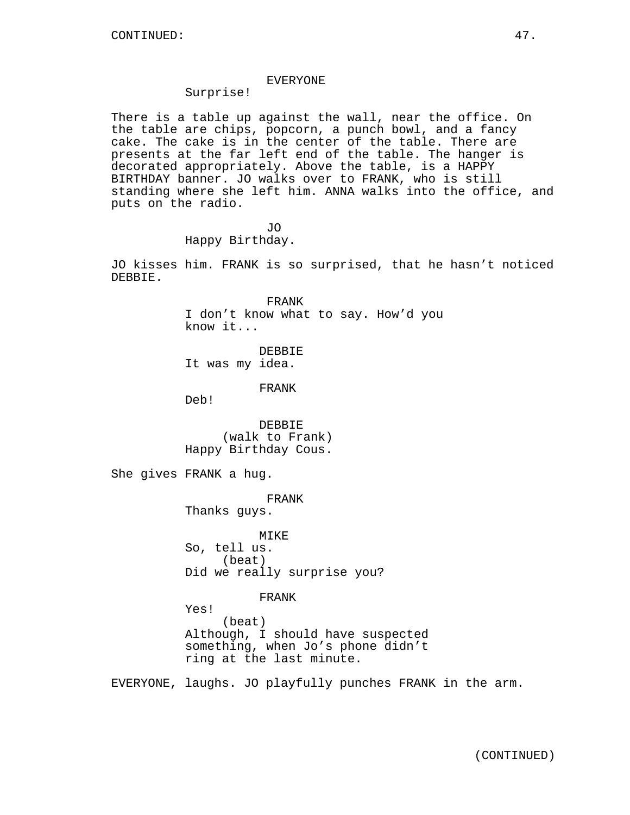### EVERYONE

# Surprise!

There is a table up against the wall, near the office. On the table are chips, popcorn, a punch bowl, and a fancy cake. The cake is in the center of the table. There are presents at the far left end of the table. The hanger is decorated appropriately. Above the table, is a HAPPY BIRTHDAY banner. JO walks over to FRANK, who is still standing where she left him. ANNA walks into the office, and puts on the radio.

> JO Happy Birthday.

JO kisses him. FRANK is so surprised, that he hasn't noticed DEBBIE.

> FRANK I don't know what to say. How'd you know it...

DEBBIE It was my idea.

FRANK

Deb!

DEBBIE (walk to Frank) Happy Birthday Cous.

She gives FRANK a hug.

FRANK

Thanks guys.

MIKE So, tell us. (beat) Did we really surprise you?

FRANK

Yes! (beat) Although, I should have suspected something, when Jo's phone didn't ring at the last minute.

EVERYONE, laughs. JO playfully punches FRANK in the arm.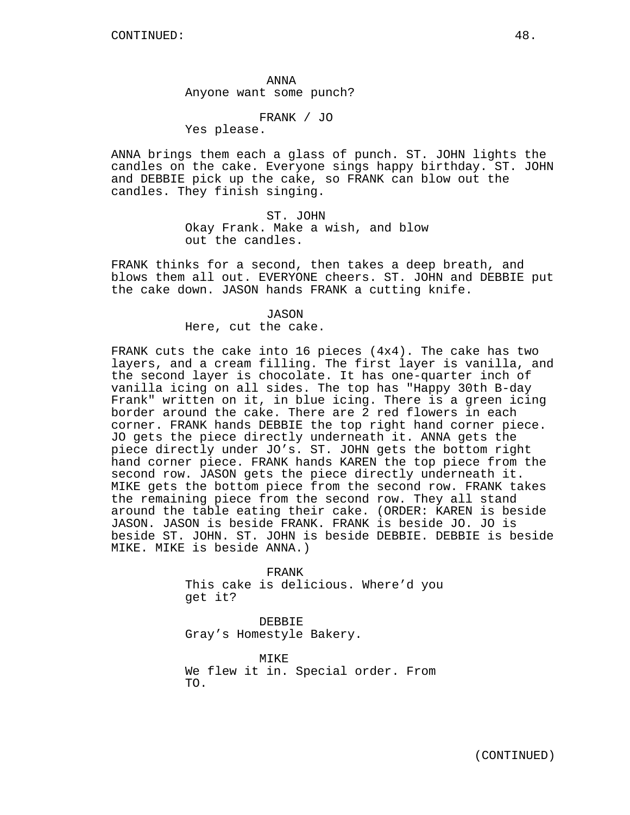ANNA Anyone want some punch?

FRANK / JO

Yes please.

ANNA brings them each a glass of punch. ST. JOHN lights the candles on the cake. Everyone sings happy birthday. ST. JOHN and DEBBIE pick up the cake, so FRANK can blow out the candles. They finish singing.

> ST. JOHN Okay Frank. Make a wish, and blow out the candles.

FRANK thinks for a second, then takes a deep breath, and blows them all out. EVERYONE cheers. ST. JOHN and DEBBIE put the cake down. JASON hands FRANK a cutting knife.

### JASON

Here, cut the cake.

FRANK cuts the cake into 16 pieces (4x4). The cake has two layers, and a cream filling. The first layer is vanilla, and the second layer is chocolate. It has one-quarter inch of vanilla icing on all sides. The top has "Happy 30th B-day Frank" written on it, in blue icing. There is a green icing border around the cake. There are 2 red flowers in each corner. FRANK hands DEBBIE the top right hand corner piece. JO gets the piece directly underneath it. ANNA gets the piece directly under JO's. ST. JOHN gets the bottom right hand corner piece. FRANK hands KAREN the top piece from the second row. JASON gets the piece directly underneath it. MIKE gets the bottom piece from the second row. FRANK takes the remaining piece from the second row. They all stand around the table eating their cake. (ORDER: KAREN is beside JASON. JASON is beside FRANK. FRANK is beside JO. JO is beside ST. JOHN. ST. JOHN is beside DEBBIE. DEBBIE is beside MIKE. MIKE is beside ANNA.)

> FRANK This cake is delicious. Where'd you get it?

DEBBIE Gray's Homestyle Bakery.

MIKE We flew it in. Special order. From TO.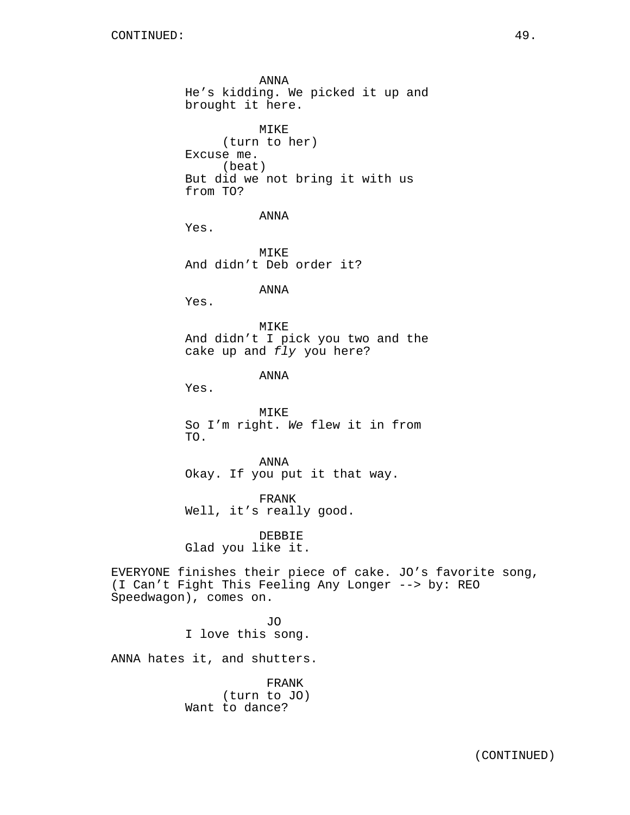ANNA He's kidding. We picked it up and brought it here. MIKE (turn to her) Excuse me. (beat) But did we not bring it with us from TO? ANNA Yes. MIKE And didn't Deb order it? ANNA Yes. MIKE And didn't I pick you two and the cake up and fly you here? ANNA Yes. MIKE So I'm right. We flew it in from TO. ANNA Okay. If you put it that way. FRANK Well, it's really good. DEBBIE Glad you like it. EVERYONE finishes their piece of cake. JO's favorite song, (I Can't Fight This Feeling Any Longer --> by: REO Speedwagon), comes on. JO I love this song. ANNA hates it, and shutters. FRANK (turn to JO) Want to dance?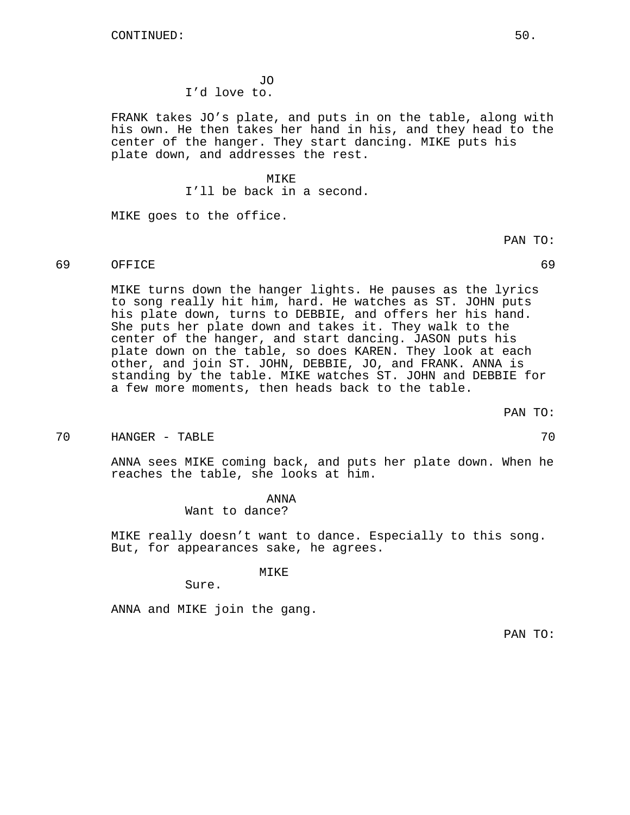JO I'd love to.

FRANK takes JO's plate, and puts in on the table, along with his own. He then takes her hand in his, and they head to the center of the hanger. They start dancing. MIKE puts his plate down, and addresses the rest.

MIKE

I'll be back in a second.

MIKE goes to the office.

PAN TO:

# 69 OFFICE 69

MIKE turns down the hanger lights. He pauses as the lyrics to song really hit him, hard. He watches as ST. JOHN puts his plate down, turns to DEBBIE, and offers her his hand. She puts her plate down and takes it. They walk to the center of the hanger, and start dancing. JASON puts his plate down on the table, so does KAREN. They look at each other, and join ST. JOHN, DEBBIE, JO, and FRANK. ANNA is standing by the table. MIKE watches ST. JOHN and DEBBIE for a few more moments, then heads back to the table.

PAN TO:

#### 70 HANGER - TABLE 70

ANNA sees MIKE coming back, and puts her plate down. When he reaches the table, she looks at him.

> ANNA Want to dance?

MIKE really doesn't want to dance. Especially to this song. But, for appearances sake, he agrees.

#### MIKE

Sure.

ANNA and MIKE join the gang.

PAN TO: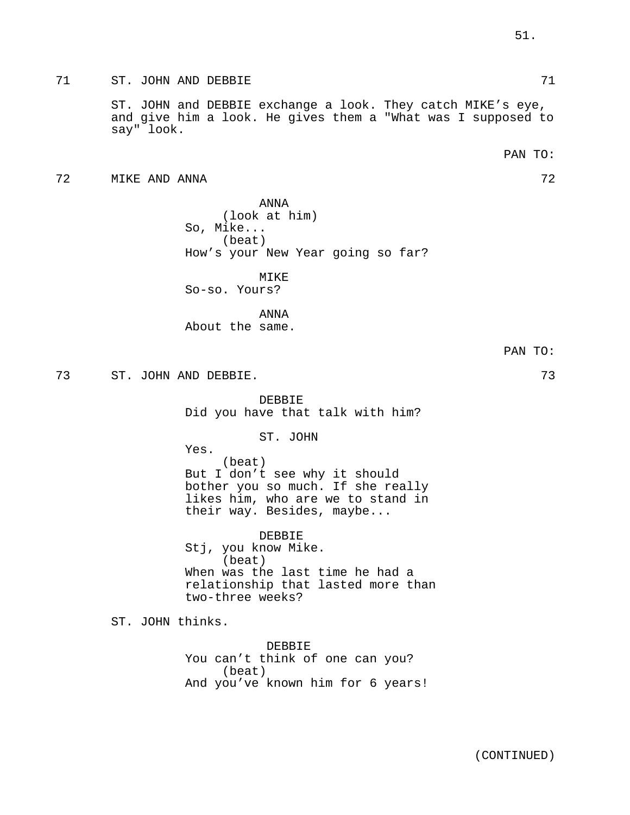71 ST. JOHN AND DEBBIE 71

ST. JOHN and DEBBIE exchange a look. They catch MIKE's eye, and give him a look. He gives them a "What was I supposed to say" look.

51.

72 MIKE AND ANNA 72

ANNA (look at him) So, Mike... (beat) How's your New Year going so far?

MIKE So-so. Yours?

ANNA About the same.

73 ST. JOHN AND DEBBIE. 73

DEBBIE Did you have that talk with him?

ST. JOHN

Yes. (beat) But I don't see why it should bother you so much. If she really likes him, who are we to stand in their way. Besides, maybe...

DEBBIE Stj, you know Mike. (beat) When was the last time he had a relationship that lasted more than two-three weeks?

ST. JOHN thinks.

DEBBIE You can't think of one can you? (beat) And you've known him for 6 years!

PAN TO: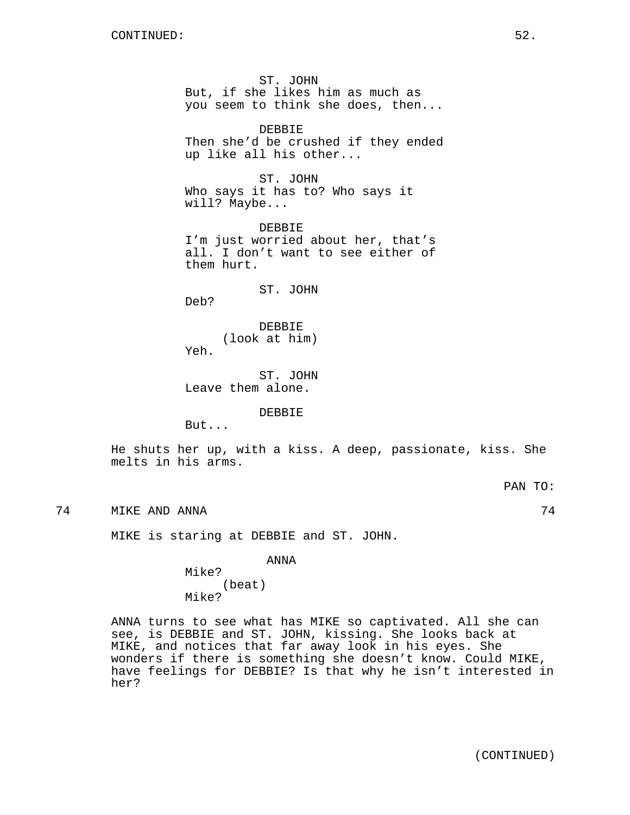ST. JOHN But, if she likes him as much as you seem to think she does, then...

DEBBIE Then she'd be crushed if they ended up like all his other...

ST. JOHN Who says it has to? Who says it will? Maybe...

DEBBIE I'm just worried about her, that's all. I don't want to see either of them hurt.

ST. JOHN

Deb?

DEBBIE (look at him) Yeh.

ST. JOHN Leave them alone.

DEBBIE

But...

He shuts her up, with a kiss. A deep, passionate, kiss. She melts in his arms.

PAN TO:

74 MIKE AND ANNA 74

MIKE is staring at DEBBIE and ST. JOHN.

ANNA

Mike? (beat) Mike?

ANNA turns to see what has MIKE so captivated. All she can see, is DEBBIE and ST. JOHN, kissing. She looks back at MIKE, and notices that far away look in his eyes. She wonders if there is something she doesn't know. Could MIKE, have feelings for DEBBIE? Is that why he isn't interested in her?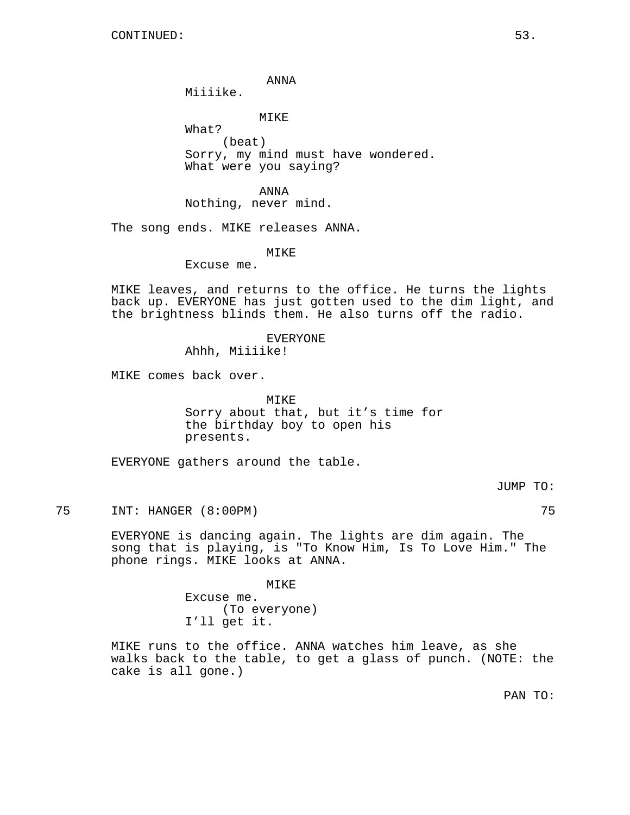ANNA

Miiiike.

MIKE

What? (beat) Sorry, my mind must have wondered. What were you saying?

ANNA Nothing, never mind.

The song ends. MIKE releases ANNA.

MIKE

Excuse me.

MIKE leaves, and returns to the office. He turns the lights back up. EVERYONE has just gotten used to the dim light, and the brightness blinds them. He also turns off the radio.

> EVERYONE Ahhh, Miiiike!

MIKE comes back over.

MIKE Sorry about that, but it's time for the birthday boy to open his presents.

EVERYONE gathers around the table.

JUMP TO:

75 INT: HANGER (8:00PM) 75

EVERYONE is dancing again. The lights are dim again. The song that is playing, is "To Know Him, Is To Love Him." The phone rings. MIKE looks at ANNA.

MIKE

Excuse me. (To everyone) I'll get it.

MIKE runs to the office. ANNA watches him leave, as she walks back to the table, to get a glass of punch. (NOTE: the cake is all gone.)

PAN TO: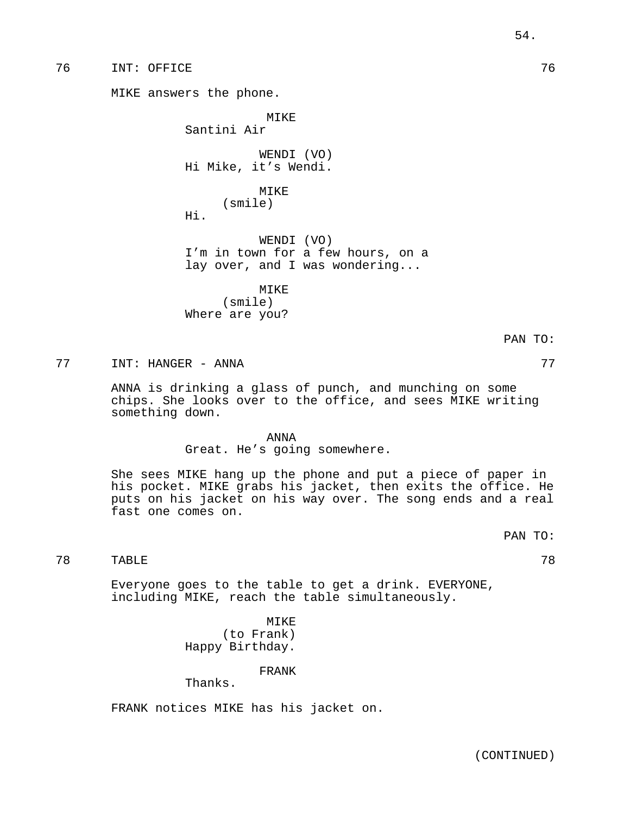76 INT: OFFICE 76

MIKE answers the phone.

MIKE Santini Air WENDI (VO) Hi Mike, it's Wendi. MIKE

(smile) Hi.

WENDI (VO) I'm in town for a few hours, on a lay over, and I was wondering...

MIKE (smile) Where are you?

77 INT: HANGER - ANNA 77

ANNA is drinking a glass of punch, and munching on some chips. She looks over to the office, and sees MIKE writing something down.

ANNA

Great. He's going somewhere.

She sees MIKE hang up the phone and put a piece of paper in his pocket. MIKE grabs his jacket, then exits the office. He puts on his jacket on his way over. The song ends and a real fast one comes on.

PAN TO:

PAN TO:

```
TABLE 78
```
Everyone goes to the table to get a drink. EVERYONE, including MIKE, reach the table simultaneously.

> MIKE (to Frank) Happy Birthday.

> > FRANK

Thanks.

FRANK notices MIKE has his jacket on.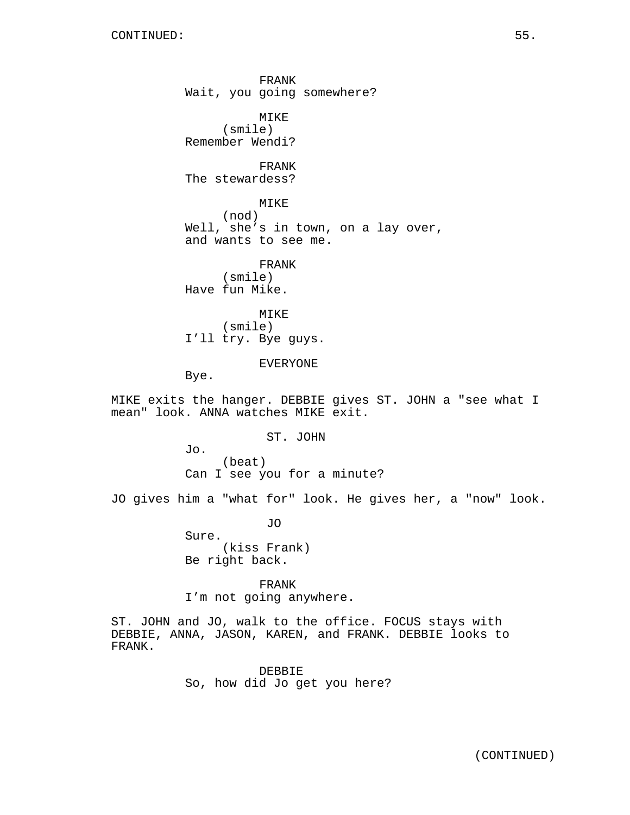FRANK Wait, you going somewhere? MIKE (smile) Remember Wendi? FRANK The stewardess? MIKE (nod) Well, she's in town, on a lay over, and wants to see me. FRANK (smile) Have fun Mike. MIKE (smile) I'll try. Bye guys. EVERYONE Bye.

MIKE exits the hanger. DEBBIE gives ST. JOHN a "see what I mean" look. ANNA watches MIKE exit.

ST. JOHN

Jo. (beat) Can I see you for a minute?

JO gives him a "what for" look. He gives her, a "now" look.

JO Sure. (kiss Frank) Be right back.

FRANK I'm not going anywhere.

ST. JOHN and JO, walk to the office. FOCUS stays with DEBBIE, ANNA, JASON, KAREN, and FRANK. DEBBIE looks to FRANK.

> DEBBIE So, how did Jo get you here?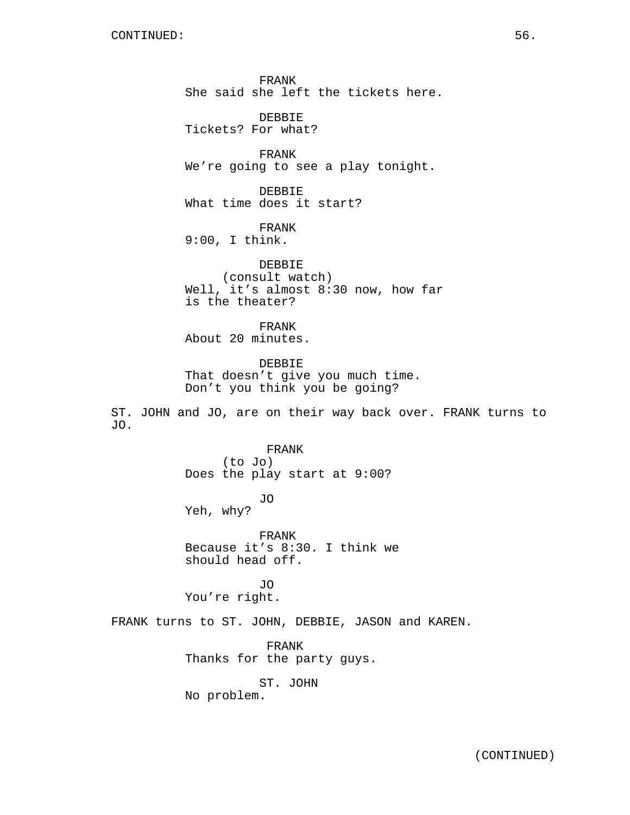FRANK She said she left the tickets here.

DEBBIE Tickets? For what?

FRANK We're going to see a play tonight.

DEBBIE What time does it start?

FRANK 9:00, I think.

DEBBIE (consult watch) Well, it's almost 8:30 now, how far is the theater?

FRANK About 20 minutes.

DEBBIE That doesn't give you much time. Don't you think you be going?

ST. JOHN and JO, are on their way back over. FRANK turns to JO.

> FRANK (to Jo) Does the play start at 9:00?

JO Yeh, why?

FRANK Because it's 8:30. I think we should head off.

JO You're right.

FRANK turns to ST. JOHN, DEBBIE, JASON and KAREN.

FRANK Thanks for the party guys.

ST. JOHN No problem.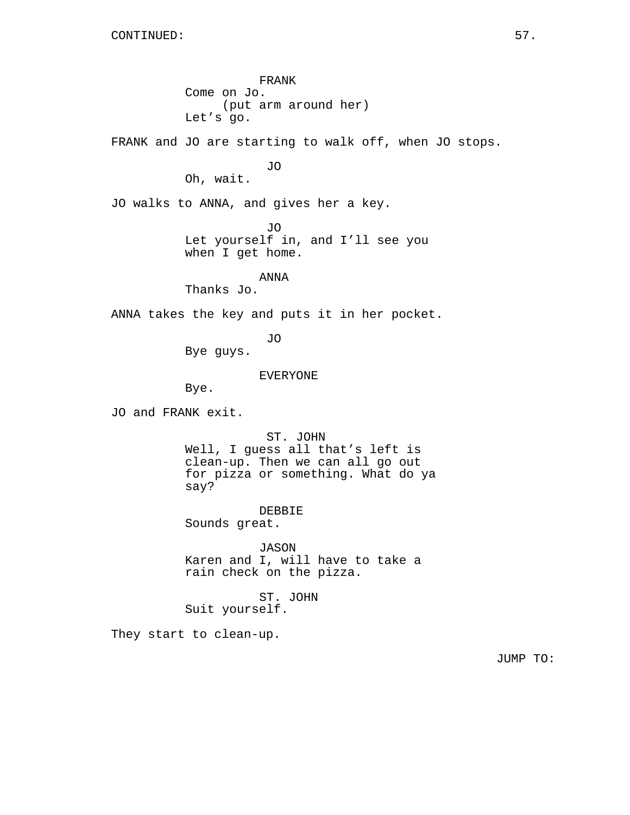FRANK Come on Jo. (put arm around her) Let's go. FRANK and JO are starting to walk off, when JO stops. JO Oh, wait. JO walks to ANNA, and gives her a key. JO Let yourself in, and I'll see you when I get home. ANNA Thanks Jo. ANNA takes the key and puts it in her pocket. JO Bye guys. EVERYONE Bye. JO and FRANK exit. ST. JOHN Well, I guess all that's left is clean-up. Then we can all go out for pizza or something. What do ya say? DEBBIE Sounds great. JASON Karen and I, will have to take a rain check on the pizza. ST. JOHN Suit yourself. They start to clean-up. JUMP TO: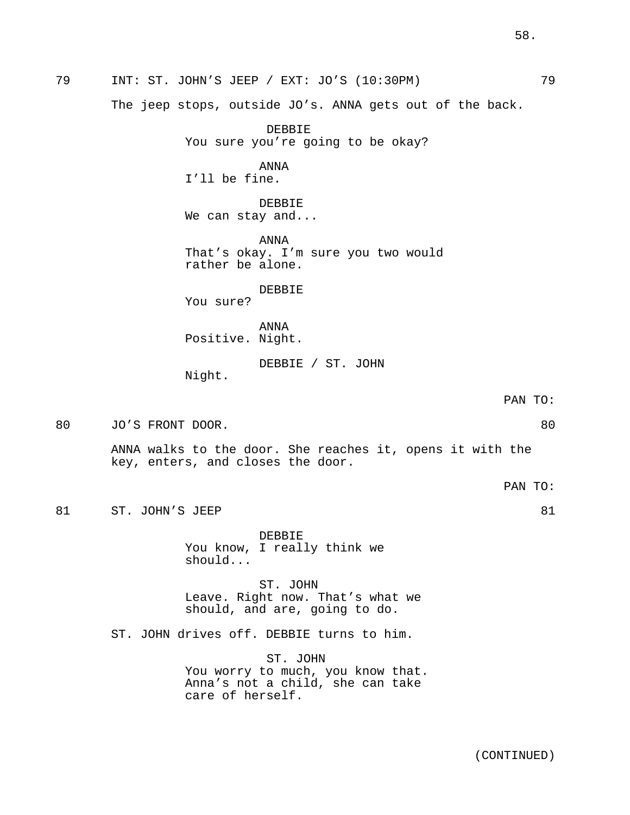I'll be fine.

DEBBIE We can stay and...

ANNA That's okay. I'm sure you two would rather be alone.

DEBBIE

You sure?

ANNA Positive. Night.

DEBBIE / ST. JOHN

Night.

PAN TO:

PAN TO:

80 JO'S FRONT DOOR. 80

ANNA walks to the door. She reaches it, opens it with the key, enters, and closes the door.

81 ST. JOHN'S JEEP 81

DEBBIE You know, I really think we should...

ST. JOHN Leave. Right now. That's what we should, and are, going to do.

ST. JOHN drives off. DEBBIE turns to him.

ST. JOHN You worry to much, you know that. Anna's not a child, she can take care of herself.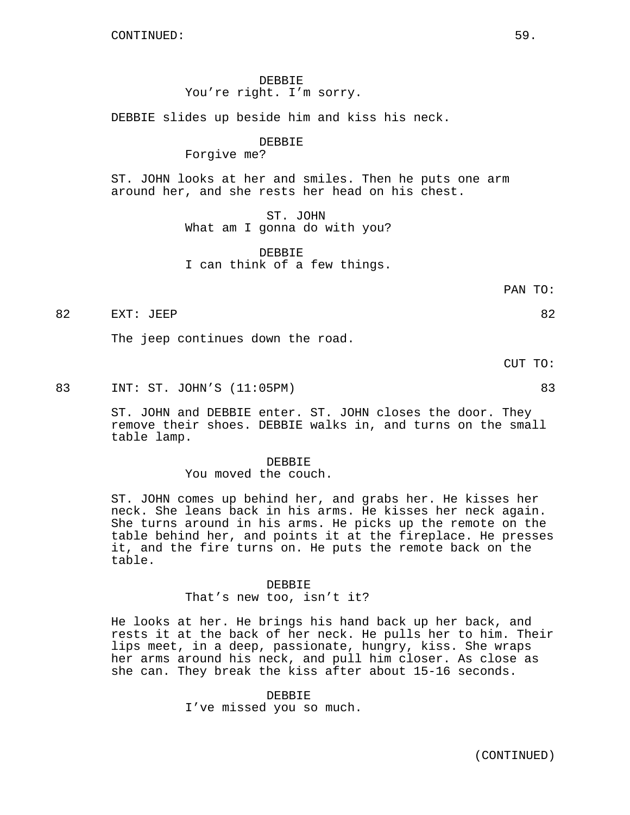DEBBIE You're right. I'm sorry.

DEBBIE slides up beside him and kiss his neck.

## DEBBIE

Forgive me?

ST. JOHN looks at her and smiles. Then he puts one arm around her, and she rests her head on his chest.

> ST. JOHN What am I gonna do with you?

> DEBBIE I can think of a few things.

> > PAN TO:

82 EXT: JEEP 82

The jeep continues down the road.

CUT TO:

83 INT: ST. JOHN'S (11:05PM) 83

ST. JOHN and DEBBIE enter. ST. JOHN closes the door. They remove their shoes. DEBBIE walks in, and turns on the small table lamp.

## DEBBIE You moved the couch.

ST. JOHN comes up behind her, and grabs her. He kisses her neck. She leans back in his arms. He kisses her neck again. She turns around in his arms. He picks up the remote on the table behind her, and points it at the fireplace. He presses it, and the fire turns on. He puts the remote back on the table.

#### DEBBIE

#### That's new too, isn't it?

He looks at her. He brings his hand back up her back, and rests it at the back of her neck. He pulls her to him. Their lips meet, in a deep, passionate, hungry, kiss. She wraps her arms around his neck, and pull him closer. As close as she can. They break the kiss after about 15-16 seconds.

## DEBBIE

I've missed you so much.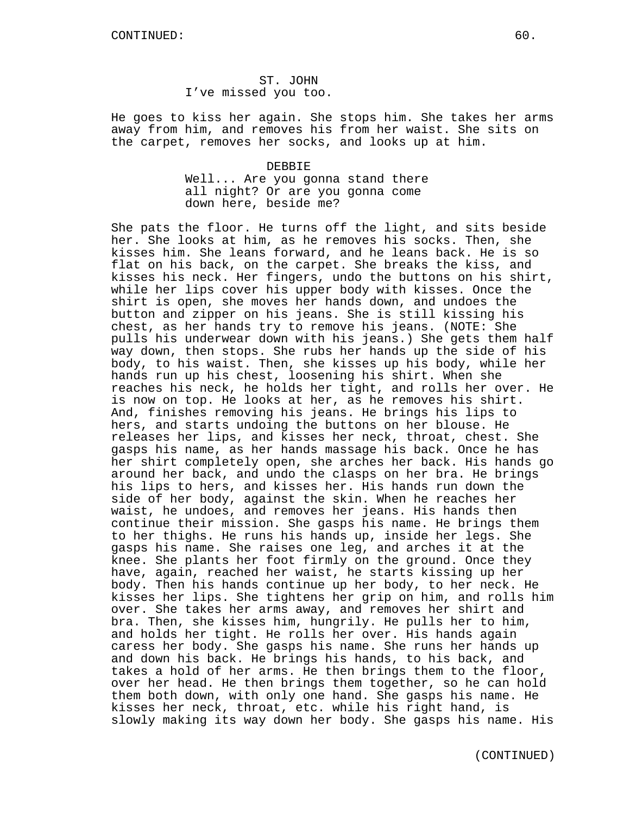ST. JOHN I've missed you too.

He goes to kiss her again. She stops him. She takes her arms away from him, and removes his from her waist. She sits on the carpet, removes her socks, and looks up at him.

> DEBBIE Well... Are you gonna stand there all night? Or are you gonna come down here, beside me?

She pats the floor. He turns off the light, and sits beside her. She looks at him, as he removes his socks. Then, she kisses him. She leans forward, and he leans back. He is so flat on his back, on the carpet. She breaks the kiss, and kisses his neck. Her fingers, undo the buttons on his shirt, while her lips cover his upper body with kisses. Once the shirt is open, she moves her hands down, and undoes the button and zipper on his jeans. She is still kissing his chest, as her hands try to remove his jeans. (NOTE: She pulls his underwear down with his jeans.) She gets them half way down, then stops. She rubs her hands up the side of his body, to his waist. Then, she kisses up his body, while her hands run up his chest, loosening his shirt. When she reaches his neck, he holds her tight, and rolls her over. He is now on top. He looks at her, as he removes his shirt. And, finishes removing his jeans. He brings his lips to hers, and starts undoing the buttons on her blouse. He releases her lips, and kisses her neck, throat, chest. She gasps his name, as her hands massage his back. Once he has her shirt completely open, she arches her back. His hands go around her back, and undo the clasps on her bra. He brings his lips to hers, and kisses her. His hands run down the side of her body, against the skin. When he reaches her waist, he undoes, and removes her jeans. His hands then continue their mission. She gasps his name. He brings them to her thighs. He runs his hands up, inside her legs. She gasps his name. She raises one leg, and arches it at the knee. She plants her foot firmly on the ground. Once they have, again, reached her waist, he starts kissing up her body. Then his hands continue up her body, to her neck. He kisses her lips. She tightens her grip on him, and rolls him over. She takes her arms away, and removes her shirt and bra. Then, she kisses him, hungrily. He pulls her to him, and holds her tight. He rolls her over. His hands again caress her body. She gasps his name. She runs her hands up and down his back. He brings his hands, to his back, and takes a hold of her arms. He then brings them to the floor, over her head. He then brings them together, so he can hold them both down, with only one hand. She gasps his name. He kisses her neck, throat, etc. while his right hand, is slowly making its way down her body. She gasps his name. His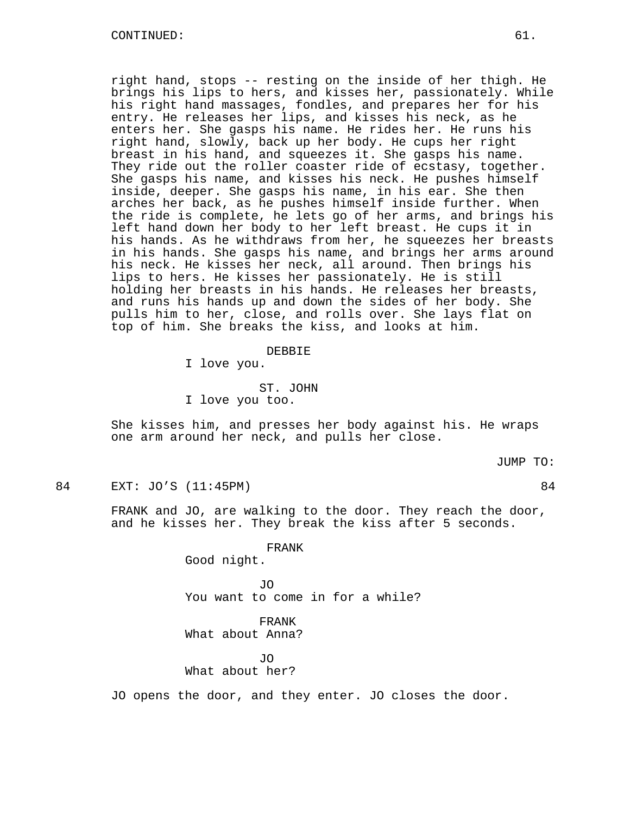right hand, stops -- resting on the inside of her thigh. He brings his lips to hers, and kisses her, passionately. While his right hand massages, fondles, and prepares her for his entry. He releases her lips, and kisses his neck, as he enters her. She gasps his name. He rides her. He runs his right hand, slowly, back up her body. He cups her right breast in his hand, and squeezes it. She gasps his name. They ride out the roller coaster ride of ecstasy, together. She gasps his name, and kisses his neck. He pushes himself inside, deeper. She gasps his name, in his ear. She then arches her back, as he pushes himself inside further. When the ride is complete, he lets go of her arms, and brings his left hand down her body to her left breast. He cups it in his hands. As he withdraws from her, he squeezes her breasts in his hands. She gasps his name, and brings her arms around his neck. He kisses her neck, all around. Then brings his lips to hers. He kisses her passionately. He is still holding her breasts in his hands. He releases her breasts, and runs his hands up and down the sides of her body. She pulls him to her, close, and rolls over. She lays flat on top of him. She breaks the kiss, and looks at him.

### DEBBIE

I love you.

ST. JOHN

I love you too.

She kisses him, and presses her body against his. He wraps one arm around her neck, and pulls her close.

JUMP TO:

84 EXT: JO'S (11:45PM) 84

FRANK and JO, are walking to the door. They reach the door, and he kisses her. They break the kiss after 5 seconds.

FRANK

Good night.

JO You want to come in for a while?

FRANK What about Anna?

JO What about her?

JO opens the door, and they enter. JO closes the door.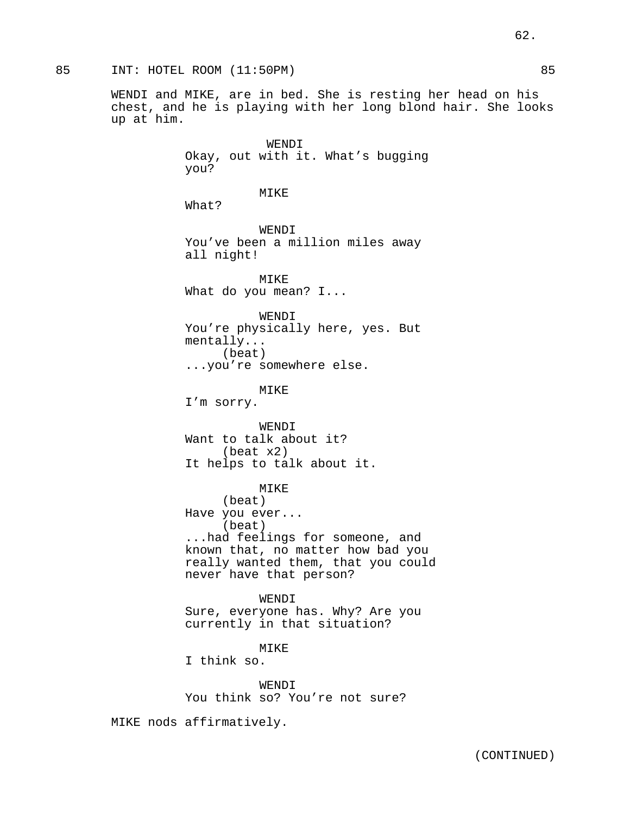WENDI and MIKE, are in bed. She is resting her head on his chest, and he is playing with her long blond hair. She looks up at him.

> WENDI Okay, out with it. What's bugging you? MIKE What? WENDI You've been a million miles away all night! MIKE What do you mean? I... WENDI You're physically here, yes. But mentally... (beat) ...you're somewhere else. MIKE I'm sorry. WENDT Want to talk about it? (beat x2) It helps to talk about it. MIKE (beat) Have you ever... (beat) ...had feelings for someone, and known that, no matter how bad you really wanted them, that you could never have that person?

WENDI Sure, everyone has. Why? Are you currently in that situation?

MIKE I think so.

WENDI You think so? You're not sure?

MIKE nods affirmatively.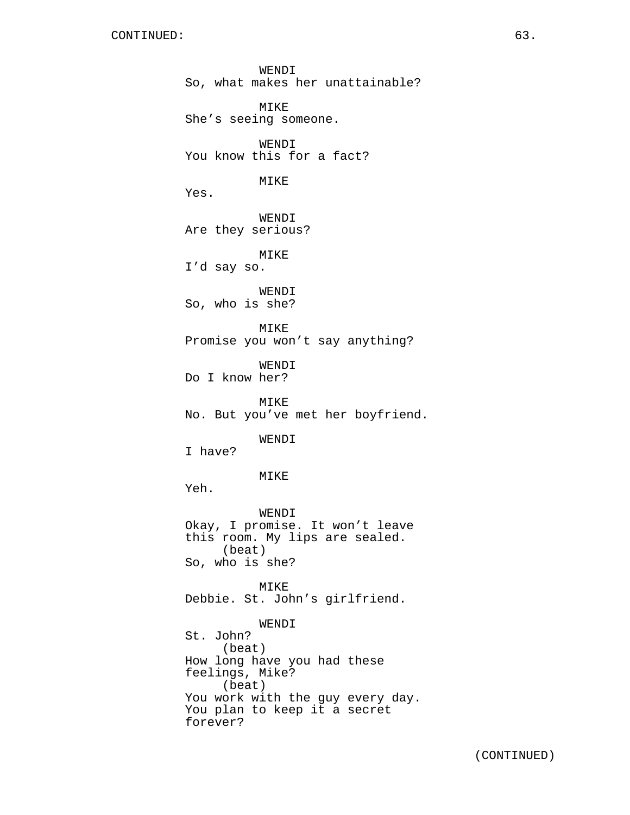WENDI So, what makes her unattainable? MIKE She's seeing someone. WENDI You know this for a fact? MIKE Yes. WENDI Are they serious? MIKE I'd say so. WENDI So, who is she? MIKE Promise you won't say anything? WENDI Do I know her? MIKE No. But you've met her boyfriend. WENDI I have? MIKE Yeh. WENDI Okay, I promise. It won't leave this room. My lips are sealed. (beat) So, who is she? MIKE Debbie. St. John's girlfriend. WENDI St. John? (beat) How long have you had these feelings, Mike? (beat) You work with the guy every day. You plan to keep it a secret forever?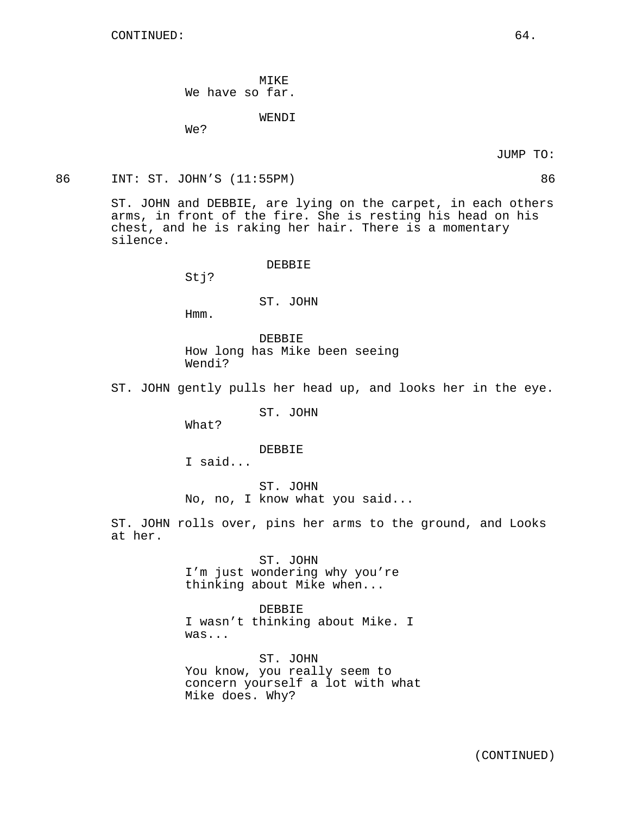MIKE We have so far.

WENDI

We?

86 INT: ST. JOHN'S (11:55PM) 86

ST. JOHN and DEBBIE, are lying on the carpet, in each others arms, in front of the fire. She is resting his head on his chest, and he is raking her hair. There is a momentary silence.

DEBBIE

Stj?

ST. JOHN

Hmm.

DEBBIE How long has Mike been seeing Wendi?

ST. JOHN gently pulls her head up, and looks her in the eye.

ST. JOHN

What?

### DEBBIE

I said...

ST. JOHN No, no, I know what you said...

ST. JOHN rolls over, pins her arms to the ground, and Looks at her.

> ST. JOHN I'm just wondering why you're thinking about Mike when...

DEBBIE I wasn't thinking about Mike. I was...

ST. JOHN You know, you really seem to concern yourself a lot with what Mike does. Why?

JUMP TO:

(CONTINUED)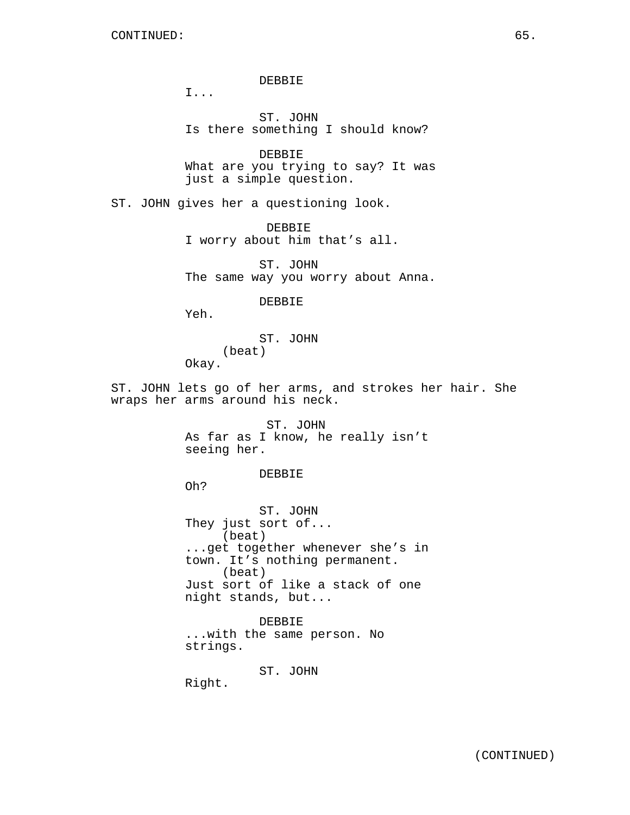DEBBIE

I...

ST. JOHN Is there something I should know?

DEBBIE What are you trying to say? It was just a simple question.

ST. JOHN gives her a questioning look.

DEBBIE I worry about him that's all.

ST. JOHN The same way you worry about Anna.

DEBBIE

Yeh.

ST. JOHN (beat) Okay.

ST. JOHN lets go of her arms, and strokes her hair. She wraps her arms around his neck.

> ST. JOHN As far as I know, he really isn't seeing her.

> > DEBBIE

Oh?

ST. JOHN They just sort of... (beat) ...get together whenever she's in town. It's nothing permanent. (beat) Just sort of like a stack of one night stands, but...

DEBBIE ...with the same person. No strings.

ST. JOHN

Right.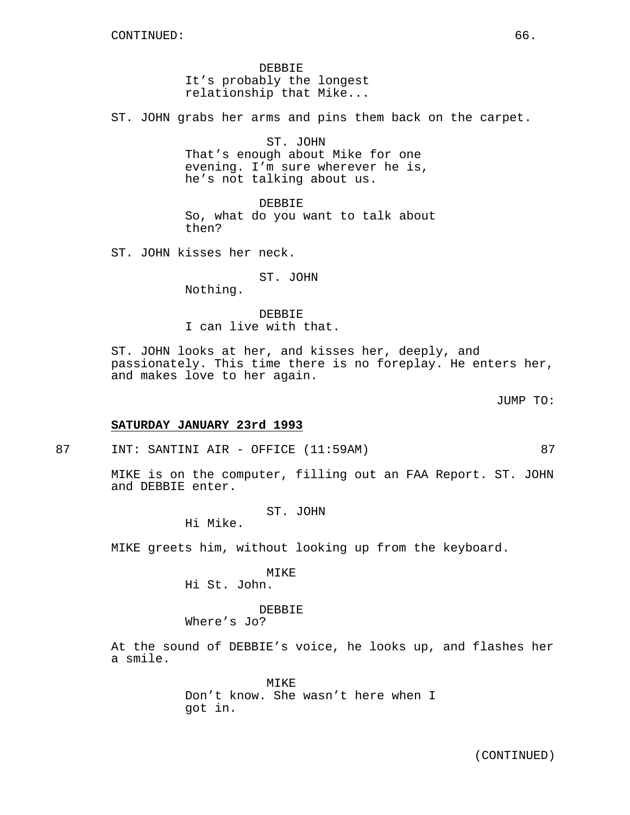DEBBIE It's probably the longest relationship that Mike...

ST. JOHN grabs her arms and pins them back on the carpet.

ST. JOHN That's enough about Mike for one evening. I'm sure wherever he is, he's not talking about us.

DEBBIE So, what do you want to talk about then?

ST. JOHN kisses her neck.

ST. JOHN Nothing.

DEBBIE I can live with that.

ST. JOHN looks at her, and kisses her, deeply, and passionately. This time there is no foreplay. He enters her, and makes love to her again.

JUMP TO:

### **SATURDAY JANUARY 23rd 1993**

87 INT: SANTINI AIR - OFFICE (11:59AM) 87

MIKE is on the computer, filling out an FAA Report. ST. JOHN and DEBBIE enter.

ST. JOHN

Hi Mike.

MIKE greets him, without looking up from the keyboard.

MIKE

Hi St. John.

DEBBIE

Where's Jo?

At the sound of DEBBIE's voice, he looks up, and flashes her a smile.

> MIKE Don't know. She wasn't here when I got in.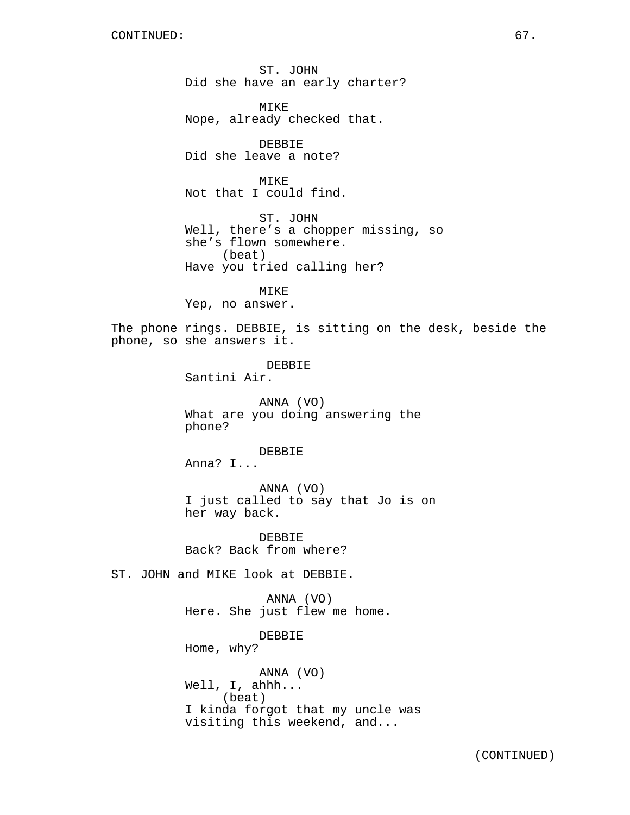ST. JOHN Did she have an early charter?

MIKE Nope, already checked that.

DEBBIE Did she leave a note?

MIKE Not that I could find.

ST. JOHN Well, there's a chopper missing, so she's flown somewhere. (beat) Have you tried calling her?

MIKE Yep, no answer.

The phone rings. DEBBIE, is sitting on the desk, beside the phone, so she answers it.

> DEBBIE Santini Air.

ANNA (VO) What are you doing answering the phone?

DEBBIE Anna? I...

ANNA (VO) I just called to say that Jo is on her way back.

DEBBIE Back? Back from where?

ST. JOHN and MIKE look at DEBBIE.

ANNA (VO) Here. She just flew me home.

DEBBIE Home, why?

ANNA (VO) Well, I, ahhh... (beat) I kinda forgot that my uncle was visiting this weekend, and...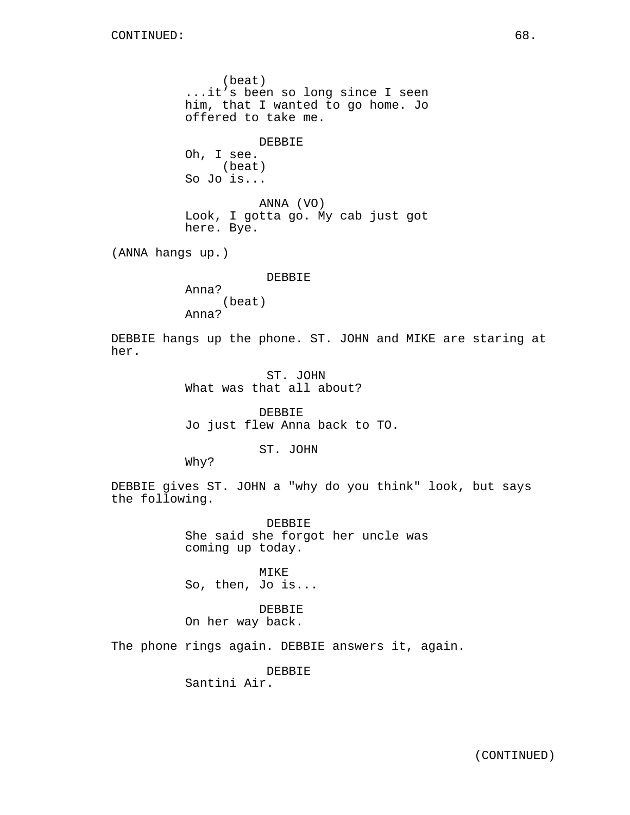(beat) ...it's been so long since I seen him, that I wanted to go home. Jo offered to take me.

DEBBIE Oh, I see. (beat) So Jo is...

ANNA (VO) Look, I gotta go. My cab just got here. Bye.

(ANNA hangs up.)

DEBBIE

Anna? (beat) Anna?

DEBBIE hangs up the phone. ST. JOHN and MIKE are staring at her.

> ST. JOHN What was that all about?

DEBBIE Jo just flew Anna back to TO.

ST. JOHN

Why?

DEBBIE gives ST. JOHN a "why do you think" look, but says the following.

> DEBBIE She said she forgot her uncle was coming up today.

MIKE So, then, Jo is...

DEBBIE On her way back.

The phone rings again. DEBBIE answers it, again.

DEBBIE Santini Air.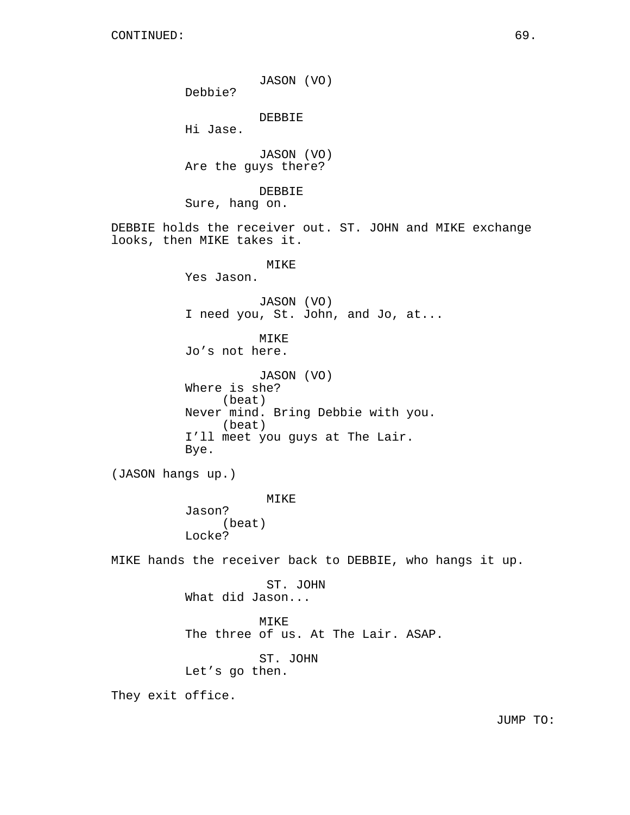JASON (VO) Debbie? DEBBIE Hi Jase. JASON (VO) Are the guys there? DEBBIE Sure, hang on. DEBBIE holds the receiver out. ST. JOHN and MIKE exchange looks, then MIKE takes it. MIKE Yes Jason. JASON (VO) I need you, St. John, and Jo, at... MIKE Jo's not here. JASON (VO) Where is she? (beat) Never mind. Bring Debbie with you. (beat) I'll meet you guys at The Lair. Bye. (JASON hangs up.) MIKE Jason? (beat) Locke? MIKE hands the receiver back to DEBBIE, who hangs it up. ST. JOHN What did Jason... MIKE The three of us. At The Lair. ASAP. ST. JOHN Let's go then. They exit office.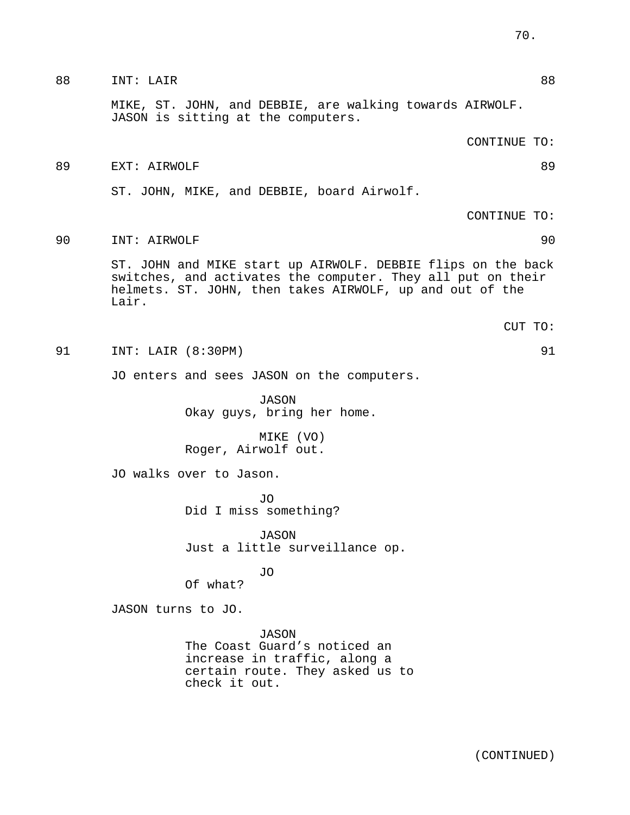|    | MIKE, ST. JOHN, and DEBBIE, are walking towards AIRWOLF.<br>JASON is sitting at the computers.                                                                                                   |
|----|--------------------------------------------------------------------------------------------------------------------------------------------------------------------------------------------------|
|    | CONTINUE TO:                                                                                                                                                                                     |
| 89 | EXT: AIRWOLF<br>89                                                                                                                                                                               |
|    | ST. JOHN, MIKE, and DEBBIE, board Airwolf.                                                                                                                                                       |
|    | CONTINUE TO:                                                                                                                                                                                     |
| 90 | 90<br>INT: AIRWOLF                                                                                                                                                                               |
|    | ST. JOHN and MIKE start up AIRWOLF. DEBBIE flips on the back<br>switches, and activates the computer. They all put on their<br>helmets. ST. JOHN, then takes AIRWOLF, up and out of the<br>Lair. |
|    | CUT TO:                                                                                                                                                                                          |
| 91 | 91<br>INT: LAIR (8:30PM)                                                                                                                                                                         |
|    | JO enters and sees JASON on the computers.                                                                                                                                                       |
|    | <b>JASON</b><br>Okay guys, bring her home.                                                                                                                                                       |
|    | MIKE (VO)<br>Roger, Airwolf out.                                                                                                                                                                 |
|    | JO walks over to Jason.                                                                                                                                                                          |
|    | J0<br>Did I miss something?                                                                                                                                                                      |
|    | <b>JASON</b><br>Just a little surveillance op.                                                                                                                                                   |
|    | JO<br>Of what?                                                                                                                                                                                   |
|    | JASON turns to JO.                                                                                                                                                                               |
|    | JASON<br>The Coast Guard's noticed an<br>increase in traffic, along a<br>certain route. They asked us to<br>check it out.                                                                        |

88 INT: LAIR 88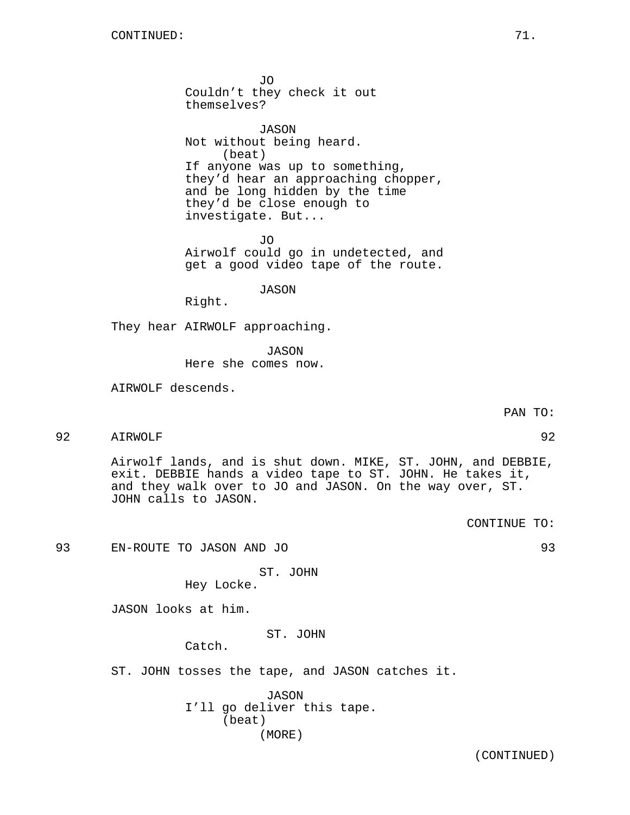JO Couldn't they check it out themselves?

JASON Not without being heard. (beat) If anyone was up to something, they'd hear an approaching chopper, and be long hidden by the time they'd be close enough to investigate. But...

JO Airwolf could go in undetected, and get a good video tape of the route.

JASON

Right.

They hear AIRWOLF approaching.

JASON

Here she comes now.

AIRWOLF descends.

92 AIRWOLF 92

Airwolf lands, and is shut down. MIKE, ST. JOHN, and DEBBIE, exit. DEBBIE hands a video tape to ST. JOHN. He takes it, and they walk over to JO and JASON. On the way over, ST. JOHN calls to JASON.

93 EN-ROUTE TO JASON AND JO 93

ST. JOHN Hey Locke.

JASON looks at him.

ST. JOHN

Catch.

ST. JOHN tosses the tape, and JASON catches it.

JASON I'll go deliver this tape. (beat) (MORE)

(CONTINUED)

PAN TO:

CONTINUE TO: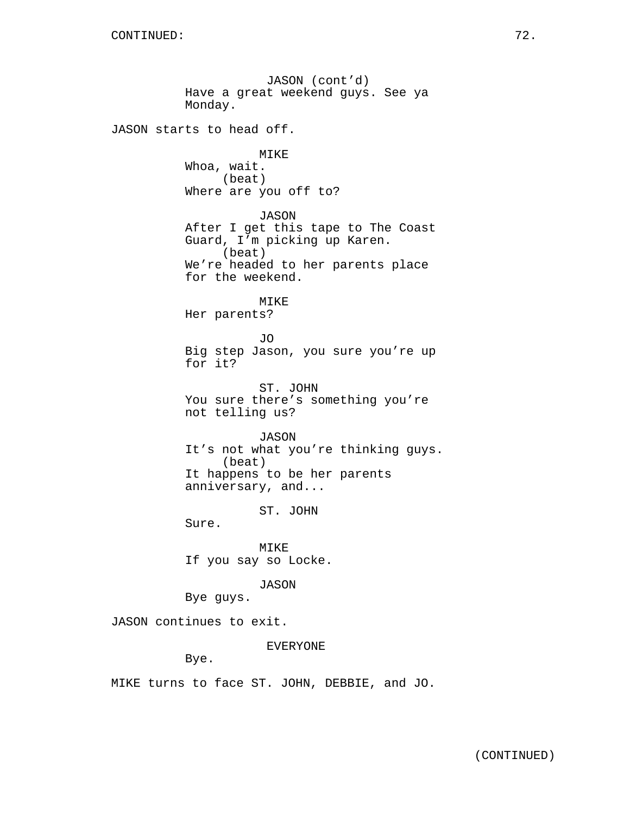JASON (cont'd) Have a great weekend guys. See ya Monday. JASON starts to head off. MIKE Whoa, wait. (beat) Where are you off to? JASON After I get this tape to The Coast Guard, I'm picking up Karen. (beat) We're headed to her parents place for the weekend. MIKE Her parents? JO Big step Jason, you sure you're up for it? ST. JOHN You sure there's something you're not telling us? JASON It's not what you're thinking guys. (beat) It happens to be her parents anniversary, and... ST. JOHN Sure. MIKE If you say so Locke. JASON Bye guys. JASON continues to exit. EVERYONE Bye.

MIKE turns to face ST. JOHN, DEBBIE, and JO.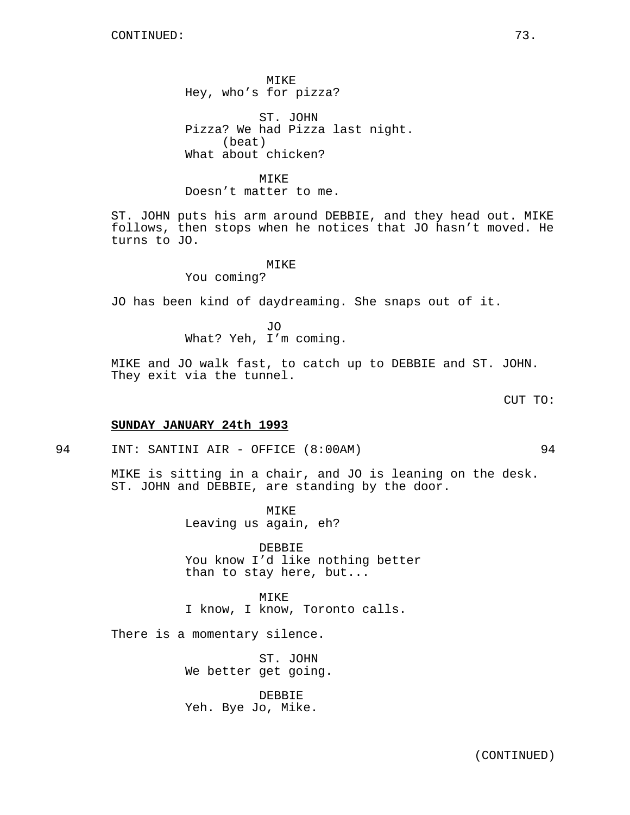MIKE Hey, who's for pizza?

ST. JOHN Pizza? We had Pizza last night. (beat) What about chicken?

### MIKE

Doesn't matter to me.

ST. JOHN puts his arm around DEBBIE, and they head out. MIKE follows, then stops when he notices that JO hasn't moved. He turns to JO.

## MIKE

You coming?

JO has been kind of daydreaming. She snaps out of it.

JO What? Yeh, I'm coming.

MIKE and JO walk fast, to catch up to DEBBIE and ST. JOHN. They exit via the tunnel.

CUT TO:

### **SUNDAY JANUARY 24th 1993**

94 INT: SANTINI AIR - OFFICE (8:00AM) 94

MIKE is sitting in a chair, and JO is leaning on the desk. ST. JOHN and DEBBIE, are standing by the door.

> MIKE Leaving us again, eh?

DEBBIE You know I'd like nothing better than to stay here, but...

MIKE I know, I know, Toronto calls.

There is a momentary silence.

ST. JOHN We better get going.

DEBBIE Yeh. Bye Jo, Mike.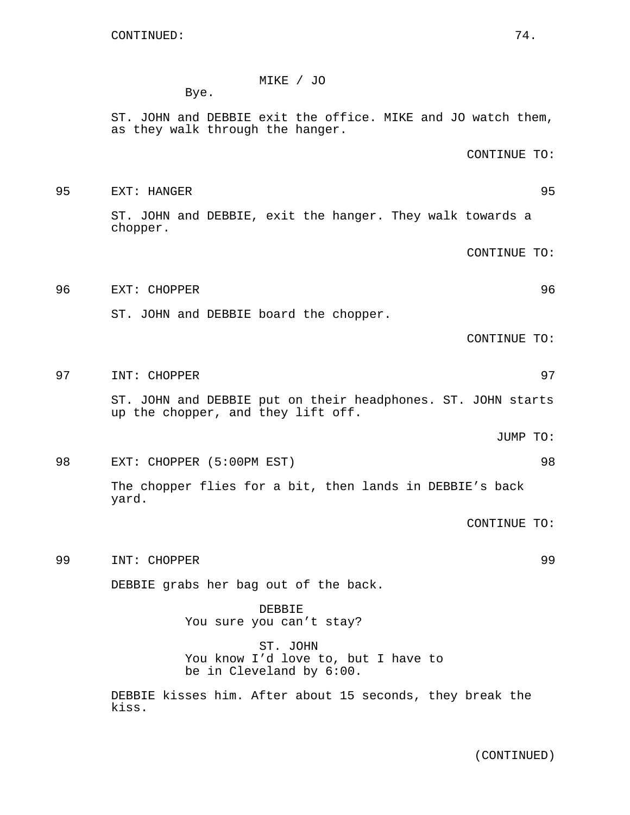# MIKE / JO

Bye.

ST. JOHN and DEBBIE exit the office. MIKE and JO watch them, as they walk through the hanger.

CONTINUE TO:

95 EXT: HANGER 95 ST. JOHN and DEBBIE, exit the hanger. They walk towards a chopper.

CONTINUE TO:

96 EXT: CHOPPER 96

ST. JOHN and DEBBIE board the chopper.

CONTINUE TO:

97 INT: CHOPPER 97

ST. JOHN and DEBBIE put on their headphones. ST. JOHN starts up the chopper, and they lift off.

JUMP TO:

98 EXT: CHOPPER (5:00PM EST) 98

The chopper flies for a bit, then lands in DEBBIE's back yard.

CONTINUE TO:

99 INT: CHOPPER 99

DEBBIE grabs her bag out of the back.

DEBBIE You sure you can't stay?

ST. JOHN You know I'd love to, but I have to be in Cleveland by 6:00.

DEBBIE kisses him. After about 15 seconds, they break the kiss.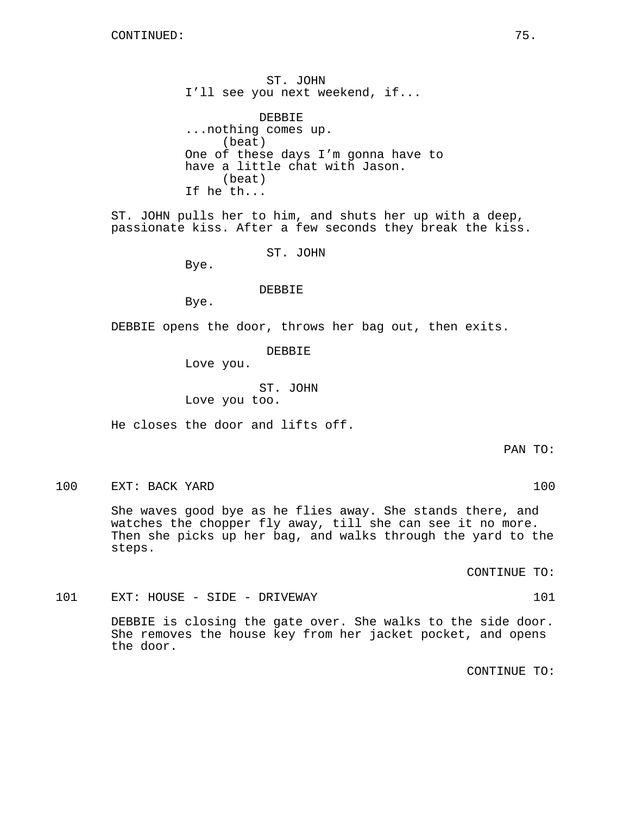ST. JOHN I'll see you next weekend, if...

DEBBIE ...nothing comes up. (beat) One of these days I'm gonna have to have a little chat with Jason. (beat) If he th...

ST. JOHN pulls her to him, and shuts her up with a deep, passionate kiss. After a few seconds they break the kiss.

ST. JOHN

Bye.

DEBBIE

Bye.

DEBBIE opens the door, throws her bag out, then exits.

DEBBIE

Love you.

ST. JOHN Love you too.

He closes the door and lifts off.

PAN TO:

100 EXT: BACK YARD 100 100

She waves good bye as he flies away. She stands there, and watches the chopper fly away, till she can see it no more. Then she picks up her bag, and walks through the yard to the steps.

CONTINUE TO:

101 EXT: HOUSE - SIDE - DRIVEWAY 101

DEBBIE is closing the gate over. She walks to the side door. She removes the house key from her jacket pocket, and opens the door.

CONTINUE TO: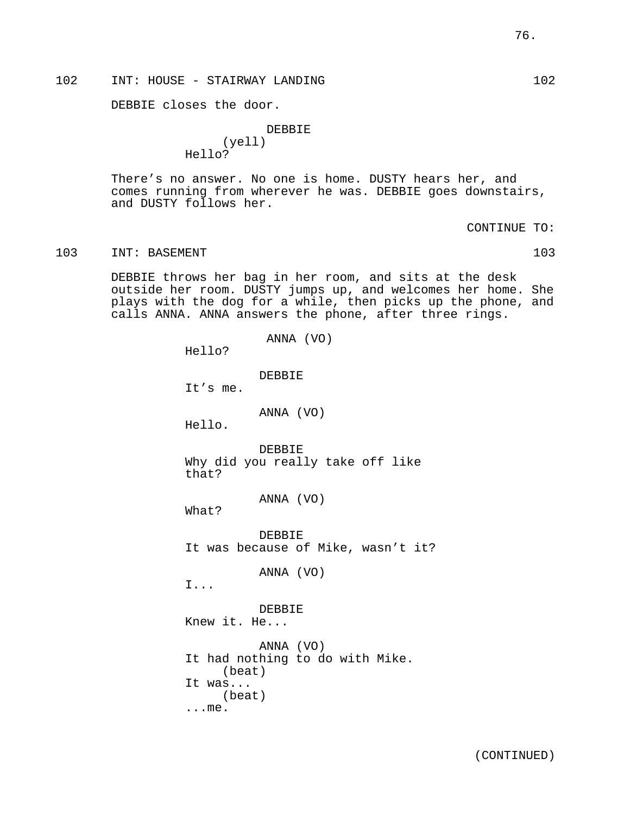DEBBIE closes the door.

DEBBIE (yell) Hello?

There's no answer. No one is home. DUSTY hears her, and comes running from wherever he was. DEBBIE goes downstairs, and DUSTY follows her.

CONTINUE TO:

103 INT: BASEMENT 103 103

DEBBIE throws her bag in her room, and sits at the desk outside her room. DUSTY jumps up, and welcomes her home. She plays with the dog for a while, then picks up the phone, and calls ANNA. ANNA answers the phone, after three rings.

> ANNA (VO) Hello? **DEBBIE** It's me. ANNA (VO) Hello. DEBBIE Why did you really take off like that? ANNA (VO) What? DEBBIE It was because of Mike, wasn't it? ANNA (VO) I... DEBBIE Knew it. He... ANNA (VO) It had nothing to do with Mike. (beat) It was... (beat) ...me.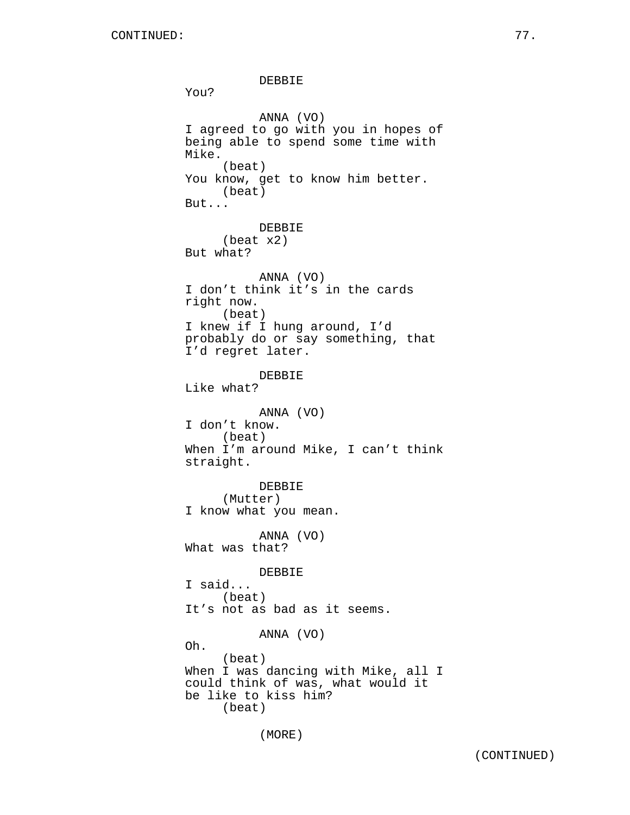DEBBIE You? ANNA (VO) I agreed to go with you in hopes of being able to spend some time with Mike. (beat) You know, get to know him better. (beat) But... DEBBIE (beat x2) But what? ANNA (VO) I don't think it's in the cards right now. (beat) I knew if I hung around, I'd probably do or say something, that I'd regret later. DEBBIE Like what? ANNA (VO) I don't know. (beat) When I'm around Mike, I can't think straight. DEBBIE (Mutter) I know what you mean. ANNA (VO) What was that? DEBBIE I said... (beat) It's not as bad as it seems. ANNA (VO) Oh. (beat) When I was dancing with Mike, all I could think of was, what would it be like to kiss him? (beat)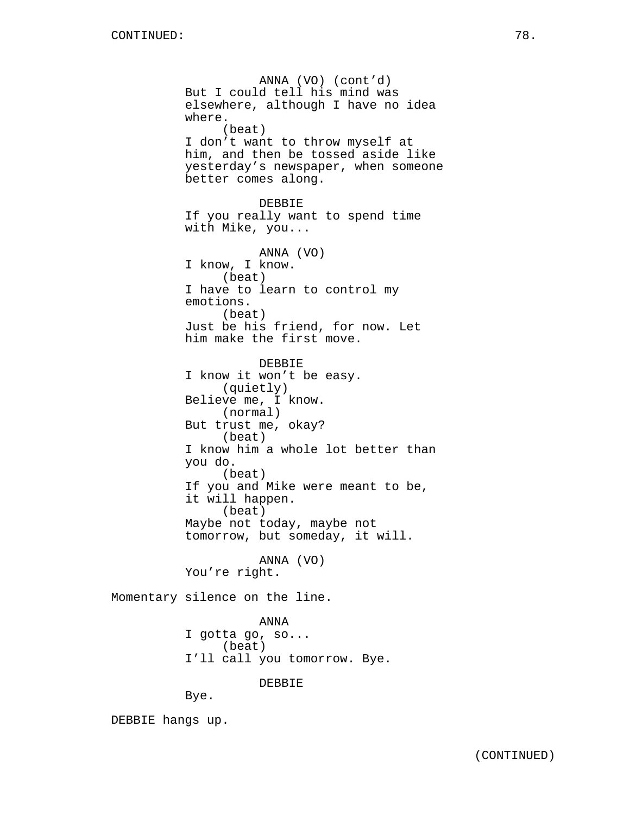ANNA (VO) (cont'd) But I could tell his mind was elsewhere, although I have no idea where. (beat) I don't want to throw myself at him, and then be tossed aside like yesterday's newspaper, when someone better comes along. DEBBIE If you really want to spend time with Mike, you... ANNA (VO) I know, I know. (beat) I have to learn to control my emotions. (beat) Just be his friend, for now. Let him make the first move. DEBBIE I know it won't be easy. (quietly) Believe me, I know. (normal) But trust me, okay? (beat) I know him a whole lot better than you do. (beat) If you and Mike were meant to be, it will happen. (beat) Maybe not today, maybe not tomorrow, but someday, it will. ANNA (VO) You're right. Momentary silence on the line. ANNA I gotta go, so... (beat) I'll call you tomorrow. Bye. DEBBIE

Bye.

DEBBIE hangs up.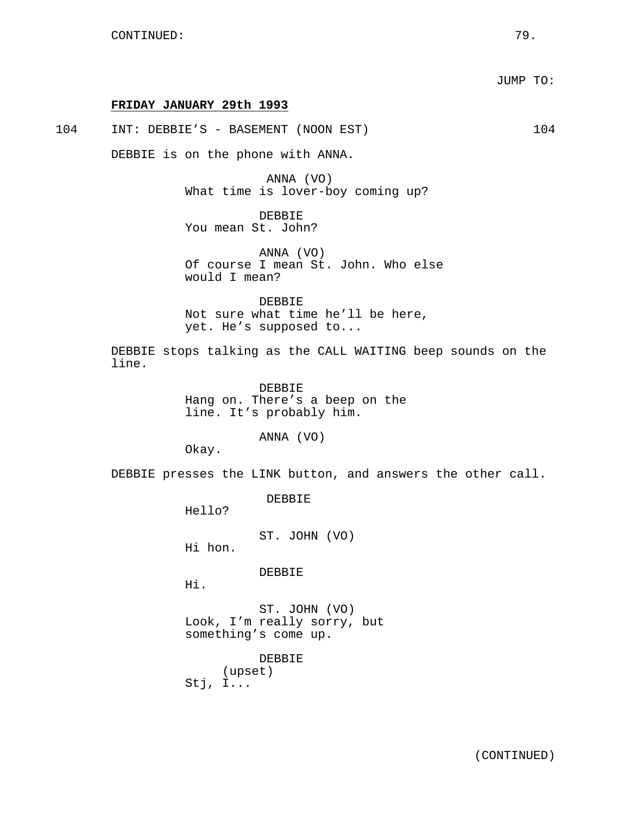#### **FRIDAY JANUARY 29th 1993**

104 INT: DEBBIE'S - BASEMENT (NOON EST) 104

DEBBIE is on the phone with ANNA.

ANNA (VO) What time is lover-boy coming up?

DEBBIE You mean St. John?

ANNA (VO) Of course I mean St. John. Who else would I mean?

DEBBIE Not sure what time he'll be here, yet. He's supposed to...

DEBBIE stops talking as the CALL WAITING beep sounds on the line.

> DEBBIE Hang on. There's a beep on the line. It's probably him.

> > ANNA (VO)

Okay.

DEBBIE presses the LINK button, and answers the other call.

DEBBIE

Hello?

ST. JOHN (VO)

Hi hon.

DEBBIE

Hi.

ST. JOHN (VO) Look, I'm really sorry, but something's come up.

DEBBIE (upset) Stj, I...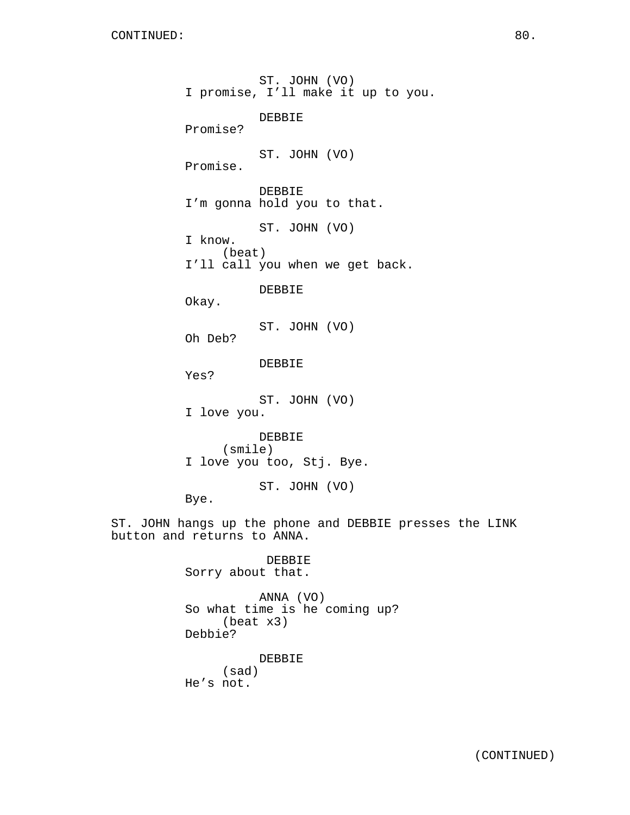ST. JOHN (VO) I promise, I'll make it up to you. DEBBIE Promise? ST. JOHN (VO) Promise. DEBBIE I'm gonna hold you to that. ST. JOHN (VO) I know. (beat) I'll call you when we get back. DEBBIE Okay. ST. JOHN (VO) Oh Deb? DEBBIE Yes? ST. JOHN (VO) I love you. DEBBIE (smile) I love you too, Stj. Bye. ST. JOHN (VO) Bye. ST. JOHN hangs up the phone and DEBBIE presses the LINK button and returns to ANNA. DEBBIE Sorry about that. ANNA (VO) So what time is he coming up? (beat x3) Debbie? DEBBIE (sad) He's not.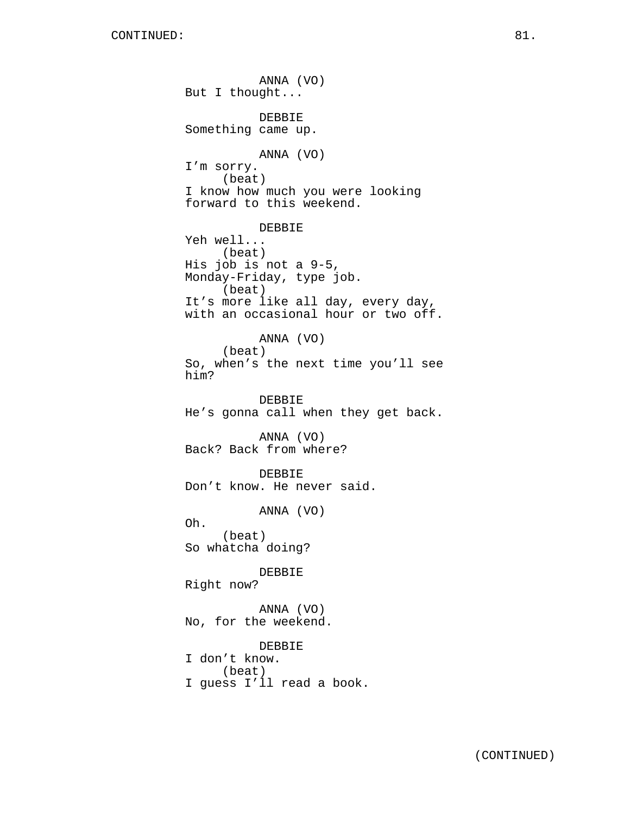ANNA (VO) But I thought... DEBBIE Something came up. ANNA (VO) I'm sorry. (beat) I know how much you were looking forward to this weekend. DEBBIE Yeh well... (beat) His job is not a 9-5, Monday-Friday, type job. (beat) It's more like all day, every day, with an occasional hour or two off. ANNA (VO) (beat) So, when's the next time you'll see him? DEBBIE He's gonna call when they get back. ANNA (VO) Back? Back from where? DEBBIE Don't know. He never said. ANNA (VO) Oh. (beat) So whatcha doing? DEBBIE Right now? ANNA (VO) No, for the weekend. DEBBIE I don't know. (beat) I guess I'll read a book.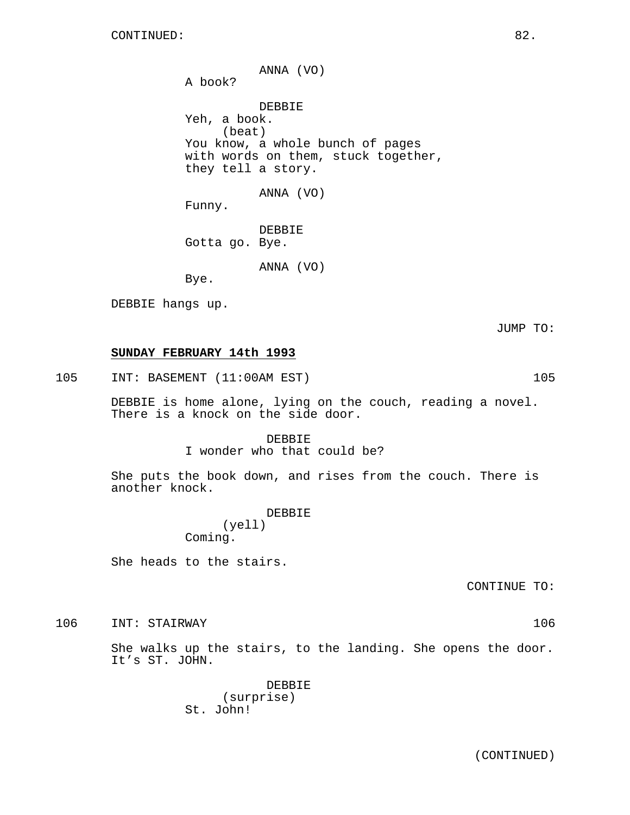ANNA (VO) A book? DEBBIE Yeh, a book. (beat) You know, a whole bunch of pages with words on them, stuck together, they tell a story. ANNA (VO) Funny. DEBBIE

Gotta go. Bye.

ANNA (VO)

Bye.

DEBBIE hangs up.

JUMP TO:

## **SUNDAY FEBRUARY 14th 1993**

105 INT: BASEMENT (11:00AM EST) 105

DEBBIE is home alone, lying on the couch, reading a novel. There is a knock on the side door.

DEBBIE

I wonder who that could be?

She puts the book down, and rises from the couch. There is another knock.

> DEBBIE (yell) Coming.

She heads to the stairs.

CONTINUE TO:

106 INT: STAIRWAY 106

She walks up the stairs, to the landing. She opens the door. It's ST. JOHN.

> DEBBIE (surprise) St. John!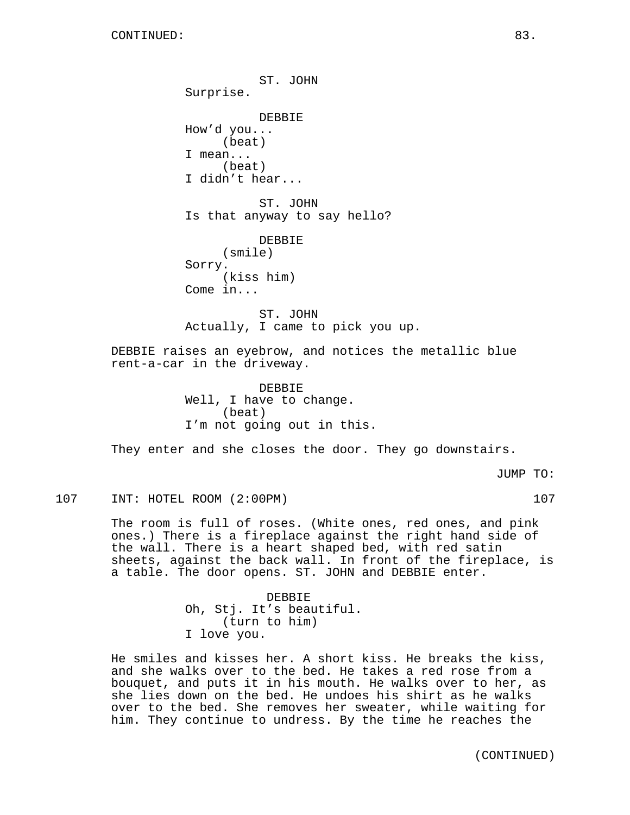ST. JOHN Surprise. DEBBIE How'd you... (beat) I mean... (beat) I didn't hear... ST. JOHN Is that anyway to say hello? DEBBIE (smile) Sorry. (kiss him) Come in... ST. JOHN Actually, I came to pick you up. DEBBIE raises an eyebrow, and notices the metallic blue rent-a-car in the driveway. DEBBIE Well, I have to change. (beat) I'm not going out in this. They enter and she closes the door. They go downstairs.

JUMP TO:

107 INT: HOTEL ROOM (2:00PM) 107

The room is full of roses. (White ones, red ones, and pink ones.) There is a fireplace against the right hand side of the wall. There is a heart shaped bed, with red satin sheets, against the back wall. In front of the fireplace, is a table. The door opens. ST. JOHN and DEBBIE enter.

> DEBBIE Oh, Stj. It's beautiful. (turn to him) I love you.

He smiles and kisses her. A short kiss. He breaks the kiss, and she walks over to the bed. He takes a red rose from a bouquet, and puts it in his mouth. He walks over to her, as she lies down on the bed. He undoes his shirt as he walks over to the bed. She removes her sweater, while waiting for him. They continue to undress. By the time he reaches the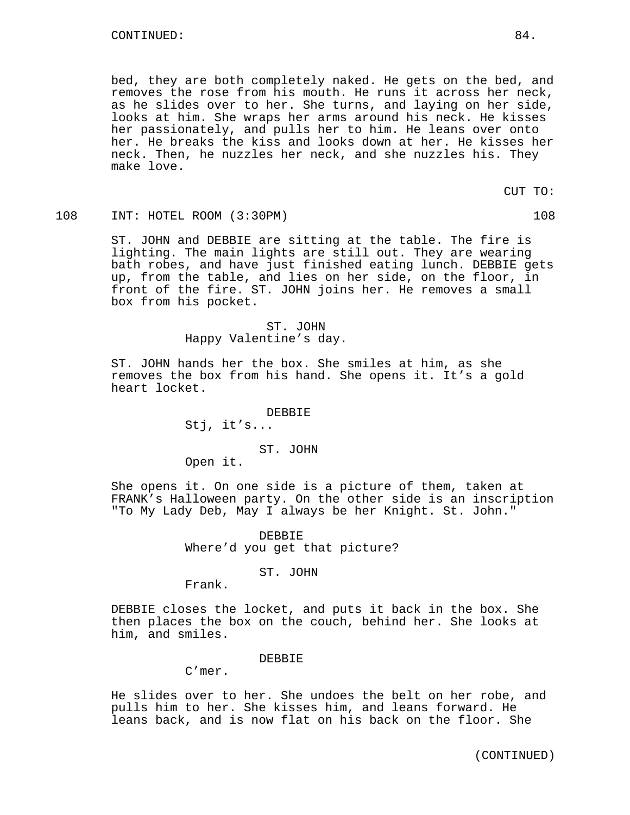bed, they are both completely naked. He gets on the bed, and removes the rose from his mouth. He runs it across her neck, as he slides over to her. She turns, and laying on her side, looks at him. She wraps her arms around his neck. He kisses her passionately, and pulls her to him. He leans over onto her. He breaks the kiss and looks down at her. He kisses her neck. Then, he nuzzles her neck, and she nuzzles his. They make love.

CUT TO:

## 108 INT: HOTEL ROOM (3:30PM) 108

ST. JOHN and DEBBIE are sitting at the table. The fire is lighting. The main lights are still out. They are wearing bath robes, and have just finished eating lunch. DEBBIE gets up, from the table, and lies on her side, on the floor, in front of the fire. ST. JOHN joins her. He removes a small box from his pocket.

> ST. JOHN Happy Valentine's day.

ST. JOHN hands her the box. She smiles at him, as she removes the box from his hand. She opens it. It's a gold heart locket.

> DEBBIE Stj, it's...

> > ST. JOHN

Open it.

She opens it. On one side is a picture of them, taken at FRANK's Halloween party. On the other side is an inscription "To My Lady Deb, May I always be her Knight. St. John."

> DEBBIE Where'd you get that picture?

> > ST. JOHN

Frank.

DEBBIE closes the locket, and puts it back in the box. She then places the box on the couch, behind her. She looks at him, and smiles.

#### DEBBIE

C'mer.

He slides over to her. She undoes the belt on her robe, and pulls him to her. She kisses him, and leans forward. He leans back, and is now flat on his back on the floor. She

(CONTINUED)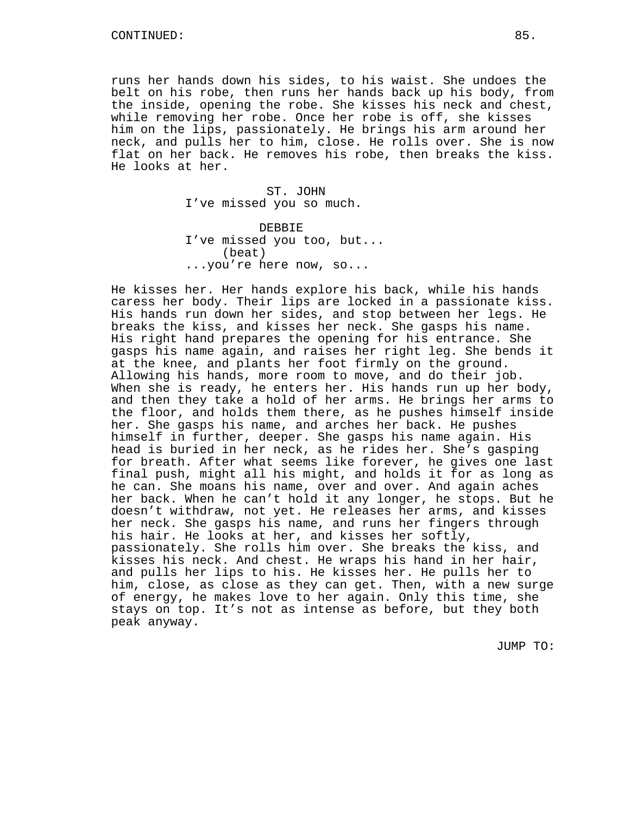runs her hands down his sides, to his waist. She undoes the belt on his robe, then runs her hands back up his body, from the inside, opening the robe. She kisses his neck and chest, while removing her robe. Once her robe is off, she kisses him on the lips, passionately. He brings his arm around her neck, and pulls her to him, close. He rolls over. She is now flat on her back. He removes his robe, then breaks the kiss. He looks at her.

> ST. JOHN I've missed you so much. DEBBIE I've missed you too, but... (beat) ...you're here now, so...

He kisses her. Her hands explore his back, while his hands caress her body. Their lips are locked in a passionate kiss. His hands run down her sides, and stop between her legs. He breaks the kiss, and kisses her neck. She gasps his name. His right hand prepares the opening for his entrance. She gasps his name again, and raises her right leg. She bends it at the knee, and plants her foot firmly on the ground. Allowing his hands, more room to move, and do their job. When she is ready, he enters her. His hands run up her body, and then they take a hold of her arms. He brings her arms to the floor, and holds them there, as he pushes himself inside her. She gasps his name, and arches her back. He pushes himself in further, deeper. She gasps his name again. His head is buried in her neck, as he rides her. She's gasping for breath. After what seems like forever, he gives one last final push, might all his might, and holds it for as long as he can. She moans his name, over and over. And again aches her back. When he can't hold it any longer, he stops. But he doesn't withdraw, not yet. He releases her arms, and kisses her neck. She gasps his name, and runs her fingers through his hair. He looks at her, and kisses her softly, passionately. She rolls him over. She breaks the kiss, and kisses his neck. And chest. He wraps his hand in her hair, and pulls her lips to his. He kisses her. He pulls her to him, close, as close as they can get. Then, with a new surge of energy, he makes love to her again. Only this time, she stays on top. It's not as intense as before, but they both peak anyway.

JUMP TO: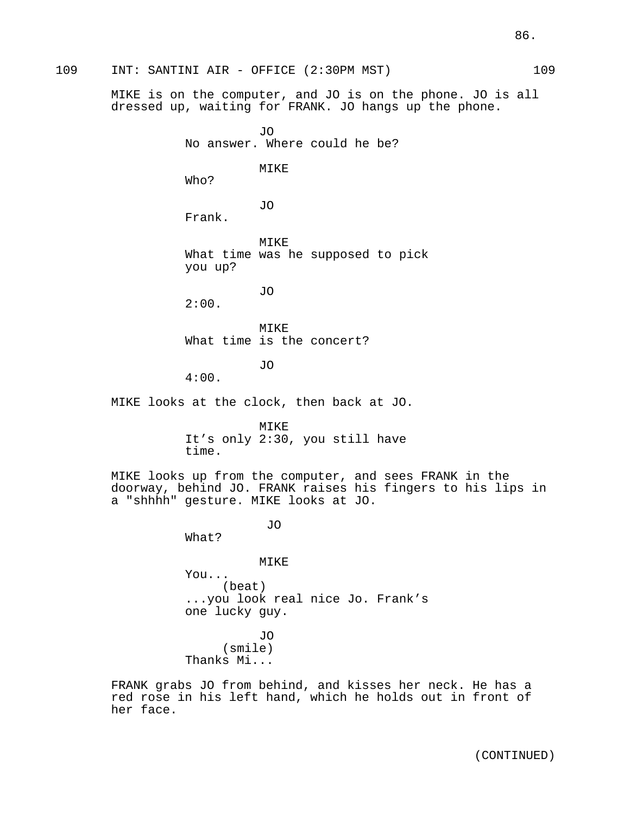109 INT: SANTINI AIR - OFFICE (2:30PM MST) 109 MIKE is on the computer, and JO is on the phone. JO is all dressed up, waiting for FRANK. JO hangs up the phone. JO No answer. Where could he be? MIKE Who? JO Frank. **MTKE** What time was he supposed to pick you up? JO 2:00. MIKE What time is the concert? JO 4:00. MIKE looks at the clock, then back at JO. MTKF. It's only 2:30, you still have time. MIKE looks up from the computer, and sees FRANK in the doorway, behind JO. FRANK raises his fingers to his lips in a "shhhh" gesture. MIKE looks at JO. JO What? MIKE You... (beat) ...you look real nice Jo. Frank's one lucky guy. JO (smile) Thanks Mi... FRANK grabs JO from behind, and kisses her neck. He has a

red rose in his left hand, which he holds out in front of her face.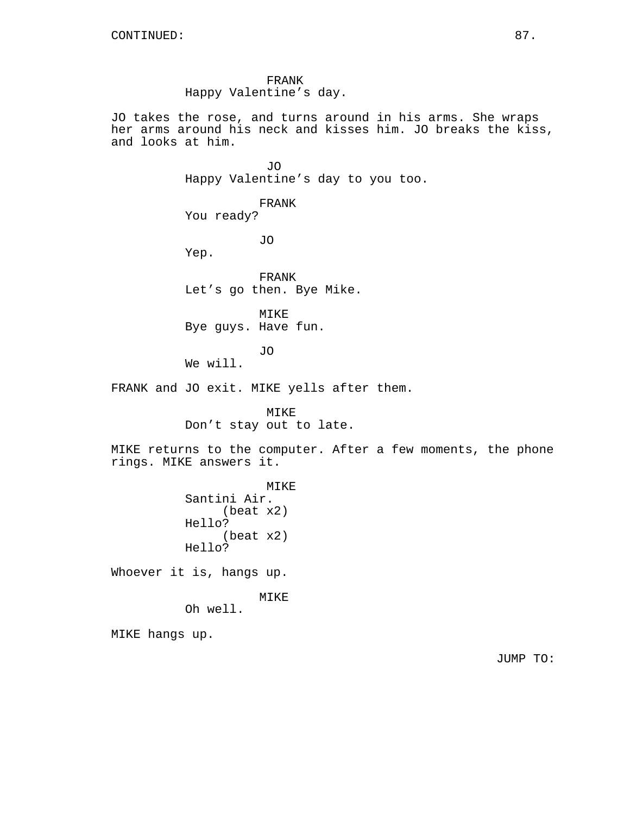FRANK Happy Valentine's day.

JO takes the rose, and turns around in his arms. She wraps her arms around his neck and kisses him. JO breaks the kiss, and looks at him.

> JO Happy Valentine's day to you too.

FRANK You ready?

Yep.

FRANK Let's go then. Bye Mike.

JO

MIKE Bye guys. Have fun.

JO

We will.

FRANK and JO exit. MIKE yells after them.

MIKE Don't stay out to late.

MIKE returns to the computer. After a few moments, the phone rings. MIKE answers it.

> MIKE Santini Air. (beat x2) Hello? (beat x2) Hello?

Whoever it is, hangs up.

MIKE

Oh well.

MIKE hangs up.

JUMP TO: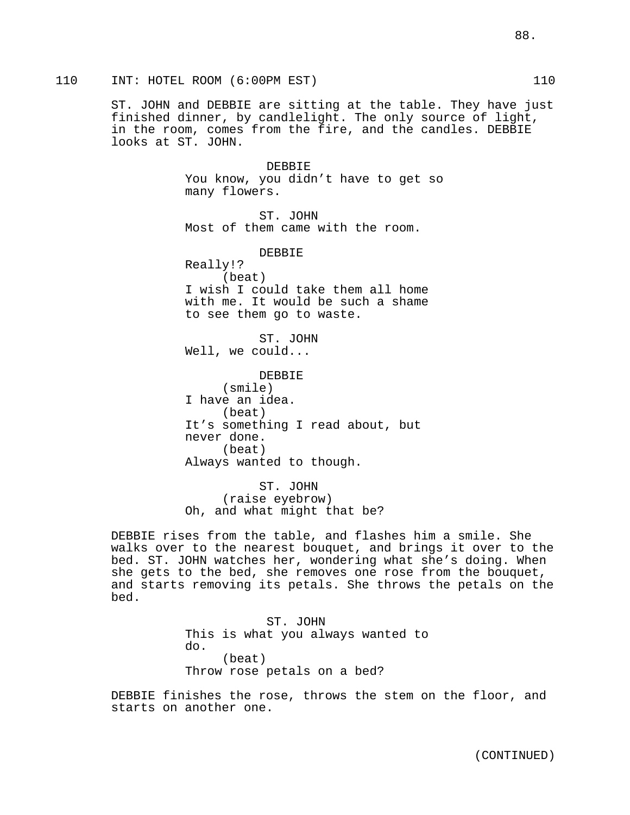ST. JOHN and DEBBIE are sitting at the table. They have just finished dinner, by candlelight. The only source of light, in the room, comes from the fire, and the candles. DEBBIE looks at ST. JOHN.

> DEBBIE You know, you didn't have to get so many flowers.

ST. JOHN Most of them came with the room.

DEBBIE Really!? (beat) I wish I could take them all home with me. It would be such a shame to see them go to waste.

ST. JOHN Well, we could...

DEBBIE (smile) I have an idea. (beat) It's something I read about, but never done. (beat) Always wanted to though.

ST. JOHN (raise eyebrow) Oh, and what might that be?

DEBBIE rises from the table, and flashes him a smile. She walks over to the nearest bouquet, and brings it over to the bed. ST. JOHN watches her, wondering what she's doing. When she gets to the bed, she removes one rose from the bouquet, and starts removing its petals. She throws the petals on the bed.

> ST. JOHN This is what you always wanted to do. (beat) Throw rose petals on a bed?

DEBBIE finishes the rose, throws the stem on the floor, and starts on another one.

88.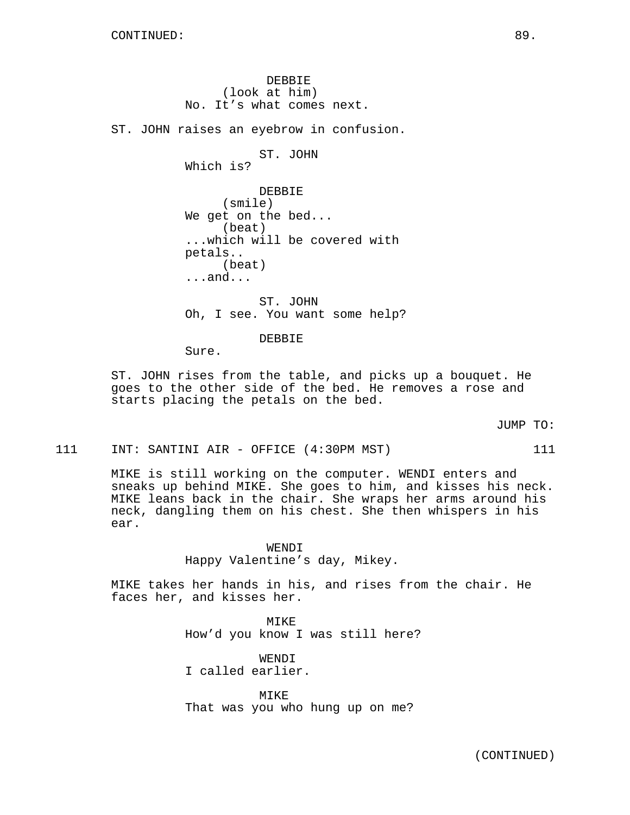DEBBIE (look at him) No. It's what comes next. ST. JOHN raises an eyebrow in confusion. ST. JOHN Which is? DEBBIE (smile) We get on the bed... (beat) ...which will be covered with petals.. (beat) ...and... ST. JOHN Oh, I see. You want some help?

DEBBIE

Sure.

ST. JOHN rises from the table, and picks up a bouquet. He goes to the other side of the bed. He removes a rose and starts placing the petals on the bed.

JUMP TO:

111 INT: SANTINI AIR - OFFICE (4:30PM MST) 111

MIKE is still working on the computer. WENDI enters and sneaks up behind MIKE. She goes to him, and kisses his neck. MIKE leans back in the chair. She wraps her arms around his neck, dangling them on his chest. She then whispers in his ear.

> WENDI Happy Valentine's day, Mikey.

MIKE takes her hands in his, and rises from the chair. He faces her, and kisses her.

> MIKE How'd you know I was still here?

WENDI I called earlier.

MIKE That was you who hung up on me?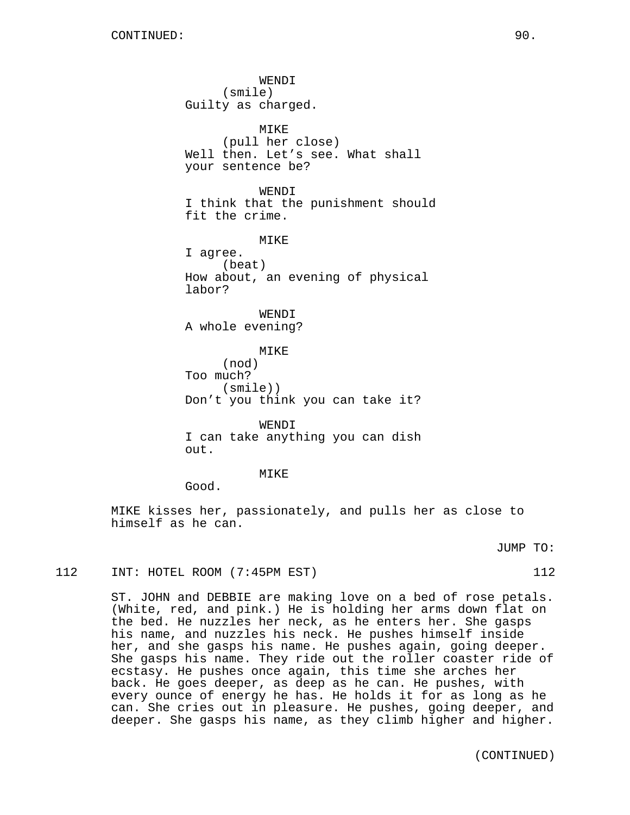WENDI (smile) Guilty as charged. MIKE (pull her close) Well then. Let's see. What shall your sentence be? WENDI I think that the punishment should fit the crime. MIKE I agree. (beat) How about, an evening of physical labor? WENDI A whole evening? MIKE (nod) Too much? (smile)) Don't you think you can take it? WENDI I can take anything you can dish  $\Omega$ ut. MIKE

Good.

MIKE kisses her, passionately, and pulls her as close to himself as he can.

JUMP TO:

# 112 INT: HOTEL ROOM (7:45PM EST) 112

ST. JOHN and DEBBIE are making love on a bed of rose petals. (White, red, and pink.) He is holding her arms down flat on the bed. He nuzzles her neck, as he enters her. She gasps his name, and nuzzles his neck. He pushes himself inside her, and she gasps his name. He pushes again, going deeper. She gasps his name. They ride out the roller coaster ride of ecstasy. He pushes once again, this time she arches her back. He goes deeper, as deep as he can. He pushes, with every ounce of energy he has. He holds it for as long as he can. She cries out in pleasure. He pushes, going deeper, and deeper. She gasps his name, as they climb higher and higher.

(CONTINUED)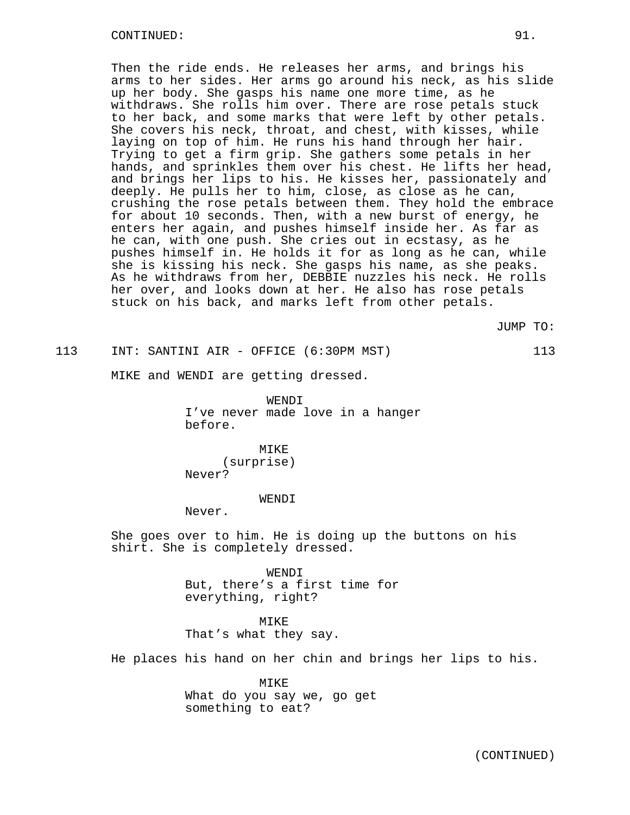### CONTINUED: 91.

Then the ride ends. He releases her arms, and brings his arms to her sides. Her arms go around his neck, as his slide up her body. She gasps his name one more time, as he withdraws. She rolls him over. There are rose petals stuck to her back, and some marks that were left by other petals. She covers his neck, throat, and chest, with kisses, while laying on top of him. He runs his hand through her hair. Trying to get a firm grip. She gathers some petals in her hands, and sprinkles them over his chest. He lifts her head, and brings her lips to his. He kisses her, passionately and deeply. He pulls her to him, close, as close as he can, crushing the rose petals between them. They hold the embrace for about 10 seconds. Then, with a new burst of energy, he enters her again, and pushes himself inside her. As far as he can, with one push. She cries out in ecstasy, as he pushes himself in. He holds it for as long as he can, while she is kissing his neck. She gasps his name, as she peaks. As he withdraws from her, DEBBIE nuzzles his neck. He rolls her over, and looks down at her. He also has rose petals stuck on his back, and marks left from other petals.

JUMP TO:

113 INT: SANTINI AIR - OFFICE (6:30PM MST) 113

MIKE and WENDI are getting dressed.

WENDI I've never made love in a hanger before.

MIKE (surprise) Never?

#### WENDI

Never.

She goes over to him. He is doing up the buttons on his shirt. She is completely dressed.

> WENDI But, there's a first time for everything, right?

### MIKE

That's what they say.

He places his hand on her chin and brings her lips to his.

MIKE What do you say we, go get something to eat?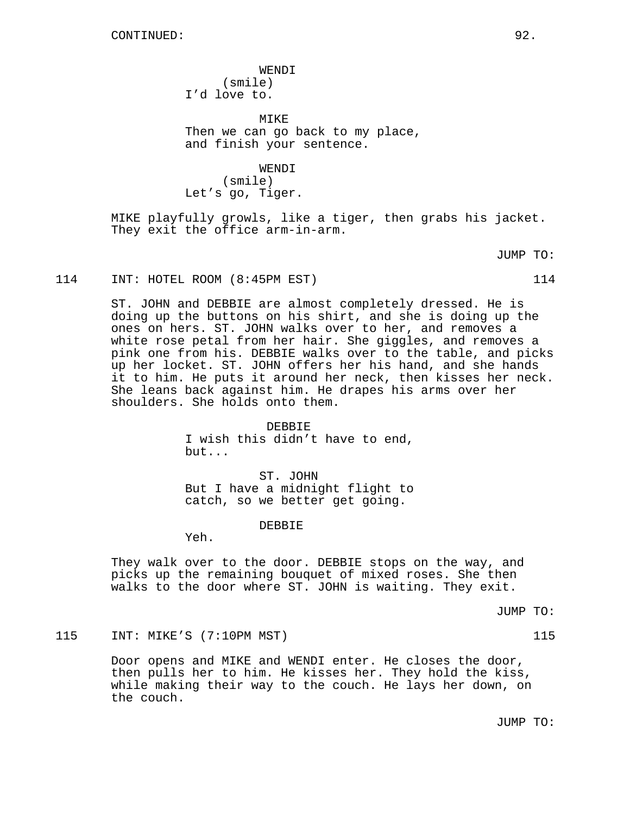WENDI (smile) I'd love to.

MIKE Then we can go back to my place, and finish your sentence.

WENDI (smile) Let's go, Tiger.

MIKE playfully growls, like a tiger, then grabs his jacket. They exit the office arm-in-arm.

JUMP TO:

#### 114 INT: HOTEL ROOM (8:45PM EST) 114

ST. JOHN and DEBBIE are almost completely dressed. He is doing up the buttons on his shirt, and she is doing up the ones on hers. ST. JOHN walks over to her, and removes a white rose petal from her hair. She giggles, and removes a pink one from his. DEBBIE walks over to the table, and picks up her locket. ST. JOHN offers her his hand, and she hands it to him. He puts it around her neck, then kisses her neck. She leans back against him. He drapes his arms over her shoulders. She holds onto them.

### DEBBIE

I wish this didn't have to end, but...

ST. JOHN But I have a midnight flight to catch, so we better get going.

### DEBBIE

Yeh.

They walk over to the door. DEBBIE stops on the way, and picks up the remaining bouquet of mixed roses. She then walks to the door where ST. JOHN is waiting. They exit.

JUMP TO:

## 115 INT: MIKE'S (7:10PM MST) 115

Door opens and MIKE and WENDI enter. He closes the door, then pulls her to him. He kisses her. They hold the kiss, while making their way to the couch. He lays her down, on the couch.

JUMP TO: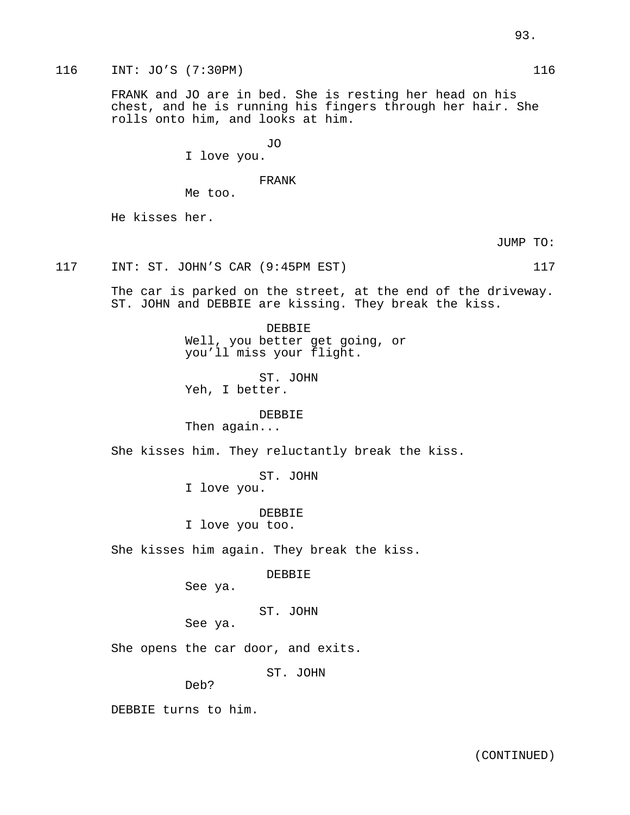116 INT: JO'S (7:30PM) 116

FRANK and JO are in bed. She is resting her head on his chest, and he is running his fingers through her hair. She rolls onto him, and looks at him.

JO

I love you.

FRANK

Me too.

He kisses her.

JUMP TO:

117 INT: ST. JOHN'S CAR (9:45PM EST) 117

The car is parked on the street, at the end of the driveway. ST. JOHN and DEBBIE are kissing. They break the kiss.

> DEBBIE Well, you better get going, or you'll miss your flight.

ST. JOHN Yeh, I better.

DEBBIE

Then again...

She kisses him. They reluctantly break the kiss.

ST. JOHN

I love you.

DEBBIE

I love you too.

She kisses him again. They break the kiss.

DEBBIE

See ya.

ST. JOHN

See ya.

She opens the car door, and exits.

ST. JOHN

Deb?

DEBBIE turns to him.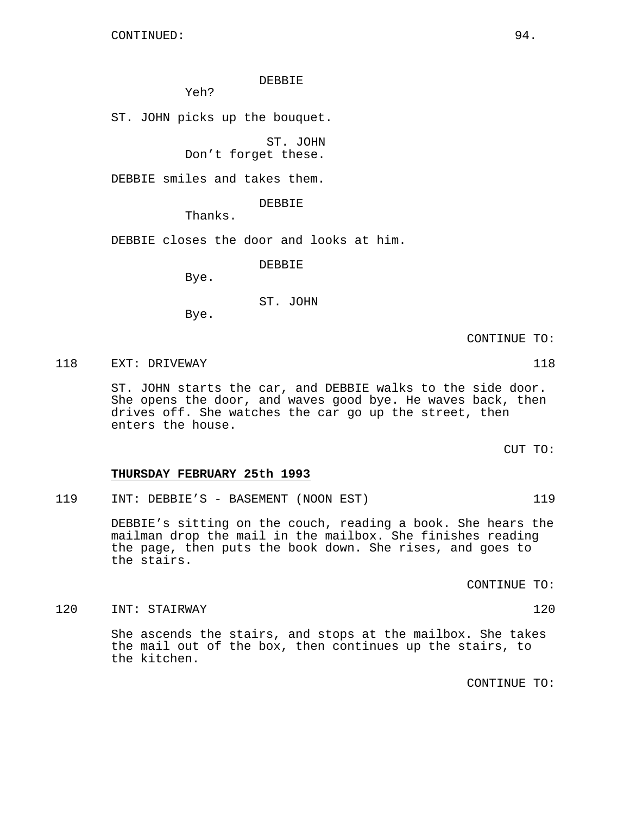## DEBBIE

Yeh?

ST. JOHN picks up the bouquet.

ST. JOHN

Don't forget these.

DEBBIE smiles and takes them.

DEBBIE

Thanks.

DEBBIE closes the door and looks at him.

DEBBIE

Bye.

ST. JOHN

Bye.

CONTINUE TO:

118 EXT: DRIVEWAY 118

ST. JOHN starts the car, and DEBBIE walks to the side door. She opens the door, and waves good bye. He waves back, then drives off. She watches the car go up the street, then enters the house.

CUT TO:

### **THURSDAY FEBRUARY 25th 1993**

119 INT: DEBBIE'S - BASEMENT (NOON EST) 119

DEBBIE's sitting on the couch, reading a book. She hears the mailman drop the mail in the mailbox. She finishes reading the page, then puts the book down. She rises, and goes to the stairs.

CONTINUE TO:

120 INT: STAIRWAY 120

She ascends the stairs, and stops at the mailbox. She takes the mail out of the box, then continues up the stairs, to the kitchen.

CONTINUE TO: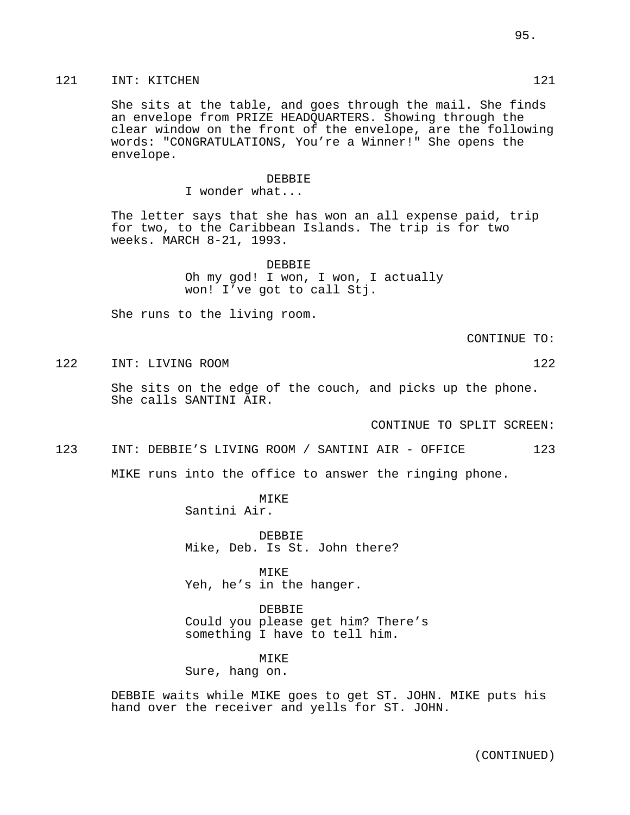# 121 INT: KITCHEN 121 121

She sits at the table, and goes through the mail. She finds an envelope from PRIZE HEADQUARTERS. Showing through the clear window on the front of the envelope, are the following words: "CONGRATULATIONS, You're a Winner!" She opens the envelope.

#### DEBBIE

I wonder what...

The letter says that she has won an all expense paid, trip for two, to the Caribbean Islands. The trip is for two weeks. MARCH 8-21, 1993.

> DEBBIE Oh my god! I won, I won, I actually won! I've got to call Stj.

She runs to the living room.

CONTINUE TO:

122 INT: LIVING ROOM 122

She sits on the edge of the couch, and picks up the phone. She calls SANTINI AIR.

CONTINUE TO SPLIT SCREEN:

123 INT: DEBBIE'S LIVING ROOM / SANTINI AIR - OFFICE 123

MIKE runs into the office to answer the ringing phone.

MIKE Santini Air.

DEBBIE Mike, Deb. Is St. John there?

MIKE Yeh, he's in the hanger.

DEBBIE Could you please get him? There's something I have to tell him.

MIKE

Sure, hang on.

DEBBIE waits while MIKE goes to get ST. JOHN. MIKE puts his hand over the receiver and yells for ST. JOHN.

(CONTINUED)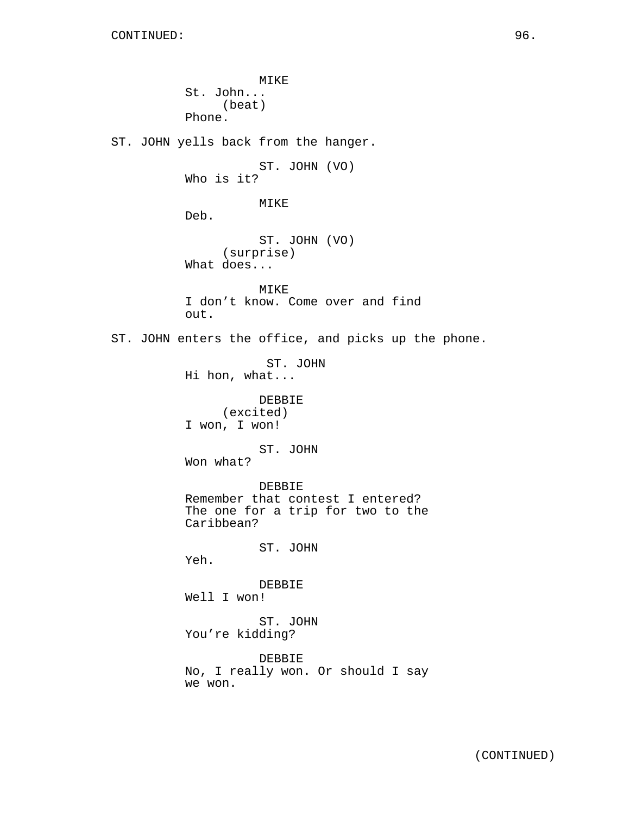MIKE St. John... (beat) Phone. ST. JOHN yells back from the hanger. ST. JOHN (VO) Who is it? MIKE Deb. ST. JOHN (VO) (surprise) What does... MIKE I don't know. Come over and find out. ST. JOHN enters the office, and picks up the phone. ST. JOHN Hi hon, what... DEBBIE (excited) I won, I won! ST. JOHN Won what? DEBBIE Remember that contest I entered? The one for a trip for two to the Caribbean? ST. JOHN Yeh. DEBBIE Well I won! ST. JOHN You're kidding? DEBBIE No, I really won. Or should I say we won.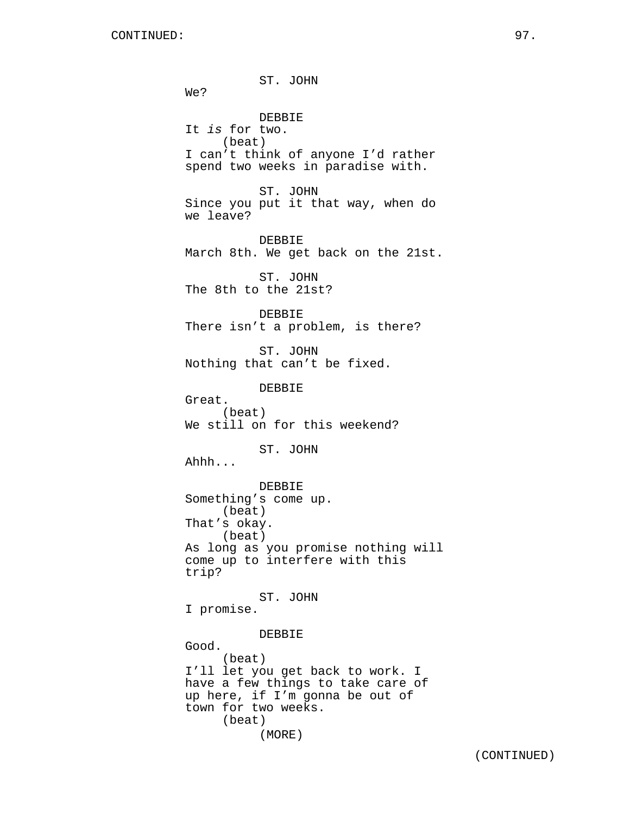ST. JOHN We? DEBBIE It is for two. (beat) I can't think of anyone I'd rather spend two weeks in paradise with. ST. JOHN Since you put it that way, when do we leave? DEBBIE March 8th. We get back on the 21st. ST. JOHN The 8th to the 21st? DEBBIE There isn't a problem, is there? ST. JOHN Nothing that can't be fixed. DEBBIE Great. (beat) We still on for this weekend? ST. JOHN Ahhh... DEBBIE Something's come up. (beat) That's okay. (beat) As long as you promise nothing will come up to interfere with this trip? ST. JOHN I promise. DEBBIE Good. (beat) I'll let you get back to work. I have a few things to take care of up here, if I'm gonna be out of town for two weeks. (beat) (MORE)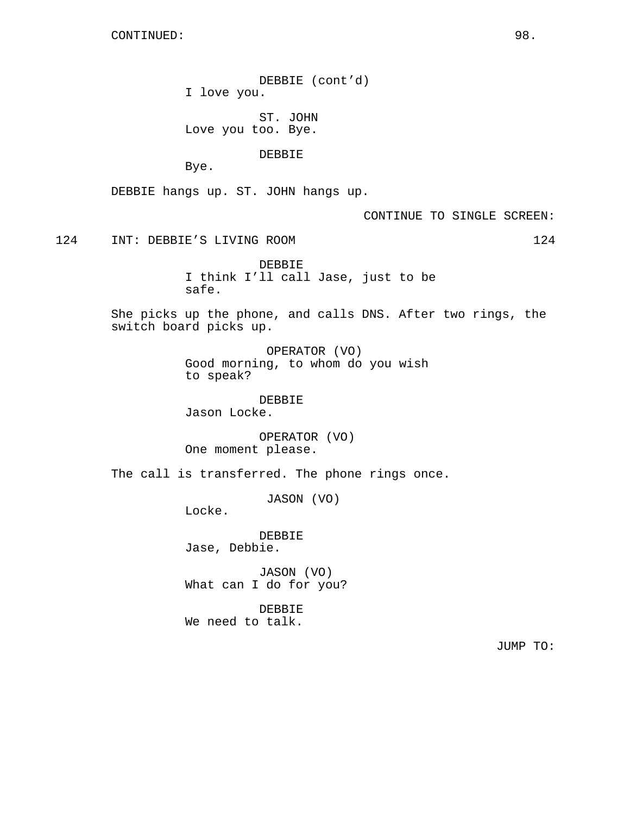DEBBIE (cont'd) I love you.

ST. JOHN Love you too. Bye.

DEBBIE

Bye.

DEBBIE hangs up. ST. JOHN hangs up.

CONTINUE TO SINGLE SCREEN:

124 INT: DEBBIE'S LIVING ROOM 124

DEBBIE I think I'll call Jase, just to be safe.

She picks up the phone, and calls DNS. After two rings, the switch board picks up.

> OPERATOR (VO) Good morning, to whom do you wish to speak?

DEBBIE Jason Locke.

OPERATOR (VO) One moment please.

The call is transferred. The phone rings once.

JASON (VO)

Locke.

DEBBIE Jase, Debbie.

JASON (VO) What can I do for you?

DEBBIE We need to talk.

JUMP TO: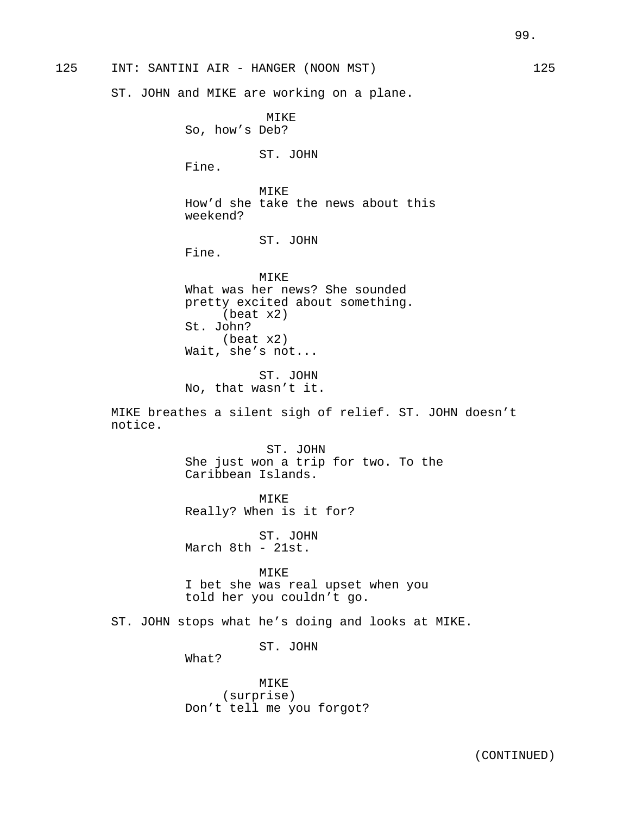125 INT: SANTINI AIR - HANGER (NOON MST) 125

ST. JOHN and MIKE are working on a plane.

MIKE So, how's Deb? ST. JOHN Fine. MIKE How'd she take the news about this weekend? ST. JOHN Fine. MIKE What was her news? She sounded pretty excited about something. (beat x2) St. John? (beat x2) Wait, she's not... ST. JOHN No, that wasn't it. MIKE breathes a silent sigh of relief. ST. JOHN doesn't notice. ST. JOHN She just won a trip for two. To the Caribbean Islands. MIKE Really? When is it for? ST. JOHN March 8th - 21st. MIKE I bet she was real upset when you told her you couldn't go. ST. JOHN stops what he's doing and looks at MIKE. ST. JOHN What? MIKE (surprise)

Don't tell me you forgot?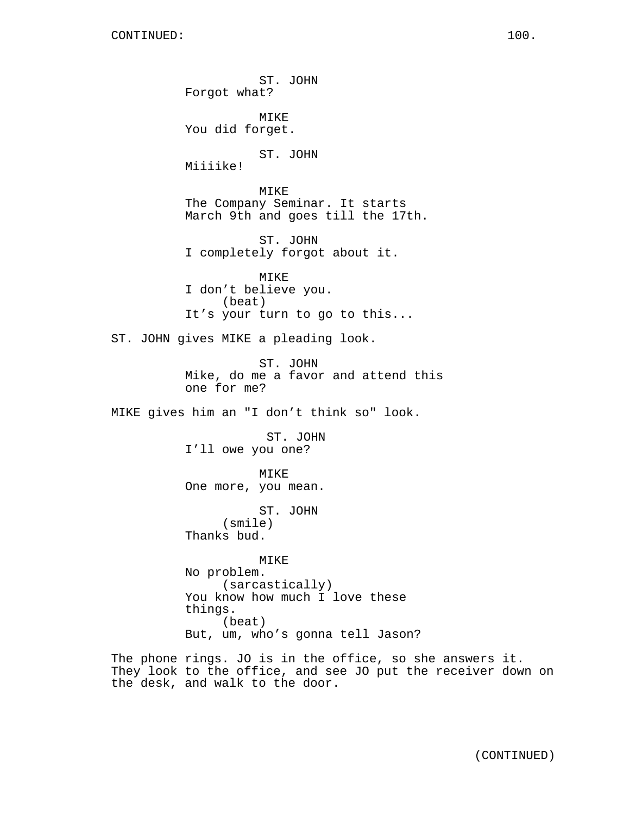ST. JOHN Forgot what? MIKE You did forget. ST. JOHN Miiiike! MIKE The Company Seminar. It starts March 9th and goes till the 17th. ST. JOHN I completely forgot about it. MIKE I don't believe you. (beat) It's your turn to go to this... ST. JOHN gives MIKE a pleading look. ST. JOHN Mike, do me a favor and attend this one for me? MIKE gives him an "I don't think so" look. ST. JOHN I'll owe you one? MIKE One more, you mean. ST. JOHN (smile) Thanks bud. MIKE No problem. (sarcastically) You know how much I love these things. (beat) But, um, who's gonna tell Jason? The phone rings. JO is in the office, so she answers it.

They look to the office, and see JO put the receiver down on the desk, and walk to the door.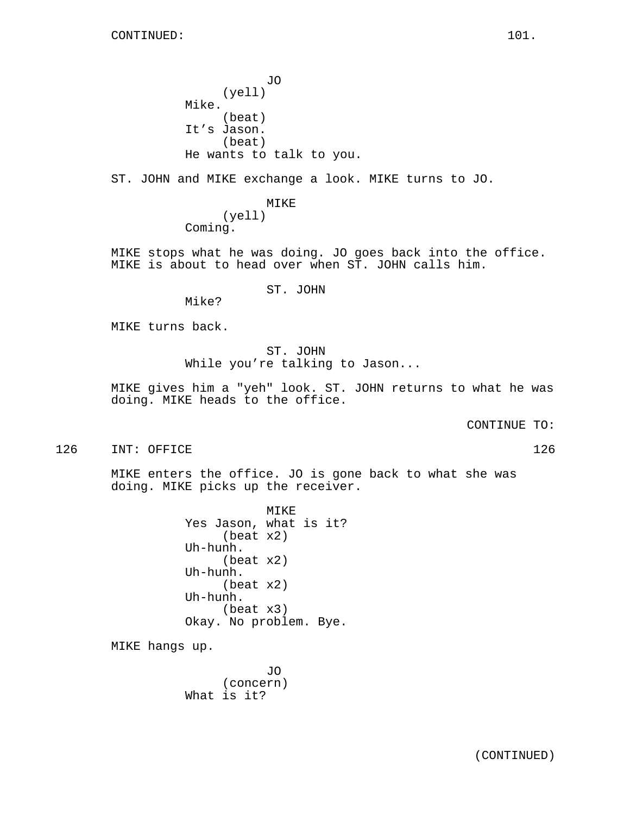JO (yell) Mike. (beat) It's Jason. (beat) He wants to talk to you.

ST. JOHN and MIKE exchange a look. MIKE turns to JO.

MIKE (yell) Coming.

MIKE stops what he was doing. JO goes back into the office. MIKE is about to head over when ST. JOHN calls him.

ST. JOHN

Mike?

MIKE turns back.

ST. JOHN While you're talking to Jason...

MIKE gives him a "yeh" look. ST. JOHN returns to what he was doing. MIKE heads to the office.

CONTINUE TO:

126 INT: OFFICE 126 126

MIKE enters the office. JO is gone back to what she was doing. MIKE picks up the receiver.

> MIKE Yes Jason, what is it? (beat x2) Uh-hunh. (beat x2) Uh-hunh. (beat x2) Uh-hunh. (beat x3) Okay. No problem. Bye.

MIKE hangs up.

JO (concern) What is it?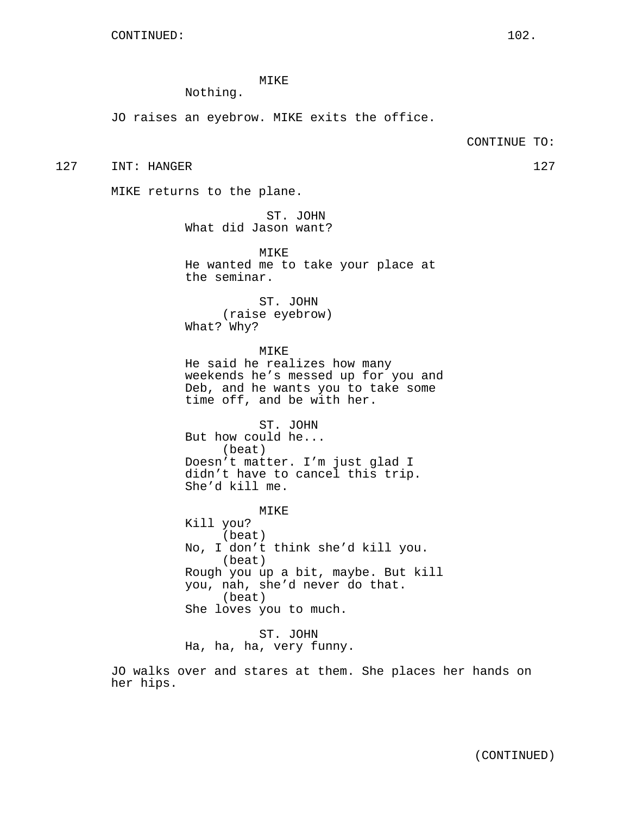# MIKE

Nothing.

JO raises an eyebrow. MIKE exits the office.

#### CONTINUE TO:

127 INT: HANGER 127 127

MIKE returns to the plane.

ST. JOHN What did Jason want?

MIKE He wanted me to take your place at the seminar.

ST. JOHN (raise eyebrow) What? Why?

MIKE He said he realizes how many weekends he's messed up for you and Deb, and he wants you to take some time off, and be with her.

ST. JOHN But how could he... (beat) Doesn't matter. I'm just glad I didn't have to cancel this trip. She'd kill me.

MIKE Kill you? (beat) No, I don't think she'd kill you. (beat) Rough you up a bit, maybe. But kill you, nah, she'd never do that. (beat) She loves you to much.

ST. JOHN Ha, ha, ha, very funny.

JO walks over and stares at them. She places her hands on her hips.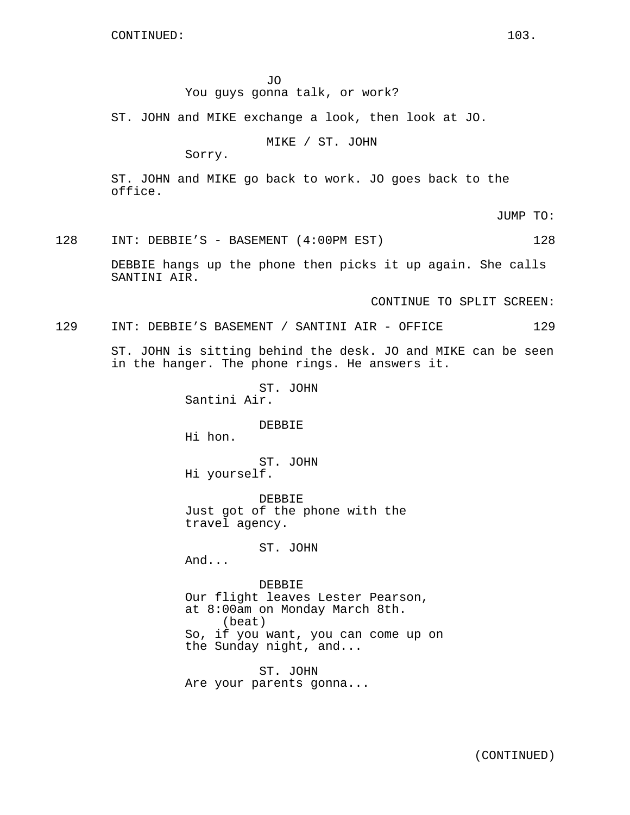JO

# You guys gonna talk, or work?

ST. JOHN and MIKE exchange a look, then look at JO.

MIKE / ST. JOHN

Sorry.

ST. JOHN and MIKE go back to work. JO goes back to the office.

JUMP TO:

# 128 INT: DEBBIE'S - BASEMENT (4:00PM EST) 128

DEBBIE hangs up the phone then picks it up again. She calls SANTINI AIR.

CONTINUE TO SPLIT SCREEN:

129 INT: DEBBIE'S BASEMENT / SANTINI AIR - OFFICE 129

ST. JOHN is sitting behind the desk. JO and MIKE can be seen in the hanger. The phone rings. He answers it.

> ST. JOHN Santini Air.

> > DEBBIE

Hi hon.

ST. JOHN Hi yourself.

DEBBIE Just got of the phone with the travel agency.

ST. JOHN

And...

DEBBIE Our flight leaves Lester Pearson, at 8:00am on Monday March 8th. (beat) So, if you want, you can come up on the Sunday night, and...

ST. JOHN Are your parents gonna...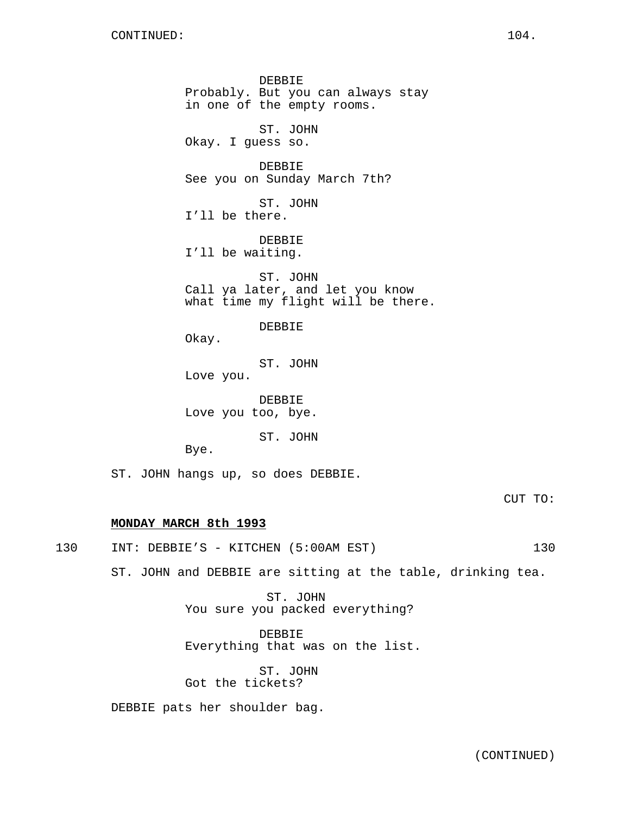DEBBIE Probably. But you can always stay in one of the empty rooms. ST. JOHN Okay. I guess so. DEBBIE See you on Sunday March 7th? ST. JOHN I'll be there. DEBBIE I'll be waiting. ST. JOHN Call ya later, and let you know what time my flight will be there. DEBBIE Okay. ST. JOHN Love you. DEBBIE Love you too, bye. ST. JOHN Bye.

ST. JOHN hangs up, so does DEBBIE.

CUT TO:

## **MONDAY MARCH 8th 1993**

130 INT: DEBBIE'S - KITCHEN (5:00AM EST) 130

ST. JOHN and DEBBIE are sitting at the table, drinking tea.

ST. JOHN You sure you packed everything?

DEBBIE Everything that was on the list.

ST. JOHN Got the tickets?

DEBBIE pats her shoulder bag.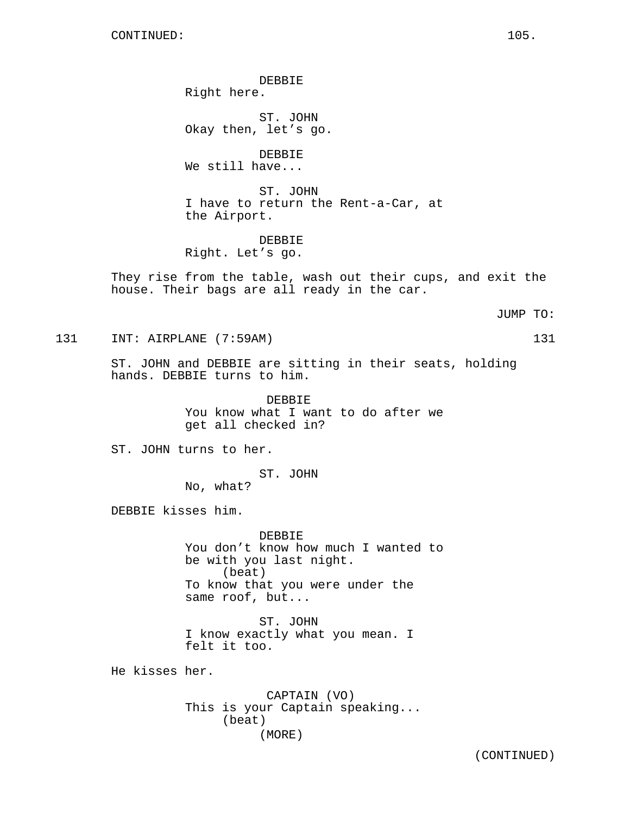DEBBIE Right here.

ST. JOHN Okay then, let's go.

DEBBIE We still have...

ST. JOHN I have to return the Rent-a-Car, at the Airport.

DEBBIE Right. Let's go.

They rise from the table, wash out their cups, and exit the house. Their bags are all ready in the car.

JUMP TO:

131 INT: AIRPLANE (7:59AM) 131

ST. JOHN and DEBBIE are sitting in their seats, holding hands. DEBBIE turns to him.

> DEBBIE You know what I want to do after we get all checked in?

ST. JOHN turns to her.

ST. JOHN

No, what?

DEBBIE kisses him.

**DEBBIE** You don't know how much I wanted to be with you last night. (beat) To know that you were under the same roof, but...

ST. JOHN I know exactly what you mean. I felt it too.

He kisses her.

CAPTAIN (VO) This is your Captain speaking... (beat) (MORE)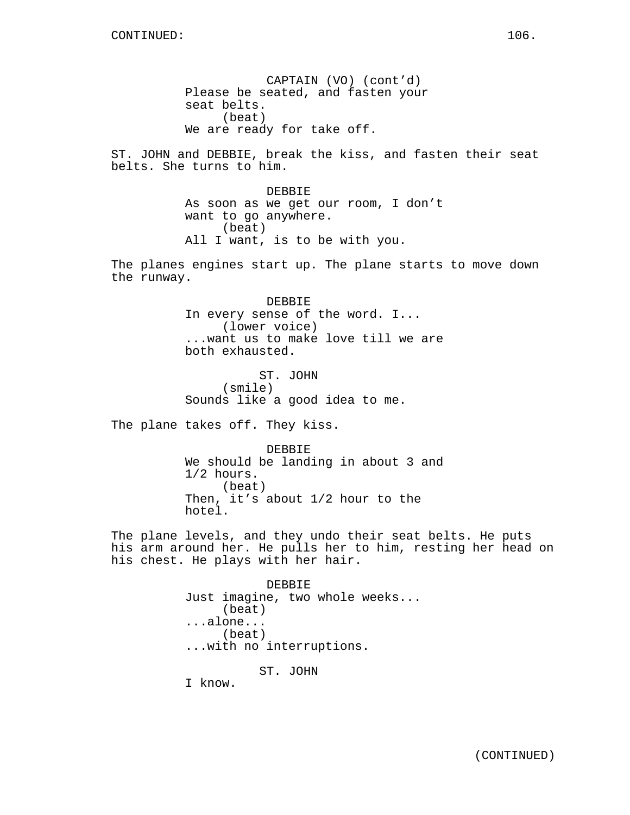CAPTAIN (VO) (cont'd) Please be seated, and fasten your seat belts. (beat) We are ready for take off.

ST. JOHN and DEBBIE, break the kiss, and fasten their seat belts. She turns to him.

> DEBBIE As soon as we get our room, I don't want to go anywhere. (beat) All I want, is to be with you.

The planes engines start up. The plane starts to move down the runway.

> DEBBIE In every sense of the word. I... (lower voice) ...want us to make love till we are both exhausted.

ST. JOHN (smile) Sounds like a good idea to me.

The plane takes off. They kiss.

DEBBIE We should be landing in about 3 and 1/2 hours. (beat) Then, it's about 1/2 hour to the hotel.

The plane levels, and they undo their seat belts. He puts his arm around her. He pulls her to him, resting her head on his chest. He plays with her hair.

> DEBBIE Just imagine, two whole weeks... (beat) ...alone... (beat) ...with no interruptions. ST. JOHN I know.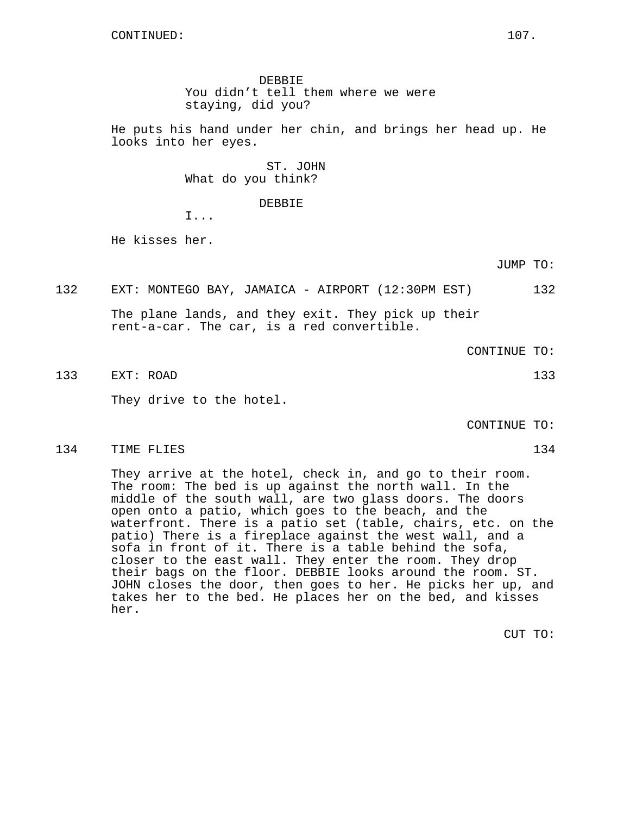DEBBIE You didn't tell them where we were staying, did you?

He puts his hand under her chin, and brings her head up. He looks into her eyes.

> ST. JOHN What do you think?

> > DEBBIE

I...

He kisses her.

JUMP TO:

132 EXT: MONTEGO BAY, JAMAICA - AIRPORT (12:30PM EST) 132

The plane lands, and they exit. They pick up their rent-a-car. The car, is a red convertible.

CONTINUE TO:

133 EXT: ROAD 133

They drive to the hotel.

CONTINUE TO:

134 TIME FLIES 134

They arrive at the hotel, check in, and go to their room. The room: The bed is up against the north wall. In the middle of the south wall, are two glass doors. The doors open onto a patio, which goes to the beach, and the waterfront. There is a patio set (table, chairs, etc. on the patio) There is a fireplace against the west wall, and a sofa in front of it. There is a table behind the sofa, closer to the east wall. They enter the room. They drop their bags on the floor. DEBBIE looks around the room. ST. JOHN closes the door, then goes to her. He picks her up, and takes her to the bed. He places her on the bed, and kisses her.

CUT TO: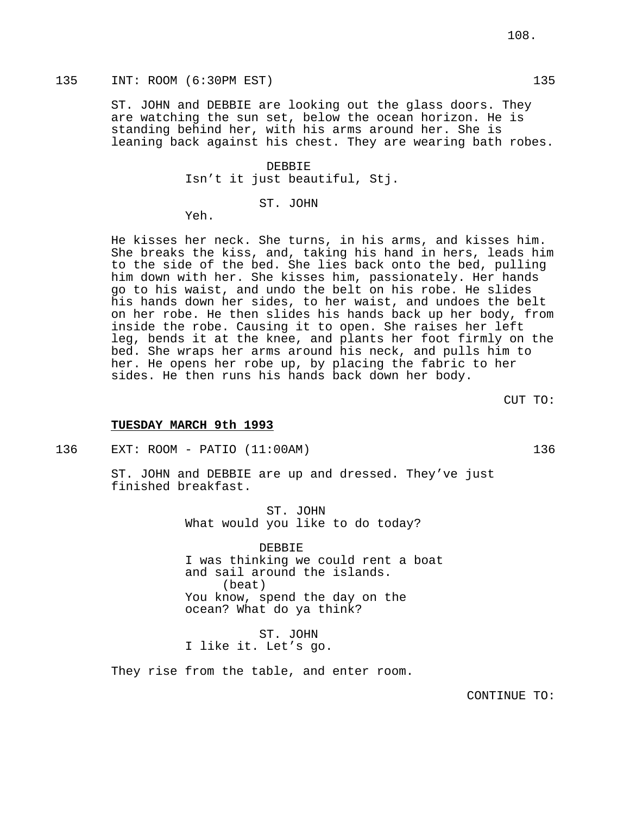### 135 INT: ROOM (6:30PM EST) 135

ST. JOHN and DEBBIE are looking out the glass doors. They are watching the sun set, below the ocean horizon. He is standing behind her, with his arms around her. She is leaning back against his chest. They are wearing bath robes.

> DEBBIE Isn't it just beautiful, Stj.

> > ST. JOHN

Yeh.

He kisses her neck. She turns, in his arms, and kisses him. She breaks the kiss, and, taking his hand in hers, leads him to the side of the bed. She lies back onto the bed, pulling him down with her. She kisses him, passionately. Her hands go to his waist, and undo the belt on his robe. He slides his hands down her sides, to her waist, and undoes the belt on her robe. He then slides his hands back up her body, from inside the robe. Causing it to open. She raises her left leg, bends it at the knee, and plants her foot firmly on the bed. She wraps her arms around his neck, and pulls him to her. He opens her robe up, by placing the fabric to her sides. He then runs his hands back down her body.

CUT TO:

#### **TUESDAY MARCH 9th 1993**

136 EXT: ROOM - PATIO (11:00AM) 136

ST. JOHN and DEBBIE are up and dressed. They've just finished breakfast.

> ST. JOHN What would you like to do today?

DEBBIE I was thinking we could rent a boat and sail around the islands. (beat) You know, spend the day on the ocean? What do ya think?

ST. JOHN I like it. Let's go.

They rise from the table, and enter room.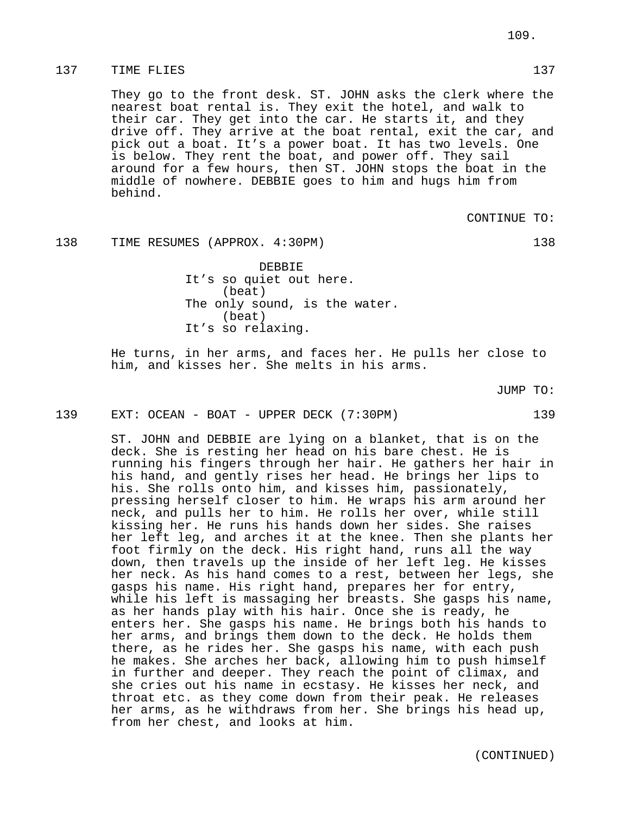## 137 TIME FLIES 137 137

They go to the front desk. ST. JOHN asks the clerk where the nearest boat rental is. They exit the hotel, and walk to their car. They get into the car. He starts it, and they drive off. They arrive at the boat rental, exit the car, and pick out a boat. It's a power boat. It has two levels. One is below. They rent the boat, and power off. They sail around for a few hours, then ST. JOHN stops the boat in the middle of nowhere. DEBBIE goes to him and hugs him from behind.

CONTINUE TO:

#### 138 TIME RESUMES (APPROX. 4:30PM) 138

DEBBIE It's so quiet out here. (beat) The only sound, is the water. (beat) It's so relaxing.

He turns, in her arms, and faces her. He pulls her close to him, and kisses her. She melts in his arms.

JUMP TO:

139 EXT: OCEAN - BOAT - UPPER DECK (7:30PM) 139

ST. JOHN and DEBBIE are lying on a blanket, that is on the deck. She is resting her head on his bare chest. He is running his fingers through her hair. He gathers her hair in his hand, and gently rises her head. He brings her lips to his. She rolls onto him, and kisses him, passionately, pressing herself closer to him. He wraps his arm around her neck, and pulls her to him. He rolls her over, while still kissing her. He runs his hands down her sides. She raises her left leg, and arches it at the knee. Then she plants her foot firmly on the deck. His right hand, runs all the way down, then travels up the inside of her left leg. He kisses her neck. As his hand comes to a rest, between her legs, she gasps his name. His right hand, prepares her for entry, while his left is massaging her breasts. She gasps his name, as her hands play with his hair. Once she is ready, he enters her. She gasps his name. He brings both his hands to her arms, and brings them down to the deck. He holds them there, as he rides her. She gasps his name, with each push he makes. She arches her back, allowing him to push himself in further and deeper. They reach the point of climax, and she cries out his name in ecstasy. He kisses her neck, and throat etc. as they come down from their peak. He releases her arms, as he withdraws from her. She brings his head up, from her chest, and looks at him.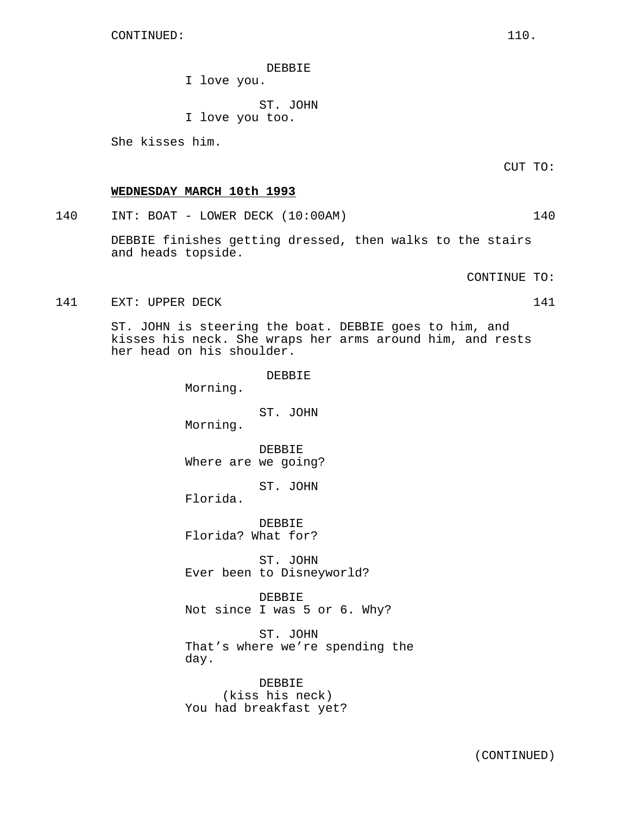DEBBIE

I love you.

ST. JOHN I love you too.

She kisses him.

**WEDNESDAY MARCH 10th 1993**

140 INT: BOAT - LOWER DECK (10:00AM) 140

DEBBIE finishes getting dressed, then walks to the stairs and heads topside.

CONTINUE TO:

141 EXT: UPPER DECK 141

ST. JOHN is steering the boat. DEBBIE goes to him, and kisses his neck. She wraps her arms around him, and rests her head on his shoulder.

Morning.

ST. JOHN Morning.

DEBBIE Where are we going?

ST. JOHN Florida.

DEBBIE

DEBBIE Florida? What for?

ST. JOHN Ever been to Disneyworld?

DEBBIE Not since I was 5 or 6. Why?

ST. JOHN That's where we're spending the day.

DEBBIE (kiss his neck) You had breakfast yet? CUT TO: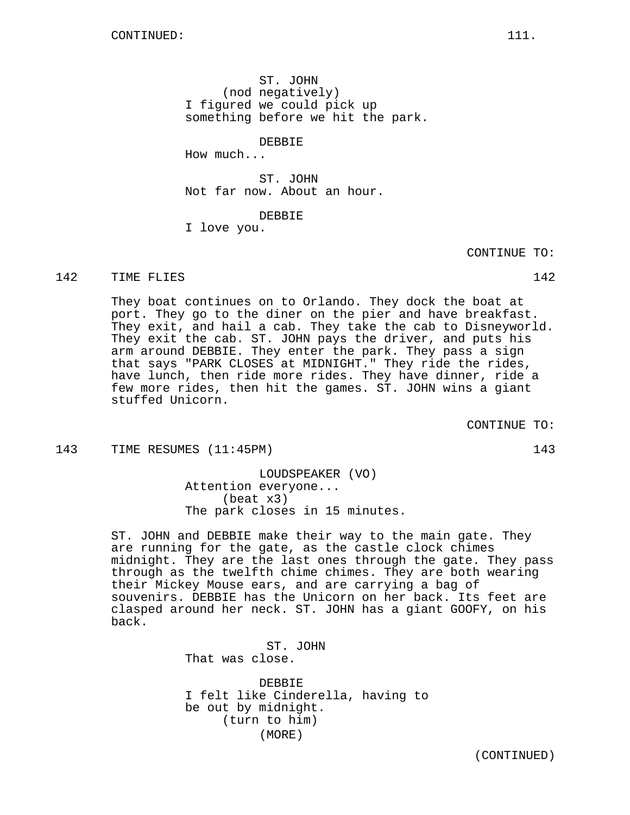ST. JOHN (nod negatively) I figured we could pick up something before we hit the park.

DEBBIE

How much...

ST. JOHN Not far now. About an hour.

DEBBIE

I love you.

142 TIME FLIES 2002 142

They boat continues on to Orlando. They dock the boat at port. They go to the diner on the pier and have breakfast. They exit, and hail a cab. They take the cab to Disneyworld. They exit the cab. ST. JOHN pays the driver, and puts his arm around DEBBIE. They enter the park. They pass a sign that says "PARK CLOSES at MIDNIGHT." They ride the rides, have lunch, then ride more rides. They have dinner, ride a few more rides, then hit the games. ST. JOHN wins a giant stuffed Unicorn.

CONTINUE TO:

143 TIME RESUMES (11:45PM) 143

LOUDSPEAKER (VO) Attention everyone... (beat x3) The park closes in 15 minutes.

ST. JOHN and DEBBIE make their way to the main gate. They are running for the gate, as the castle clock chimes midnight. They are the last ones through the gate. They pass through as the twelfth chime chimes. They are both wearing their Mickey Mouse ears, and are carrying a bag of souvenirs. DEBBIE has the Unicorn on her back. Its feet are clasped around her neck. ST. JOHN has a giant GOOFY, on his back.

> ST. JOHN That was close.

DEBBIE I felt like Cinderella, having to be out by midnight. (turn to him) (MORE)

(CONTINUED)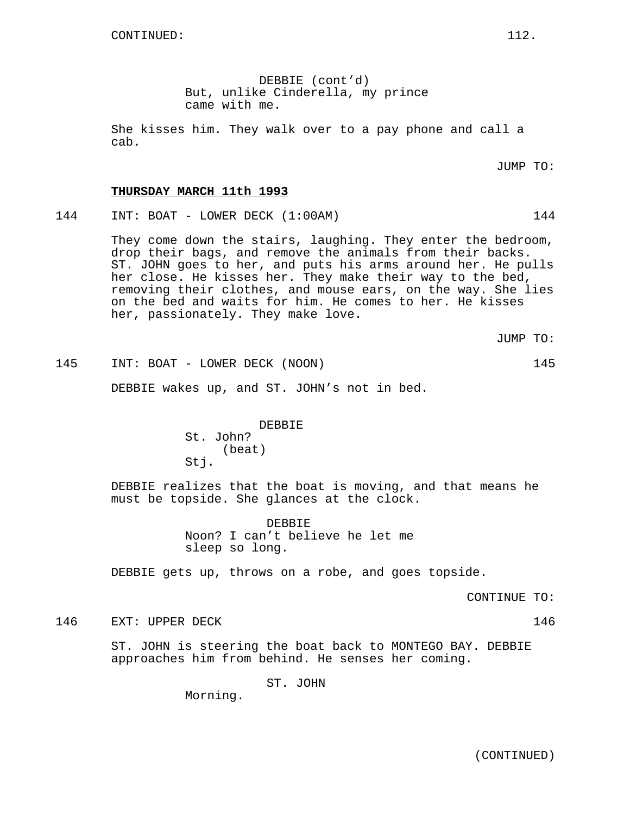DEBBIE (cont'd) But, unlike Cinderella, my prince came with me.

She kisses him. They walk over to a pay phone and call a cab.

JUMP TO:

#### **THURSDAY MARCH 11th 1993**

144 INT: BOAT - LOWER DECK (1:00AM) 144

They come down the stairs, laughing. They enter the bedroom, drop their bags, and remove the animals from their backs. ST. JOHN goes to her, and puts his arms around her. He pulls her close. He kisses her. They make their way to the bed, removing their clothes, and mouse ears, on the way. She lies on the bed and waits for him. He comes to her. He kisses her, passionately. They make love.

JUMP TO:

145 INT: BOAT - LOWER DECK (NOON) 145

DEBBIE wakes up, and ST. JOHN's not in bed.

DEBBIE St. John? (beat) Stj.

DEBBIE realizes that the boat is moving, and that means he must be topside. She glances at the clock.

> DEBBIE Noon? I can't believe he let me sleep so long.

DEBBIE gets up, throws on a robe, and goes topside.

CONTINUE TO:

146 EXT: UPPER DECK 146

ST. JOHN is steering the boat back to MONTEGO BAY. DEBBIE approaches him from behind. He senses her coming.

ST. JOHN

Morning.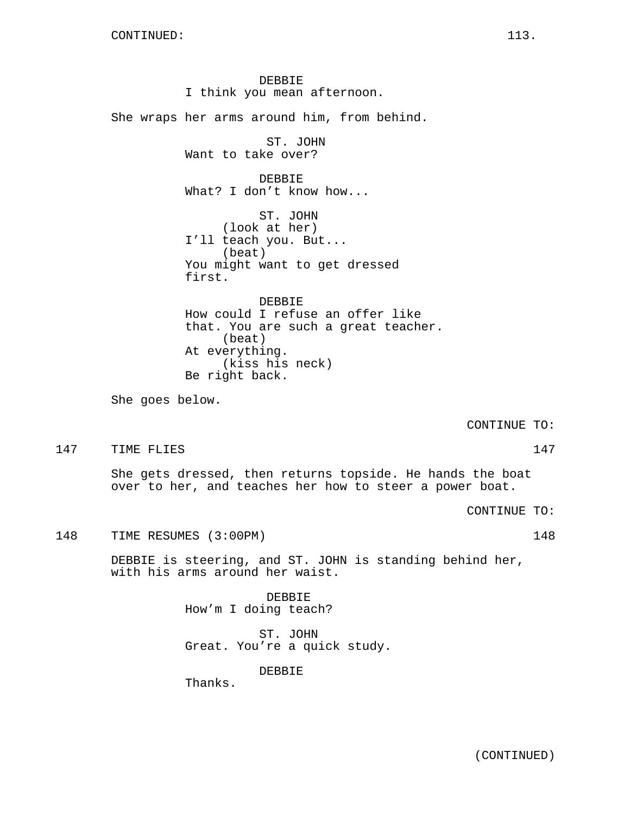DEBBIE I think you mean afternoon. She wraps her arms around him, from behind. ST. JOHN Want to take over? DEBBIE What? I don't know how... ST. JOHN (look at her) I'll teach you. But... (beat) You might want to get dressed first. DEBBIE How could I refuse an offer like that. You are such a great teacher. (beat) At everything. (kiss his neck) Be right back. She goes below. CONTINUE TO: 147 TIME FLIES 2002 147

She gets dressed, then returns topside. He hands the boat

over to her, and teaches her how to steer a power boat.

CONTINUE TO:

148 TIME RESUMES (3:00PM) 148

DEBBIE is steering, and ST. JOHN is standing behind her, with his arms around her waist.

> DEBBIE How'm I doing teach?

ST. JOHN Great. You're a quick study.

DEBBIE

Thanks.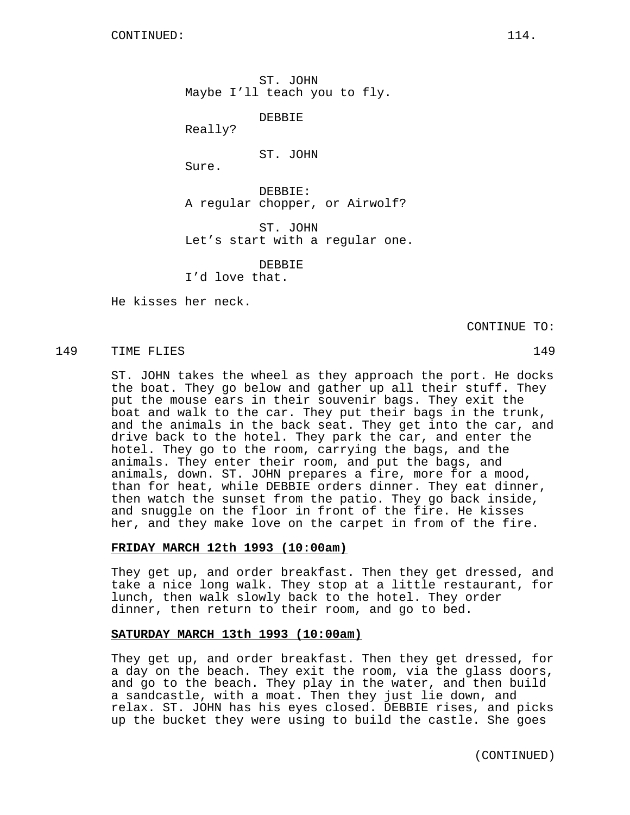ST. JOHN Maybe I'll teach you to fly.

DEBBIE

Really?

ST. JOHN

Sure.

DEBBIE: A regular chopper, or Airwolf?

ST. JOHN Let's start with a regular one.

DEBBIE

I'd love that.

He kisses her neck.

CONTINUE TO:

### 149 TIME FLIES 149

ST. JOHN takes the wheel as they approach the port. He docks the boat. They go below and gather up all their stuff. They put the mouse ears in their souvenir bags. They exit the boat and walk to the car. They put their bags in the trunk, and the animals in the back seat. They get into the car, and drive back to the hotel. They park the car, and enter the hotel. They go to the room, carrying the bags, and the animals. They enter their room, and put the bags, and animals, down. ST. JOHN prepares a fire, more for a mood, than for heat, while DEBBIE orders dinner. They eat dinner, then watch the sunset from the patio. They go back inside, and snuggle on the floor in front of the fire. He kisses her, and they make love on the carpet in from of the fire.

### **FRIDAY MARCH 12th 1993 (10:00am)**

They get up, and order breakfast. Then they get dressed, and take a nice long walk. They stop at a little restaurant, for lunch, then walk slowly back to the hotel. They order dinner, then return to their room, and go to bed.

# **SATURDAY MARCH 13th 1993 (10:00am)**

They get up, and order breakfast. Then they get dressed, for a day on the beach. They exit the room, via the glass doors, and go to the beach. They play in the water, and then build a sandcastle, with a moat. Then they just lie down, and relax. ST. JOHN has his eyes closed. DEBBIE rises, and picks up the bucket they were using to build the castle. She goes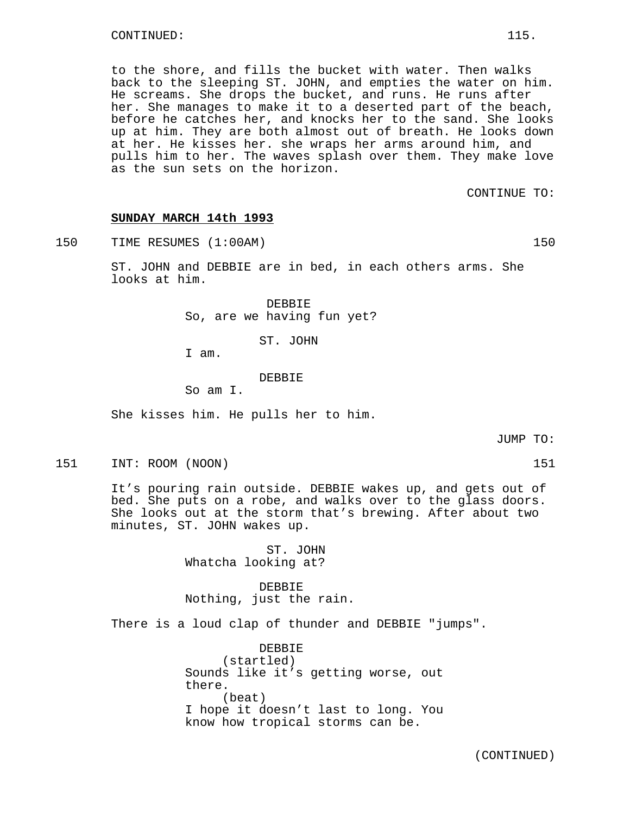to the shore, and fills the bucket with water. Then walks back to the sleeping ST. JOHN, and empties the water on him. He screams. She drops the bucket, and runs. He runs after her. She manages to make it to a deserted part of the beach, before he catches her, and knocks her to the sand. She looks up at him. They are both almost out of breath. He looks down at her. He kisses her. she wraps her arms around him, and pulls him to her. The waves splash over them. They make love as the sun sets on the horizon.

CONTINUE TO:

#### **SUNDAY MARCH 14th 1993**

150 TIME RESUMES (1:00AM) 150

ST. JOHN and DEBBIE are in bed, in each others arms. She looks at him.

> DEBBIE So, are we having fun yet?

> > ST. JOHN

I am.

### DEBBIE

So am I.

She kisses him. He pulls her to him.

It's pouring rain outside. DEBBIE wakes up, and gets out of bed. She puts on a robe, and walks over to the glass doors. She looks out at the storm that's brewing. After about two minutes, ST. JOHN wakes up.

151 INT: ROOM (NOON) 151

ST. JOHN Whatcha looking at?

DEBBIE Nothing, just the rain.

There is a loud clap of thunder and DEBBIE "jumps".

DEBBIE (startled) Sounds like it's getting worse, out there. (beat) I hope it doesn't last to long. You know how tropical storms can be.

(CONTINUED)

JUMP TO: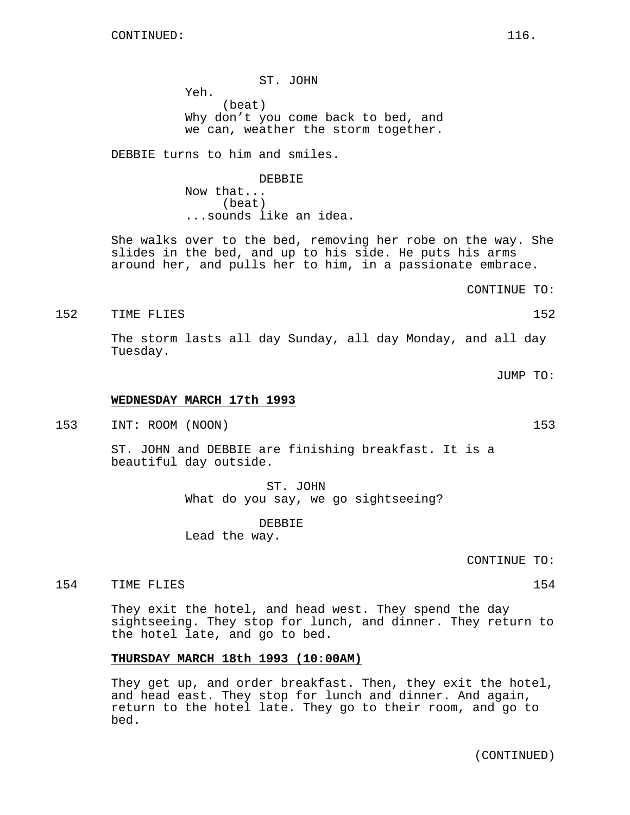ST. JOHN Yeh. (beat) Why don't you come back to bed, and we can, weather the storm together.

DEBBIE turns to him and smiles.

DEBBIE Now that... (beat) ...sounds like an idea.

She walks over to the bed, removing her robe on the way. She slides in the bed, and up to his side. He puts his arms around her, and pulls her to him, in a passionate embrace.

CONTINUE TO:

152 TIME FLIES 152

The storm lasts all day Sunday, all day Monday, and all day Tuesday.

JUMP TO:

#### **WEDNESDAY MARCH 17th 1993**

153 INT: ROOM (NOON) 153

ST. JOHN and DEBBIE are finishing breakfast. It is a beautiful day outside.

> ST. JOHN What do you say, we go sightseeing?

DEBBIE Lead the way.

CONTINUE TO:

154 TIME FLIES 2008 154

They exit the hotel, and head west. They spend the day sightseeing. They stop for lunch, and dinner. They return to the hotel late, and go to bed.

### **THURSDAY MARCH 18th 1993 (10:00AM)**

They get up, and order breakfast. Then, they exit the hotel, and head east. They stop for lunch and dinner. And again, return to the hotel late. They go to their room, and go to bed.

(CONTINUED)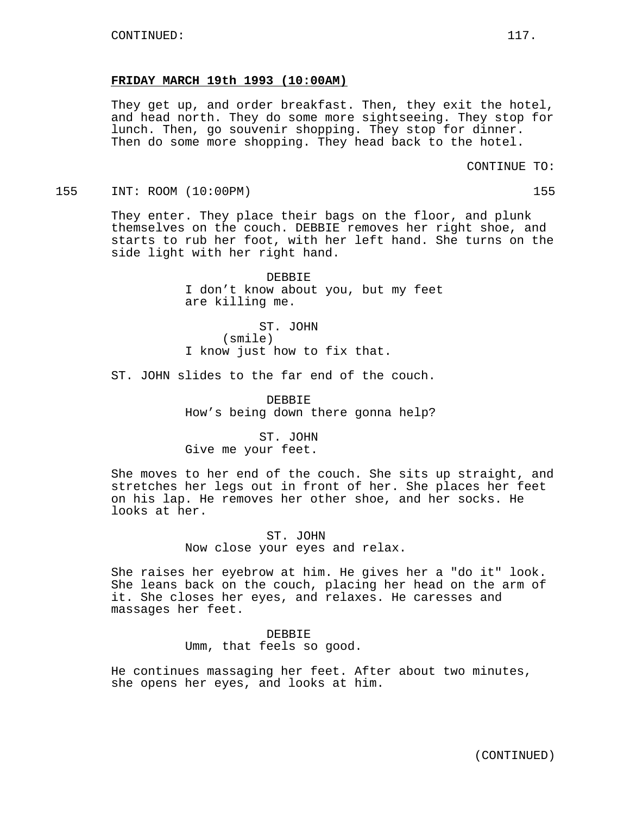### **FRIDAY MARCH 19th 1993 (10:00AM)**

They get up, and order breakfast. Then, they exit the hotel, and head north. They do some more sightseeing. They stop for lunch. Then, go souvenir shopping. They stop for dinner. Then do some more shopping. They head back to the hotel.

CONTINUE TO:

155 INT: ROOM (10:00PM) 155

They enter. They place their bags on the floor, and plunk themselves on the couch. DEBBIE removes her right shoe, and starts to rub her foot, with her left hand. She turns on the side light with her right hand.

> DEBBIE I don't know about you, but my feet are killing me.

ST. JOHN (smile) I know just how to fix that.

ST. JOHN slides to the far end of the couch.

DEBBIE How's being down there gonna help?

ST. JOHN Give me your feet.

She moves to her end of the couch. She sits up straight, and stretches her legs out in front of her. She places her feet on his lap. He removes her other shoe, and her socks. He looks at her.

> ST. JOHN Now close your eyes and relax.

She raises her eyebrow at him. He gives her a "do it" look. She leans back on the couch, placing her head on the arm of it. She closes her eyes, and relaxes. He caresses and massages her feet.

> DEBBIE Umm, that feels so good.

He continues massaging her feet. After about two minutes, she opens her eyes, and looks at him.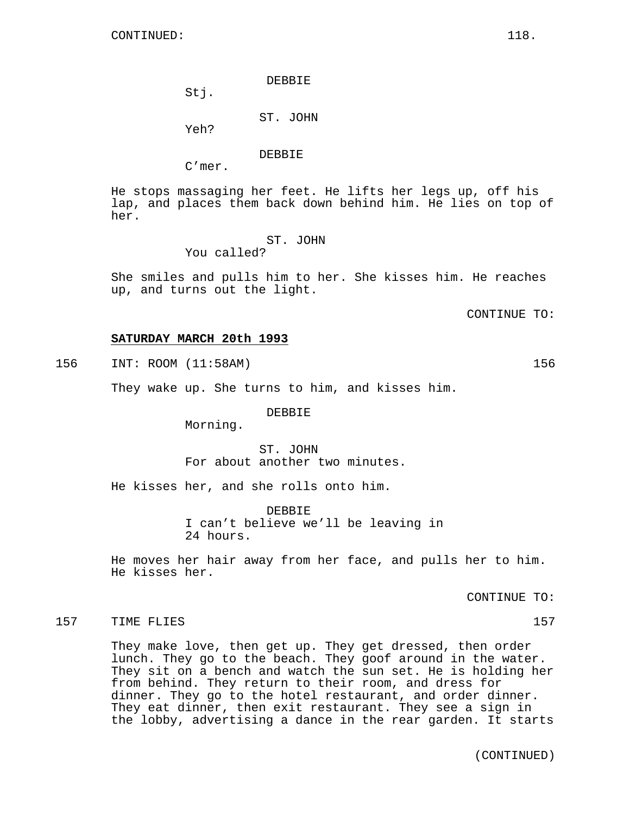DEBBIE

Stj.

ST. JOHN

Yeh?

DEBBIE

C'mer.

He stops massaging her feet. He lifts her legs up, off his lap, and places them back down behind him. He lies on top of her.

> ST. JOHN You called?

She smiles and pulls him to her. She kisses him. He reaches up, and turns out the light.

CONTINUE TO:

### **SATURDAY MARCH 20th 1993**

156 INT: ROOM (11:58AM) 156

They wake up. She turns to him, and kisses him.

DEBBIE

Morning.

ST. JOHN For about another two minutes.

He kisses her, and she rolls onto him.

DEBBIE I can't believe we'll be leaving in 24 hours.

He moves her hair away from her face, and pulls her to him. He kisses her.

CONTINUE TO:

#### 157 TIME FLIES 2002 157 2003 157

They make love, then get up. They get dressed, then order lunch. They go to the beach. They goof around in the water. They sit on a bench and watch the sun set. He is holding her from behind. They return to their room, and dress for dinner. They go to the hotel restaurant, and order dinner. They eat dinner, then exit restaurant. They see a sign in the lobby, advertising a dance in the rear garden. It starts

(CONTINUED)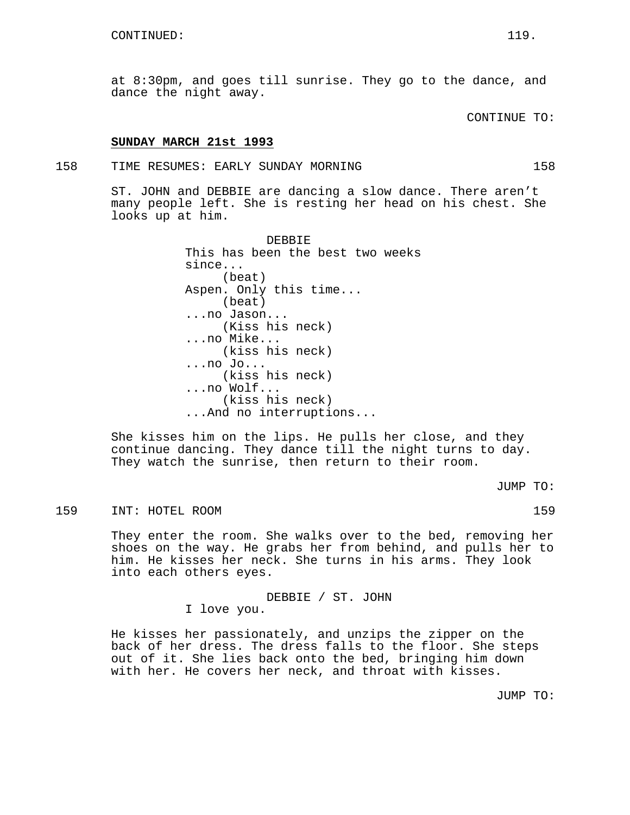CONTINUE TO:

### **SUNDAY MARCH 21st 1993**

#### 158 TIME RESUMES: EARLY SUNDAY MORNING 158

ST. JOHN and DEBBIE are dancing a slow dance. There aren't many people left. She is resting her head on his chest. She looks up at him.

> DEBBIE This has been the best two weeks since... (beat) Aspen. Only this time... (beat) ...no Jason... (Kiss his neck) ...no Mike... (kiss his neck) ...no Jo... (kiss his neck) ...no Wolf... (kiss his neck) ...And no interruptions...

She kisses him on the lips. He pulls her close, and they continue dancing. They dance till the night turns to day. They watch the sunrise, then return to their room.

JUMP TO:

159 INT: HOTEL ROOM 159

They enter the room. She walks over to the bed, removing her shoes on the way. He grabs her from behind, and pulls her to him. He kisses her neck. She turns in his arms. They look into each others eyes.

DEBBIE / ST. JOHN

I love you.

He kisses her passionately, and unzips the zipper on the back of her dress. The dress falls to the floor. She steps out of it. She lies back onto the bed, bringing him down with her. He covers her neck, and throat with kisses.

JUMP TO: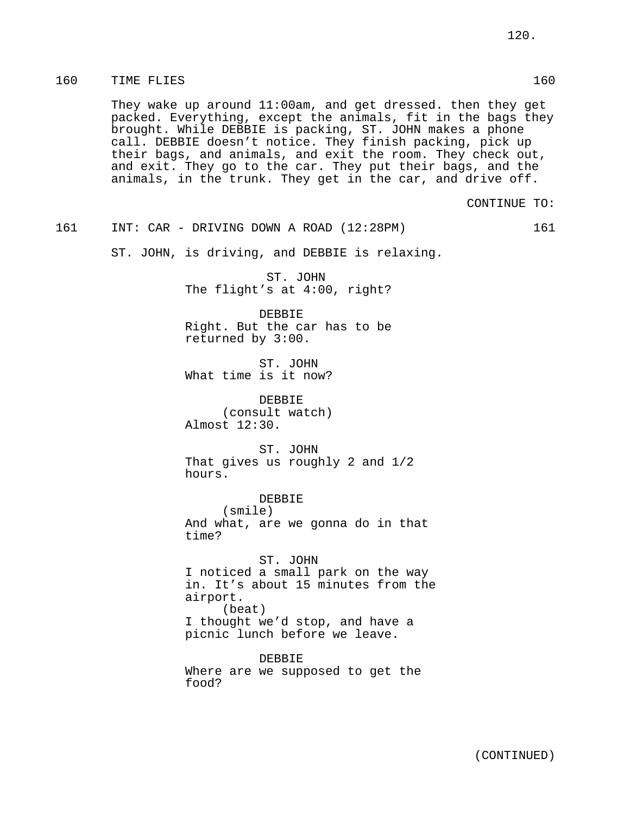## 160 TIME FLIES 160

They wake up around 11:00am, and get dressed. then they get packed. Everything, except the animals, fit in the bags they brought. While DEBBIE is packing, ST. JOHN makes a phone call. DEBBIE doesn't notice. They finish packing, pick up their bags, and animals, and exit the room. They check out, and exit. They go to the car. They put their bags, and the animals, in the trunk. They get in the car, and drive off.

CONTINUE TO:

161 INT: CAR - DRIVING DOWN A ROAD (12:28PM) 161

ST. JOHN, is driving, and DEBBIE is relaxing.

ST. JOHN The flight's at 4:00, right?

DEBBIE Right. But the car has to be returned by 3:00.

ST. JOHN What time is it now?

DEBBIE (consult watch) Almost 12:30.

ST. JOHN That gives us roughly 2 and 1/2 hours.

DEBBIE (smile) And what, are we gonna do in that time?

ST. JOHN I noticed a small park on the way in. It's about 15 minutes from the airport. (beat) I thought we'd stop, and have a

picnic lunch before we leave.

DEBBIE Where are we supposed to get the food?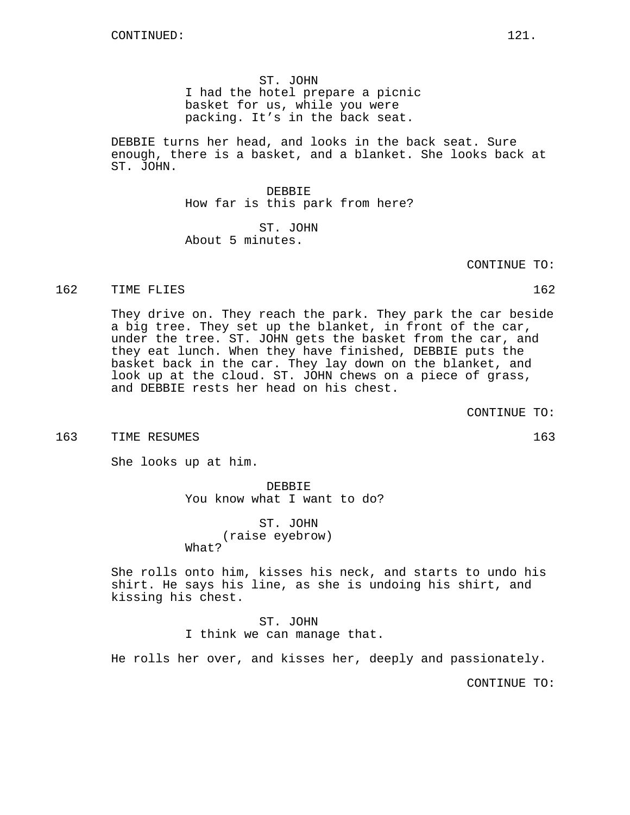ST. JOHN I had the hotel prepare a picnic basket for us, while you were packing. It's in the back seat.

DEBBIE turns her head, and looks in the back seat. Sure enough, there is a basket, and a blanket. She looks back at ST. JOHN.

> DEBBIE How far is this park from here?

ST. JOHN About 5 minutes.

CONTINUE TO:

#### 162 TIME FLIES 162

They drive on. They reach the park. They park the car beside a big tree. They set up the blanket, in front of the car, under the tree. ST. JOHN gets the basket from the car, and they eat lunch. When they have finished, DEBBIE puts the basket back in the car. They lay down on the blanket, and look up at the cloud. ST. JOHN chews on a piece of grass, and DEBBIE rests her head on his chest.

CONTINUE TO:

#### 163 TIME RESUMES 163

She looks up at him.

DEBBIE You know what I want to do?

ST. JOHN (raise eyebrow) What?

She rolls onto him, kisses his neck, and starts to undo his shirt. He says his line, as she is undoing his shirt, and kissing his chest.

> ST. JOHN I think we can manage that.

He rolls her over, and kisses her, deeply and passionately.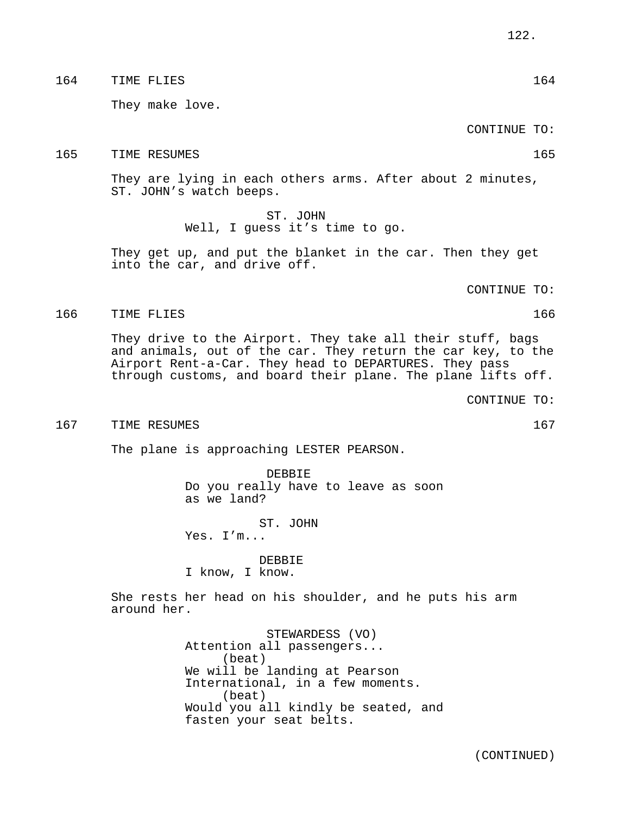### 164 TIME FLIES 164

They make love.

CONTINUE TO:

165 TIME RESUMES 165

They are lying in each others arms. After about 2 minutes, ST. JOHN's watch beeps.

> ST. JOHN Well, I guess it's time to go.

They get up, and put the blanket in the car. Then they get into the car, and drive off.

CONTINUE TO:

### 166 TIME FLIES 166

They drive to the Airport. They take all their stuff, bags and animals, out of the car. They return the car key, to the Airport Rent-a-Car. They head to DEPARTURES. They pass through customs, and board their plane. The plane lifts off.

CONTINUE TO:

#### 167 TIME RESUMES 167 NORTH SERVICES 167

The plane is approaching LESTER PEARSON.

DEBBIE Do you really have to leave as soon as we land?

ST. JOHN Yes. I'm...

DEBBIE I know, I know.

She rests her head on his shoulder, and he puts his arm around her.

> STEWARDESS (VO) Attention all passengers... (beat) We will be landing at Pearson International, in a few moments. (beat) Would you all kindly be seated, and fasten your seat belts.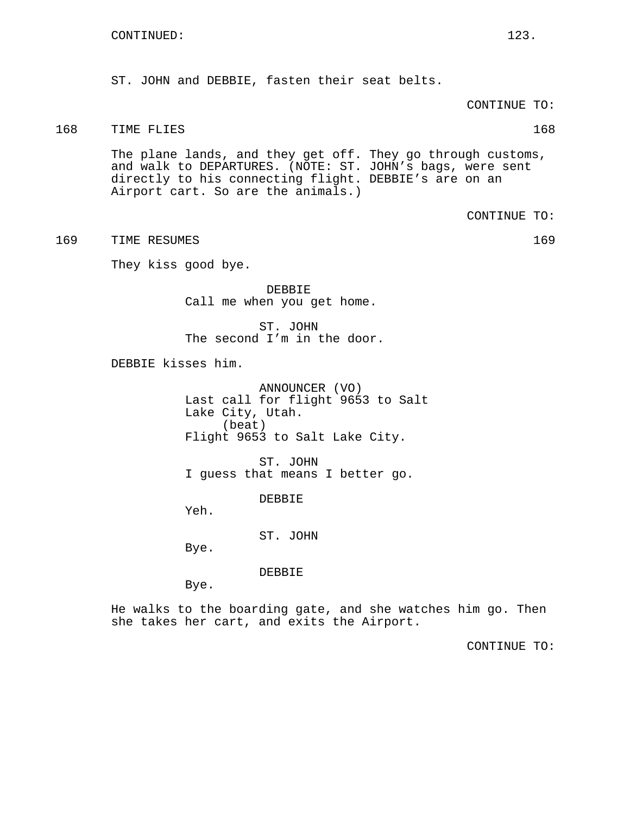ST. JOHN and DEBBIE, fasten their seat belts.

CONTINUE TO:

## 168 TIME FLIES 168

The plane lands, and they get off. They go through customs, and walk to DEPARTURES. (NOTE: ST. JOHN's bags, were sent directly to his connecting flight. DEBBIE's are on an Airport cart. So are the animals.)

CONTINUE TO:

169 TIME RESUMES 169

They kiss good bye.

DEBBIE Call me when you get home.

ST. JOHN The second I'm in the door.

DEBBIE kisses him.

ANNOUNCER (VO) Last call for flight 9653 to Salt Lake City, Utah. (beat) Flight 9653 to Salt Lake City.

ST. JOHN I guess that means I better go.

DEBBIE

Yeh.

ST. JOHN

Bye.

DEBBIE

Bye.

He walks to the boarding gate, and she watches him go. Then she takes her cart, and exits the Airport.